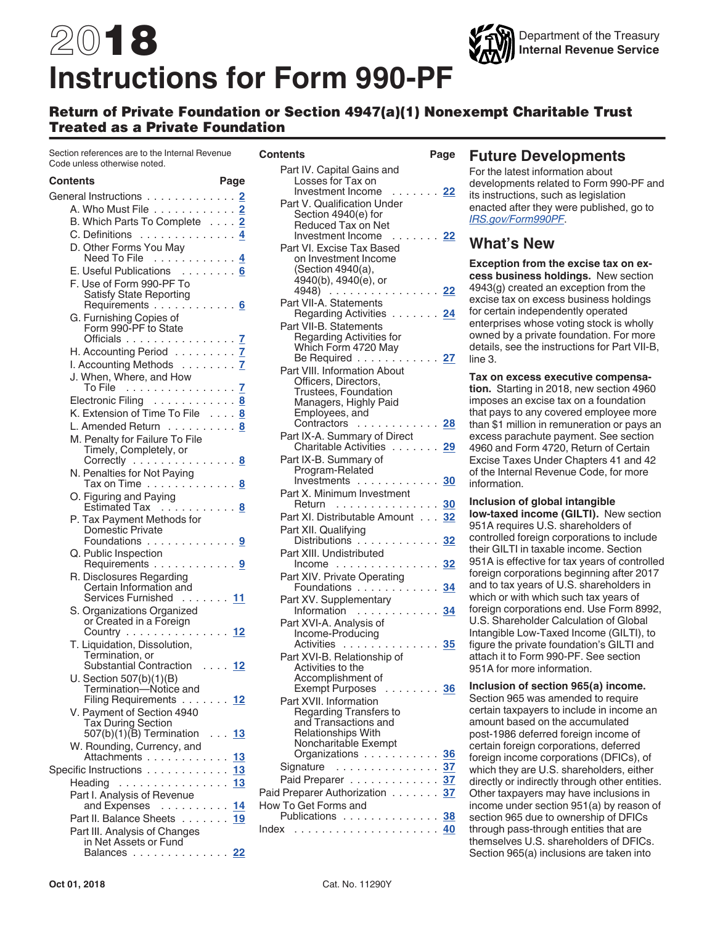# <span id="page-0-0"></span>2018 **Instructions for Form 990-PF**



Section references are to the Internal Revenue Code unless otherwise noted.

#### **Contents Page**

| General Instructions 2                                           |  |           |
|------------------------------------------------------------------|--|-----------|
| A. Who Must File <u>2</u>                                        |  |           |
| B. Which Parts To Complete 2                                     |  |           |
| C. Definitions $\ldots \ldots \ldots \ldots \frac{4}{3}$         |  |           |
| D. Other Forms You May                                           |  |           |
| Need To File<br>E. Useful Publications<br>E. Useful Publications |  |           |
|                                                                  |  |           |
| F. Use of Form 990-PF To                                         |  |           |
| Satisfy State Reporting                                          |  |           |
| Requirements 6                                                   |  |           |
| G. Furnishing Copies of<br>Form 990-PF to State                  |  |           |
| Officials <u>7</u>                                               |  |           |
| H. Accounting Period 7                                           |  |           |
| I. Accounting Methods 7                                          |  |           |
| J. When, Where, and How                                          |  |           |
| To File 2000 <u>7</u>                                            |  |           |
| Electronic Filing 8                                              |  |           |
| K. Extension of Time To File 8                                   |  |           |
| L. Amended Return 8                                              |  |           |
| M. Penalty for Failure To File                                   |  |           |
|                                                                  |  |           |
|                                                                  |  |           |
| N. Penalties for Not Paying<br>Tax on Time                       |  |           |
|                                                                  |  |           |
| O. Figuring and Paying<br>Estimated Tax  8                       |  |           |
| P. Tax Payment Methods for                                       |  |           |
|                                                                  |  |           |
| Domestic Private<br>Foundations 9                                |  |           |
|                                                                  |  |           |
| Q. Public Inspection<br>Requirements 9                           |  |           |
| R. Disclosures Regarding                                         |  |           |
| Certain Information and                                          |  |           |
| Services Furnished 11                                            |  |           |
| S. Organizations Organized<br>or Created in a Foreign            |  |           |
| $\frac{12}{2}$                                                   |  |           |
| T. Liquidation, Dissolution,                                     |  |           |
| Termination, or                                                  |  |           |
| Substantial Contraction 12                                       |  |           |
| U. Section 507(b)(1)(B)                                          |  |           |
| Termination-Notice and                                           |  |           |
| Filing Requirements 12<br>V. Payment of Section 4940             |  |           |
| Tax During Section                                               |  |           |
| 507(b)(1)(B) Termination 13                                      |  |           |
| W. Rounding, Currency, and                                       |  |           |
| Attachments                                                      |  | <u>13</u> |
| Specific Instructions                                            |  | 13        |
| Heading<br>.                                                     |  | 13        |
| Part I. Analysis of Revenue                                      |  |           |
| and Expenses                                                     |  | 14        |
| Part II. Balance Sheets                                          |  | <u>19</u> |
| Part III. Analysis of Changes                                    |  |           |
| in Net Assets or Fund<br>Balances                                |  | 22        |
|                                                                  |  |           |

| Contents                                                                                                                                                        | Page              |
|-----------------------------------------------------------------------------------------------------------------------------------------------------------------|-------------------|
| Part IV. Capital Gains and<br>Losses for Tax on                                                                                                                 |                   |
| Investment Income<br>$\alpha$ , $\alpha$ , $\alpha$ , $\alpha$<br>Part V. Qualification Under<br>Section 4940(e) for<br>Reduced Tax on Net                      | 22                |
| Investment Income<br>Part VI. Excise Tax Based<br>on Investment Income<br>(Section 4940(a),<br>4940(b), 4940(e), or                                             | . 22              |
| 4948) <u>22</u><br>Part VII-A. Statements                                                                                                                       |                   |
| Regarding Activities 24<br>Part VII-B. Statements<br><b>Regarding Activities for</b><br>Which Form 4720 May                                                     |                   |
| Be Required 27<br>Part VIII. Information About<br>Officers, Directors,<br>Trustees, Foundation<br>Managers, Highly Paid<br>Employees, and                       |                   |
| Contractors  28<br>Part IX-A. Summary of Direct<br>Charitable Activities                                                                                        | 29                |
| Part IX-B. Summary of<br>Program-Related                                                                                                                        |                   |
| Investments 30<br>Part X. Minimum Investment                                                                                                                    |                   |
| Return  30<br>Part XI. Distributable Amount 32<br>Part XII. Qualifying                                                                                          |                   |
| Distributions  32<br>Part XIII. Undistributed                                                                                                                   |                   |
| Income <mark>32</mark><br>Part XIV. Private Operating                                                                                                           |                   |
| Foundations<br>Part XV. Supplementary                                                                                                                           | 34                |
| Information  34<br>Part XVI-A. Analysis of<br>Income-Producing                                                                                                  |                   |
| Activities<br>Part XVI-B. Relationship of<br>Activities to the<br>Accomplishment of                                                                             | . <mark>35</mark> |
| <b>Exempt Purposes</b><br>. 36<br>Part XVII. Information<br>Regarding Transfers to<br>and Transactions and<br><b>Relationships With</b><br>Noncharitable Exempt |                   |
| Organizations                                                                                                                                                   | 36                |
| Signature<br>.<br>L.<br>Paid Preparer                                                                                                                           | 37<br>37          |
| Paid Preparer Authorization                                                                                                                                     | 37                |
| How To Get Forms and<br>Publications<br>$\sim$                                                                                                                  | 38                |
| $Index$<br>a shekarar<br>ä.                                                                                                                                     | 40                |

### **Future Developments**

For the latest information about developments related to Form 990-PF and its instructions, such as legislation enacted after they were published, go to *[IRS.gov/Form990PF](https://www.irs.gov/form990pf)*.

Department of the Treasury **Internal Revenue Service**

### **What's New**

**Exception from the excise tax on excess business holdings.** New section 4943(g) created an exception from the excise tax on excess business holdings for certain independently operated enterprises whose voting stock is wholly owned by a private foundation. For more details, see the instructions for Part VII-B, line 3.

**Tax on excess executive compensation.** Starting in 2018, new section 4960 imposes an excise tax on a foundation that pays to any covered employee more than \$1 million in remuneration or pays an excess parachute payment. See section 4960 and Form 4720, Return of Certain Excise Taxes Under Chapters 41 and 42 of the Internal Revenue Code, for more information.

**Inclusion of global intangible low-taxed income (GILTI).** New section 951A requires U.S. shareholders of controlled foreign corporations to include their GILTI in taxable income. Section 951A is effective for tax years of controlled foreign corporations beginning after 2017 and to tax years of U.S. shareholders in which or with which such tax years of foreign corporations end. Use Form 8992, U.S. Shareholder Calculation of Global Intangible Low-Taxed Income (GILTI), to figure the private foundation's GILTI and attach it to Form 990-PF. See section 951A for more information.

**Inclusion of section 965(a) income.** Section 965 was amended to require certain taxpayers to include in income an amount based on the accumulated post-1986 deferred foreign income of certain foreign corporations, deferred foreign income corporations (DFICs), of which they are U.S. shareholders, either directly or indirectly through other entities. Other taxpayers may have inclusions in income under section 951(a) by reason of section 965 due to ownership of DFICs through pass-through entities that are themselves U.S. shareholders of DFICs. Section 965(a) inclusions are taken into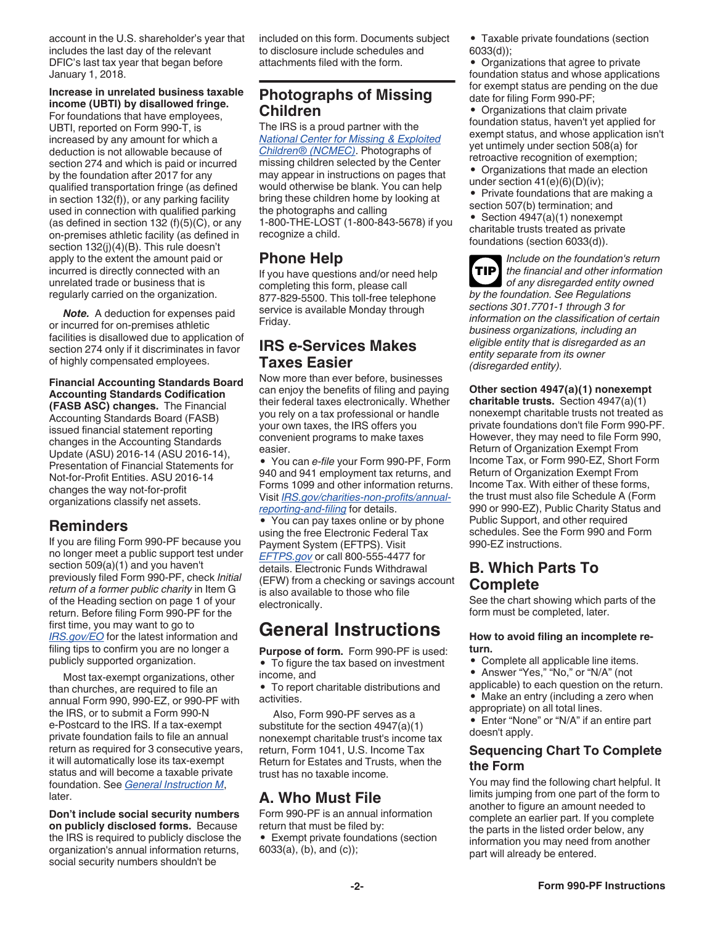<span id="page-1-0"></span>account in the U.S. shareholder's year that includes the last day of the relevant DFIC's last tax year that began before January 1, 2018.

#### **Increase in unrelated business taxable income (UBTI) by disallowed fringe.**

For foundations that have employees, UBTI, reported on Form 990-T, is increased by any amount for which a deduction is not allowable because of section 274 and which is paid or incurred by the foundation after 2017 for any qualified transportation fringe (as defined in section 132(f)), or any parking facility used in connection with qualified parking (as defined in section 132 (f)(5)(C), or any on-premises athletic facility (as defined in section 132(j)(4)(B). This rule doesn't apply to the extent the amount paid or incurred is directly connected with an unrelated trade or business that is regularly carried on the organization.

*Note.* A deduction for expenses paid or incurred for on-premises athletic facilities is disallowed due to application of section 274 only if it discriminates in favor of highly compensated employees.

**Financial Accounting Standards Board Accounting Standards Codification (FASB ASC) changes.** The Financial Accounting Standards Board (FASB) issued financial statement reporting changes in the Accounting Standards Update (ASU) 2016-14 (ASU 2016-14), Presentation of Financial Statements for Not-for-Profit Entities. ASU 2016-14 changes the way not-for-profit organizations classify net assets.

### **Reminders**

If you are filing Form 990-PF because you no longer meet a public support test under section 509(a)(1) and you haven't previously filed Form 990-PF, check *Initial return of a former public charity* in Item G of the Heading section on page 1 of your return. Before filing Form 990-PF for the first time, you may want to go to *[IRS.gov/EO](https://www.irs.gov/charities-non-profits)* for the latest information and filing tips to confirm you are no longer a publicly supported organization.

Most tax-exempt organizations, other than churches, are required to file an annual Form 990, 990-EZ, or 990-PF with the IRS, or to submit a Form 990-N e-Postcard to the IRS. If a tax-exempt private foundation fails to file an annual return as required for 3 consecutive years, it will automatically lose its tax-exempt status and will become a taxable private foundation. See *[General Instruction M](#page-7-0)*, later.

**Don't include social security numbers on publicly disclosed forms.** Because the IRS is required to publicly disclose the organization's annual information returns, social security numbers shouldn't be

included on this form. Documents subject to disclosure include schedules and attachments filed with the form.

### **Photographs of Missing Children**

The IRS is a proud partner with the *[National Center for Missing & Exploited](http://www.missingkids.com/home)  [Children® \(NCMEC\)](http://www.missingkids.com/home)*. Photographs of missing children selected by the Center may appear in instructions on pages that would otherwise be blank. You can help bring these children home by looking at the photographs and calling 1-800-THE-LOST (1-800-843-5678) if you recognize a child.

## **Phone Help**

If you have questions and/or need help completing this form, please call 877-829-5500. This toll-free telephone service is available Monday through Friday.

### **IRS e-Services Makes Taxes Easier**

Now more than ever before, businesses can enjoy the benefits of filing and paying their federal taxes electronically. Whether you rely on a tax professional or handle your own taxes, the IRS offers you convenient programs to make taxes easier.

• You can *e-file* your Form 990-PF, Form 940 and 941 employment tax returns, and Forms 1099 and other information returns. Visit *[IRS.gov/charities-non-profits/annual](https://www.irs.gov/charities-non-profits/annual-reporting-and-filing)[reporting-and-filing](https://www.irs.gov/charities-non-profits/annual-reporting-and-filing)* for details.

• You can pay taxes online or by phone using the free Electronic Federal Tax Payment System (EFTPS). Visit *[EFTPS.gov](https://www.eftps.gov)* or call 800-555-4477 for details. Electronic Funds Withdrawal (EFW) from a checking or savings account is also available to those who file electronically.

## **General Instructions**

**Purpose of form.** Form 990-PF is used: • To figure the tax based on investment income, and

• To report charitable distributions and activities.

Also, Form 990-PF serves as a substitute for the section 4947(a)(1) nonexempt charitable trust's income tax return, Form 1041, U.S. Income Tax Return for Estates and Trusts, when the trust has no taxable income.

## **A. Who Must File**

Form 990-PF is an annual information return that must be filed by: • Exempt private foundations (section 6033(a), (b), and (c));

• Taxable private foundations (section 6033(d));

• Organizations that agree to private foundation status and whose applications for exempt status are pending on the due date for filing Form 990-PF;

• Organizations that claim private foundation status, haven't yet applied for exempt status, and whose application isn't yet untimely under section 508(a) for retroactive recognition of exemption;

• Organizations that made an election under section 41(e)(6)(D)(iv);

• Private foundations that are making a section 507(b) termination; and

• Section 4947(a)(1) nonexempt charitable trusts treated as private foundations (section 6033(d)).

*Include on the foundation's return the financial and other information of any disregarded entity owned by the foundation. See Regulations sections 301.7701-1 through 3 for information on the classification of certain business organizations, including an eligible entity that is disregarded as an entity separate from its owner (disregarded entity).* **TIP**

**Other section 4947(a)(1) nonexempt** 

**charitable trusts.** Section 4947(a)(1) nonexempt charitable trusts not treated as private foundations don't file Form 990-PF. However, they may need to file Form 990, Return of Organization Exempt From Income Tax, or Form 990-EZ, Short Form Return of Organization Exempt From Income Tax. With either of these forms, the trust must also file Schedule A (Form 990 or 990-EZ), Public Charity Status and Public Support, and other required schedules. See the Form 990 and Form 990-EZ instructions.

### **B. Which Parts To Complete**

See the chart showing which parts of the form must be completed, later.

#### **How to avoid filing an incomplete return.**

- Complete all applicable line items.<br>• Answer "Yes " "No " or "N/A" (not
- Answer "Yes," "No," or "N/A" (not
- applicable) to each question on the return. • Make an entry (including a zero when
- appropriate) on all total lines.

• Enter "None" or "N/A" if an entire part doesn't apply.

### **Sequencing Chart To Complete the Form**

You may find the following chart helpful. It limits jumping from one part of the form to another to figure an amount needed to complete an earlier part. If you complete the parts in the listed order below, any information you may need from another part will already be entered.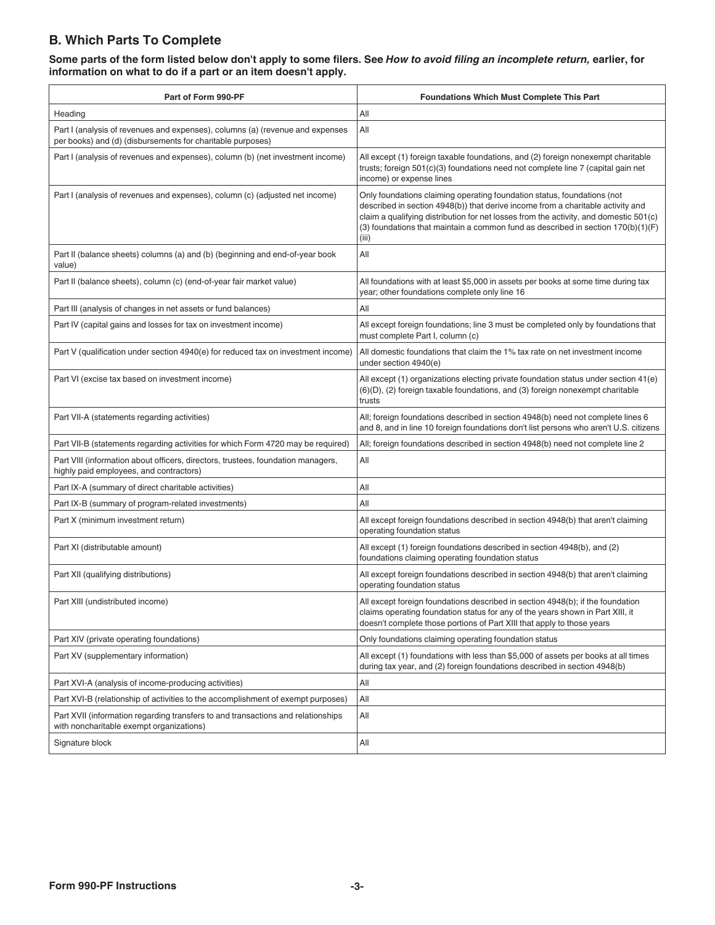### <span id="page-2-0"></span>**B. Which Parts To Complete**

**Some parts of the form listed below don't apply to some filers. See** *How to avoid filing an incomplete return,* **earlier, for information on what to do if a part or an item doesn't apply.**

| Part of Form 990-PF                                                                                                                         | <b>Foundations Which Must Complete This Part</b>                                                                                                                                                                                                                                                                                                   |
|---------------------------------------------------------------------------------------------------------------------------------------------|----------------------------------------------------------------------------------------------------------------------------------------------------------------------------------------------------------------------------------------------------------------------------------------------------------------------------------------------------|
| Heading                                                                                                                                     | All                                                                                                                                                                                                                                                                                                                                                |
| Part I (analysis of revenues and expenses), columns (a) (revenue and expenses<br>per books) and (d) (disbursements for charitable purposes) | All                                                                                                                                                                                                                                                                                                                                                |
| Part I (analysis of revenues and expenses), column (b) (net investment income)                                                              | All except (1) foreign taxable foundations, and (2) foreign nonexempt charitable<br>trusts; foreign 501(c)(3) foundations need not complete line 7 (capital gain net<br>income) or expense lines                                                                                                                                                   |
| Part I (analysis of revenues and expenses), column (c) (adjusted net income)                                                                | Only foundations claiming operating foundation status, foundations (not<br>described in section 4948(b)) that derive income from a charitable activity and<br>claim a qualifying distribution for net losses from the activity, and domestic 501(c)<br>(3) foundations that maintain a common fund as described in section $170(b)(1)(F)$<br>(iii) |
| Part II (balance sheets) columns (a) and (b) (beginning and end-of-year book<br>value)                                                      | All                                                                                                                                                                                                                                                                                                                                                |
| Part II (balance sheets), column (c) (end-of-year fair market value)                                                                        | All foundations with at least \$5,000 in assets per books at some time during tax<br>year; other foundations complete only line 16                                                                                                                                                                                                                 |
| Part III (analysis of changes in net assets or fund balances)                                                                               | All                                                                                                                                                                                                                                                                                                                                                |
| Part IV (capital gains and losses for tax on investment income)                                                                             | All except foreign foundations; line 3 must be completed only by foundations that<br>must complete Part I, column (c)                                                                                                                                                                                                                              |
| Part V (qualification under section 4940(e) for reduced tax on investment income)                                                           | All domestic foundations that claim the 1% tax rate on net investment income<br>under section 4940(e)                                                                                                                                                                                                                                              |
| Part VI (excise tax based on investment income)                                                                                             | All except (1) organizations electing private foundation status under section 41(e)<br>(6)(D), (2) foreign taxable foundations, and (3) foreign nonexempt charitable<br>trusts                                                                                                                                                                     |
| Part VII-A (statements regarding activities)                                                                                                | All; foreign foundations described in section 4948(b) need not complete lines 6<br>and 8, and in line 10 foreign foundations don't list persons who aren't U.S. citizens                                                                                                                                                                           |
| Part VII-B (statements regarding activities for which Form 4720 may be required)                                                            | All; foreign foundations described in section 4948(b) need not complete line 2                                                                                                                                                                                                                                                                     |
| Part VIII (information about officers, directors, trustees, foundation managers,<br>highly paid employees, and contractors)                 | All                                                                                                                                                                                                                                                                                                                                                |
| Part IX-A (summary of direct charitable activities)                                                                                         | All                                                                                                                                                                                                                                                                                                                                                |
| Part IX-B (summary of program-related investments)                                                                                          | All                                                                                                                                                                                                                                                                                                                                                |
| Part X (minimum investment return)                                                                                                          | All except foreign foundations described in section 4948(b) that aren't claiming<br>operating foundation status                                                                                                                                                                                                                                    |
| Part XI (distributable amount)                                                                                                              | All except (1) foreign foundations described in section 4948(b), and (2)<br>foundations claiming operating foundation status                                                                                                                                                                                                                       |
| Part XII (qualifying distributions)                                                                                                         | All except foreign foundations described in section 4948(b) that aren't claiming<br>operating foundation status                                                                                                                                                                                                                                    |
| Part XIII (undistributed income)                                                                                                            | All except foreign foundations described in section 4948(b); if the foundation<br>claims operating foundation status for any of the years shown in Part XIII, it<br>doesn't complete those portions of Part XIII that apply to those years                                                                                                         |
| Part XIV (private operating foundations)                                                                                                    | Only foundations claiming operating foundation status                                                                                                                                                                                                                                                                                              |
| Part XV (supplementary information)                                                                                                         | All except (1) foundations with less than \$5,000 of assets per books at all times<br>during tax year, and (2) foreign foundations described in section 4948(b)                                                                                                                                                                                    |
| Part XVI-A (analysis of income-producing activities)                                                                                        | All                                                                                                                                                                                                                                                                                                                                                |
| Part XVI-B (relationship of activities to the accomplishment of exempt purposes)                                                            | All                                                                                                                                                                                                                                                                                                                                                |
| Part XVII (information regarding transfers to and transactions and relationships<br>with noncharitable exempt organizations)                | All                                                                                                                                                                                                                                                                                                                                                |
| Signature block                                                                                                                             | All                                                                                                                                                                                                                                                                                                                                                |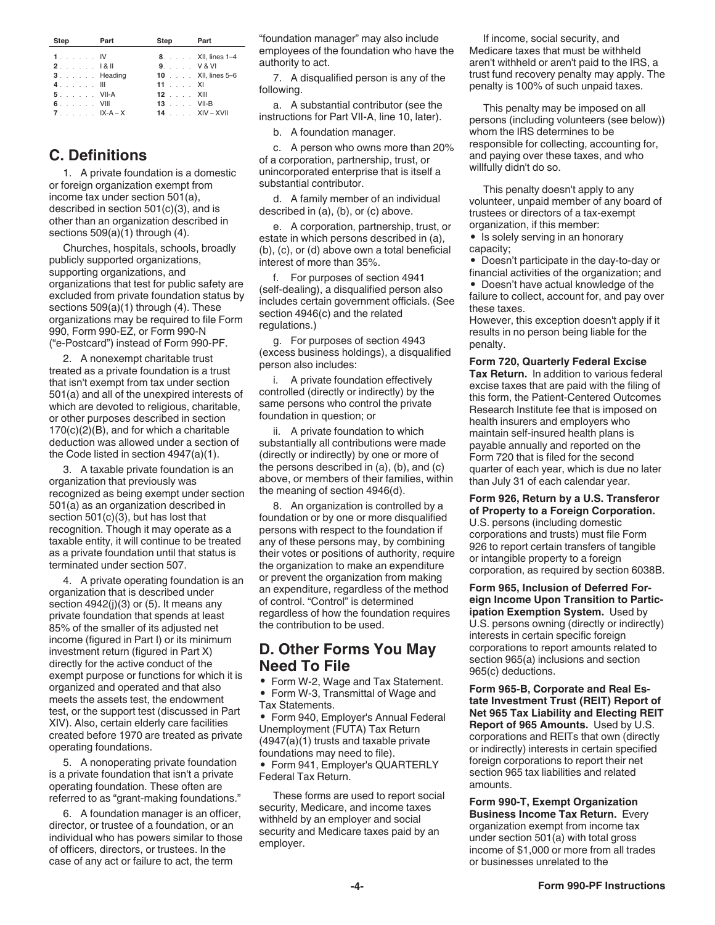<span id="page-3-0"></span>

| Step                 | Part | Step                     | Part                     |
|----------------------|------|--------------------------|--------------------------|
| 1. IV                |      |                          | 8. XII, lines 1-4        |
| 2.7.7.7.18           |      | $9. \ldots$ V&VI         |                          |
| 3. Heading           |      |                          | <b>10</b> XII. lines 5–6 |
| 4. III               |      | 11 $\ldots$ XI           |                          |
| 5. VII-A             |      | $12 \ldots$ XIII         |                          |
| $6.0001$ . $1.0001$  |      | $13$ VII-B               |                          |
| $7.7.7.7.1$ $1X-A-X$ |      | $14$ $\ldots$ XIV – XVII |                          |

### **C. Definitions**

1. A private foundation is a domestic or foreign organization exempt from income tax under section 501(a), described in section 501(c)(3), and is other than an organization described in sections 509(a)(1) through (4).

Churches, hospitals, schools, broadly publicly supported organizations, supporting organizations, and organizations that test for public safety are excluded from private foundation status by sections 509(a)(1) through (4). These organizations may be required to file Form 990, Form 990-EZ, or Form 990-N ("e-Postcard") instead of Form 990-PF.

2. A nonexempt charitable trust treated as a private foundation is a trust that isn't exempt from tax under section 501(a) and all of the unexpired interests of which are devoted to religious, charitable, or other purposes described in section 170(c)(2)(B), and for which a charitable deduction was allowed under a section of the Code listed in section 4947(a)(1).

3. A taxable private foundation is an organization that previously was recognized as being exempt under section 501(a) as an organization described in section 501(c)(3), but has lost that recognition. Though it may operate as a taxable entity, it will continue to be treated as a private foundation until that status is terminated under section 507.

4. A private operating foundation is an organization that is described under section  $4942(j)(3)$  or (5). It means any private foundation that spends at least 85% of the smaller of its adjusted net income (figured in Part I) or its minimum investment return (figured in Part X) directly for the active conduct of the exempt purpose or functions for which it is organized and operated and that also meets the assets test, the endowment test, or the support test (discussed in Part XIV). Also, certain elderly care facilities created before 1970 are treated as private operating foundations.

5. A nonoperating private foundation is a private foundation that isn't a private operating foundation. These often are referred to as "grant-making foundations."

6. A foundation manager is an officer, director, or trustee of a foundation, or an individual who has powers similar to those of officers, directors, or trustees. In the case of any act or failure to act, the term

"foundation manager" may also include employees of the foundation who have the authority to act.

7. A disqualified person is any of the following.

a. A substantial contributor (see the instructions for Part VII-A, line 10, later).

b. A foundation manager.

c. A person who owns more than 20% of a corporation, partnership, trust, or unincorporated enterprise that is itself a substantial contributor.

d. A family member of an individual described in (a), (b), or (c) above.

e. A corporation, partnership, trust, or estate in which persons described in (a), (b), (c), or (d) above own a total beneficial interest of more than 35%.

f. For purposes of section 4941 (self-dealing), a disqualified person also includes certain government officials. (See section 4946(c) and the related regulations.)

g. For purposes of section 4943 (excess business holdings), a disqualified person also includes:

i. A private foundation effectively controlled (directly or indirectly) by the same persons who control the private foundation in question; or

ii. A private foundation to which substantially all contributions were made (directly or indirectly) by one or more of the persons described in (a), (b), and (c) above, or members of their families, within the meaning of section 4946(d).

8. An organization is controlled by a foundation or by one or more disqualified persons with respect to the foundation if any of these persons may, by combining their votes or positions of authority, require the organization to make an expenditure or prevent the organization from making an expenditure, regardless of the method of control. "Control" is determined regardless of how the foundation requires the contribution to be used.

### **D. Other Forms You May Need To File**

• Form W-2, Wage and Tax Statement.

• Form W-3, Transmittal of Wage and Tax Statements.

• Form 940, Employer's Annual Federal Unemployment (FUTA) Tax Return (4947(a)(1) trusts and taxable private foundations may need to file).

• Form 941, Employer's QUARTERLY Federal Tax Return.

These forms are used to report social security, Medicare, and income taxes withheld by an employer and social security and Medicare taxes paid by an employer.

If income, social security, and Medicare taxes that must be withheld aren't withheld or aren't paid to the IRS, a trust fund recovery penalty may apply. The penalty is 100% of such unpaid taxes.

This penalty may be imposed on all persons (including volunteers (see below)) whom the IRS determines to be responsible for collecting, accounting for, and paying over these taxes, and who willfully didn't do so.

This penalty doesn't apply to any volunteer, unpaid member of any board of trustees or directors of a tax-exempt organization, if this member:

• Is solely serving in an honorary capacity;

• Doesn't participate in the day-to-day or financial activities of the organization; and

• Doesn't have actual knowledge of the failure to collect, account for, and pay over these taxes.

However, this exception doesn't apply if it results in no person being liable for the penalty.

**Form 720, Quarterly Federal Excise** 

**Tax Return.** In addition to various federal excise taxes that are paid with the filing of this form, the Patient-Centered Outcomes Research Institute fee that is imposed on health insurers and employers who maintain self-insured health plans is payable annually and reported on the Form 720 that is filed for the second quarter of each year, which is due no later than July 31 of each calendar year.

#### **Form 926, Return by a U.S. Transferor of Property to a Foreign Corporation.**

U.S. persons (including domestic corporations and trusts) must file Form 926 to report certain transfers of tangible or intangible property to a foreign corporation, as required by section 6038B.

**Form 965, Inclusion of Deferred Foreign Income Upon Transition to Participation Exemption System.** Used by U.S. persons owning (directly or indirectly) interests in certain specific foreign corporations to report amounts related to section 965(a) inclusions and section 965(c) deductions.

**Form 965-B, Corporate and Real Estate Investment Trust (REIT) Report of Net 965 Tax Liability and Electing REIT Report of 965 Amounts.** Used by U.S. corporations and REITs that own (directly or indirectly) interests in certain specified foreign corporations to report their net section 965 tax liabilities and related amounts.

**Form 990-T, Exempt Organization Business Income Tax Return.** Every organization exempt from income tax under section 501(a) with total gross income of \$1,000 or more from all trades or businesses unrelated to the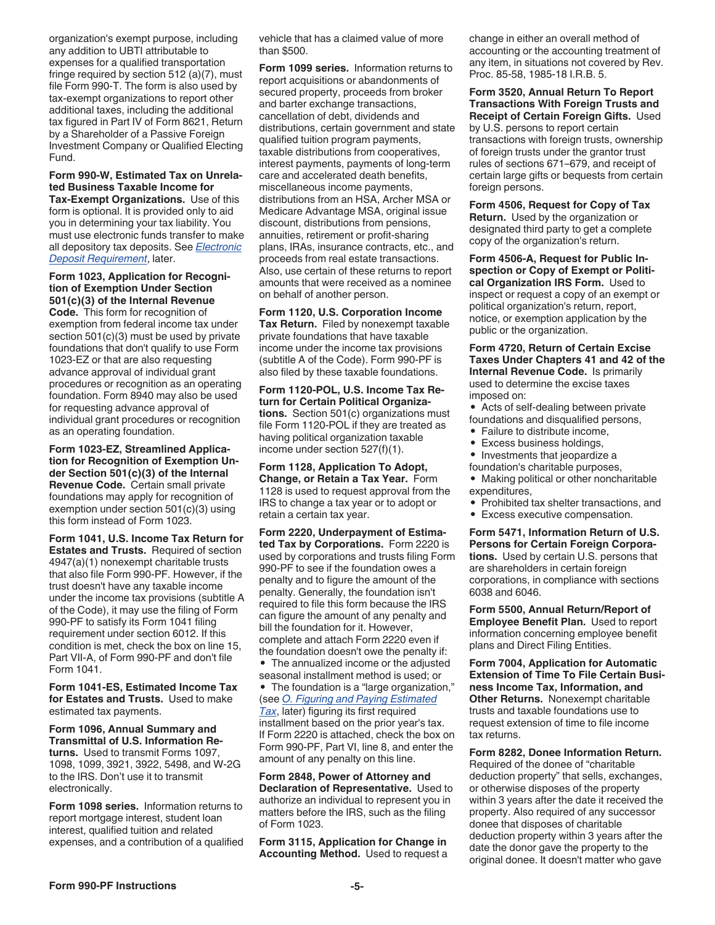organization's exempt purpose, including any addition to UBTI attributable to expenses for a qualified transportation fringe required by section 512 (a)(7), must file Form 990-T. The form is also used by tax-exempt organizations to report other additional taxes, including the additional tax figured in Part IV of Form 8621, Return by a Shareholder of a Passive Foreign Investment Company or Qualified Electing Fund.

#### **Form 990-W, Estimated Tax on Unrelated Business Taxable Income for**

**Tax-Exempt Organizations.** Use of this form is optional. It is provided only to aid you in determining your tax liability. You must use electronic funds transfer to make all depository tax deposits. See *[Electronic](#page-8-0) [Deposit Requirement](#page-8-0)*, later.

**Form 1023, Application for Recognition of Exemption Under Section 501(c)(3) of the Internal Revenue Code.** This form for recognition of exemption from federal income tax under section 501(c)(3) must be used by private foundations that don't qualify to use Form 1023-EZ or that are also requesting advance approval of individual grant procedures or recognition as an operating foundation. Form 8940 may also be used for requesting advance approval of individual grant procedures or recognition as an operating foundation.

**Form 1023-EZ, Streamlined Application for Recognition of Exemption Under Section 501(c)(3) of the Internal Revenue Code.** Certain small private foundations may apply for recognition of exemption under section 501(c)(3) using this form instead of Form 1023.

**Form 1041, U.S. Income Tax Return for Estates and Trusts.** Required of section 4947(a)(1) nonexempt charitable trusts that also file Form 990-PF. However, if the trust doesn't have any taxable income under the income tax provisions (subtitle A of the Code), it may use the filing of Form 990-PF to satisfy its Form 1041 filing requirement under section 6012. If this condition is met, check the box on line 15, Part VII-A, of Form 990-PF and don't file Form 1041.

**Form 1041-ES, Estimated Income Tax for Estates and Trusts.** Used to make estimated tax payments.

**Form 1096, Annual Summary and Transmittal of U.S. Information Returns.** Used to transmit Forms 1097, 1098, 1099, 3921, 3922, 5498, and W-2G to the IRS. Don't use it to transmit electronically.

**Form 1098 series.** Information returns to report mortgage interest, student loan interest, qualified tuition and related expenses, and a contribution of a qualified vehicle that has a claimed value of more than \$500.

**Form 1099 series.** Information returns to report acquisitions or abandonments of secured property, proceeds from broker and barter exchange transactions, cancellation of debt, dividends and distributions, certain government and state qualified tuition program payments, taxable distributions from cooperatives, interest payments, payments of long-term care and accelerated death benefits, miscellaneous income payments, distributions from an HSA, Archer MSA or Medicare Advantage MSA, original issue discount, distributions from pensions, annuities, retirement or profit-sharing plans, IRAs, insurance contracts, etc., and proceeds from real estate transactions. Also, use certain of these returns to report amounts that were received as a nominee on behalf of another person.

**Form 1120, U.S. Corporation Income Tax Return.** Filed by nonexempt taxable private foundations that have taxable income under the income tax provisions (subtitle A of the Code). Form 990-PF is also filed by these taxable foundations.

**Form 1120-POL, U.S. Income Tax Return for Certain Political Organizations.** Section 501(c) organizations must file Form 1120-POL if they are treated as having political organization taxable income under section 527(f)(1).

**Form 1128, Application To Adopt, Change, or Retain a Tax Year.** Form 1128 is used to request approval from the IRS to change a tax year or to adopt or retain a certain tax year.

**Form 2220, Underpayment of Estimated Tax by Corporations.** Form 2220 is used by corporations and trusts filing Form 990-PF to see if the foundation owes a penalty and to figure the amount of the penalty. Generally, the foundation isn't required to file this form because the IRS can figure the amount of any penalty and bill the foundation for it. However, complete and attach Form 2220 even if the foundation doesn't owe the penalty if:

• The annualized income or the adjusted seasonal installment method is used; or

• The foundation is a "large organization," (see *[O. Figuring and Paying Estimated](#page-7-0) [Tax](#page-7-0)*, later) figuring its first required installment based on the prior year's tax. If Form 2220 is attached, check the box on Form 990-PF, Part VI, line 8, and enter the amount of any penalty on this line.

**Form 2848, Power of Attorney and Declaration of Representative.** Used to authorize an individual to represent you in matters before the IRS, such as the filing of Form 1023.

**Form 3115, Application for Change in Accounting Method.** Used to request a change in either an overall method of accounting or the accounting treatment of any item, in situations not covered by Rev. Proc. 85-58, 1985-18 I.R.B. 5.

**Form 3520, Annual Return To Report Transactions With Foreign Trusts and Receipt of Certain Foreign Gifts.** Used by U.S. persons to report certain transactions with foreign trusts, ownership of foreign trusts under the grantor trust rules of sections 671–679, and receipt of certain large gifts or bequests from certain foreign persons.

**Form 4506, Request for Copy of Tax Return.** Used by the organization or designated third party to get a complete copy of the organization's return.

**Form 4506-A, Request for Public Inspection or Copy of Exempt or Political Organization IRS Form.** Used to inspect or request a copy of an exempt or political organization's return, report, notice, or exemption application by the public or the organization.

**Form 4720, Return of Certain Excise Taxes Under Chapters 41 and 42 of the Internal Revenue Code.** Is primarily used to determine the excise taxes imposed on:

- Acts of self-dealing between private foundations and disqualified persons,
- Failure to distribute income,
- Excess business holdings,
- Investments that jeopardize a
- foundation's charitable purposes,
- Making political or other noncharitable expenditures,
- Prohibited tax shelter transactions, and
- Excess executive compensation.

**Form 5471, Information Return of U.S. Persons for Certain Foreign Corporations.** Used by certain U.S. persons that are shareholders in certain foreign corporations, in compliance with sections 6038 and 6046.

**Form 5500, Annual Return/Report of Employee Benefit Plan.** Used to report information concerning employee benefit plans and Direct Filing Entities.

**Form 7004, Application for Automatic Extension of Time To File Certain Business Income Tax, Information, and Other Returns.** Nonexempt charitable trusts and taxable foundations use to request extension of time to file income tax returns.

**Form 8282, Donee Information Return.**  Required of the donee of "charitable deduction property" that sells, exchanges, or otherwise disposes of the property within 3 years after the date it received the property. Also required of any successor donee that disposes of charitable deduction property within 3 years after the date the donor gave the property to the original donee. It doesn't matter who gave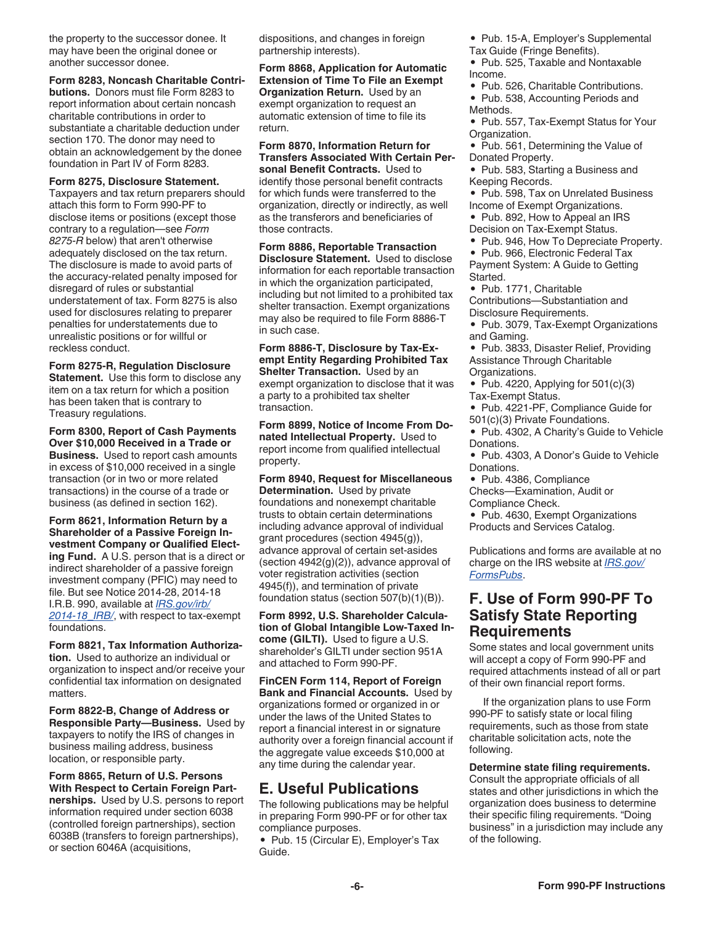<span id="page-5-0"></span>the property to the successor donee. It may have been the original donee or another successor donee.

**Form 8283, Noncash Charitable Contributions.** Donors must file Form 8283 to report information about certain noncash charitable contributions in order to substantiate a charitable deduction under section 170. The donor may need to obtain an acknowledgement by the donee foundation in Part IV of Form 8283.

#### **Form 8275, Disclosure Statement.**

Taxpayers and tax return preparers should attach this form to Form 990-PF to disclose items or positions (except those contrary to a regulation—see *Form 8275-R* below) that aren't otherwise adequately disclosed on the tax return. The disclosure is made to avoid parts of the accuracy-related penalty imposed for disregard of rules or substantial understatement of tax. Form 8275 is also used for disclosures relating to preparer penalties for understatements due to unrealistic positions or for willful or reckless conduct.

**Form 8275-R, Regulation Disclosure Statement.** Use this form to disclose any item on a tax return for which a position has been taken that is contrary to Treasury regulations.

**Form 8300, Report of Cash Payments Over \$10,000 Received in a Trade or Business.** Used to report cash amounts in excess of \$10,000 received in a single transaction (or in two or more related transactions) in the course of a trade or business (as defined in section 162).

**Form 8621, Information Return by a Shareholder of a Passive Foreign Investment Company or Qualified Electing Fund.** A U.S. person that is a direct or indirect shareholder of a passive foreign investment company (PFIC) may need to file. But see Notice 2014-28, 2014-18 I.R.B. 990, available at *[IRS.gov/irb/](https://www.irs.gov/irb/2014-18_IRB/ar01.html#d0e31) [2014-18\\_IRB/](https://www.irs.gov/irb/2014-18_IRB/ar01.html#d0e31)*, with respect to tax-exempt foundations.

**Form 8821, Tax Information Authorization.** Used to authorize an individual or organization to inspect and/or receive your confidential tax information on designated matters.

**Form 8822-B, Change of Address or Responsible Party—Business.** Used by taxpayers to notify the IRS of changes in business mailing address, business location, or responsible party.

**Form 8865, Return of U.S. Persons With Respect to Certain Foreign Partnerships.** Used by U.S. persons to report information required under section 6038 (controlled foreign partnerships), section 6038B (transfers to foreign partnerships), or section 6046A (acquisitions,

dispositions, and changes in foreign partnership interests).

**Form 8868, Application for Automatic Extension of Time To File an Exempt Organization Return.** Used by an exempt organization to request an automatic extension of time to file its return.

**Form 8870, Information Return for Transfers Associated With Certain Personal Benefit Contracts.** Used to identify those personal benefit contracts for which funds were transferred to the organization, directly or indirectly, as well as the transferors and beneficiaries of those contracts.

**Form 8886, Reportable Transaction Disclosure Statement.** Used to disclose information for each reportable transaction in which the organization participated, including but not limited to a prohibited tax shelter transaction. Exempt organizations may also be required to file Form 8886-T in such case.

**Form 8886-T, Disclosure by Tax-Exempt Entity Regarding Prohibited Tax Shelter Transaction.** Used by an exempt organization to disclose that it was a party to a prohibited tax shelter transaction.

**Form 8899, Notice of Income From Donated Intellectual Property.** Used to report income from qualified intellectual property.

**Form 8940, Request for Miscellaneous Determination.** Used by private foundations and nonexempt charitable trusts to obtain certain determinations including advance approval of individual grant procedures (section 4945(g)), advance approval of certain set-asides (section 4942(g)(2)), advance approval of voter registration activities (section 4945(f)), and termination of private foundation status (section 507(b)(1)(B)).

**Form 8992, U.S. Shareholder Calculation of Global Intangible Low-Taxed Income (GILTI).** Used to figure a U.S. shareholder's GILTI under section 951A and attached to Form 990-PF.

**FinCEN Form 114, Report of Foreign Bank and Financial Accounts.** Used by organizations formed or organized in or under the laws of the United States to report a financial interest in or signature authority over a foreign financial account if the aggregate value exceeds \$10,000 at any time during the calendar year.

### **E. Useful Publications**

The following publications may be helpful in preparing Form 990-PF or for other tax compliance purposes.

• Pub. 15 (Circular E), Employer's Tax Guide.

• Pub. 15-A, Employer's Supplemental Tax Guide (Fringe Benefits).

• Pub. 525, Taxable and Nontaxable Income.

- Pub. 526, Charitable Contributions. • Pub. 538, Accounting Periods and Methods.
- Pub. 557, Tax-Exempt Status for Your Organization.
- Pub. 561, Determining the Value of Donated Property.
- Pub. 583, Starting a Business and Keeping Records.
- Pub. 598, Tax on Unrelated Business
- Income of Exempt Organizations.
- Pub. 892, How to Appeal an IRS Decision on Tax-Exempt Status.
- Pub. 946, How To Depreciate Property.

• Pub. 966, Electronic Federal Tax Payment System: A Guide to Getting Started.

- Pub. 1771, Charitable Contributions—Substantiation and Disclosure Requirements.
- Pub. 3079, Tax-Exempt Organizations
- and Gaming. • Pub. 3833, Disaster Relief, Providing
- Assistance Through Charitable Organizations.
- Pub. 4220, Applying for  $501(c)(3)$ Tax-Exempt Status.
- Pub. 4221-PF, Compliance Guide for 501(c)(3) Private Foundations.
- Pub. 4302, A Charity's Guide to Vehicle
- Donations. • Pub. 4303, A Donor's Guide to Vehicle Donations.
- Pub. 4386, Compliance
- Checks—Examination, Audit or Compliance Check.
- Pub. 4630, Exempt Organizations Products and Services Catalog.

Publications and forms are available at no charge on the IRS website at *[IRS.gov/](https://www.irs.gov/forms-pubs) [FormsPubs](https://www.irs.gov/forms-pubs)*.

### **F. Use of Form 990-PF To Satisfy State Reporting Requirements**

Some states and local government units will accept a copy of Form 990-PF and required attachments instead of all or part of their own financial report forms.

If the organization plans to use Form 990-PF to satisfy state or local filing requirements, such as those from state charitable solicitation acts, note the following.

#### **Determine state filing requirements.**

Consult the appropriate officials of all states and other jurisdictions in which the organization does business to determine their specific filing requirements. "Doing business" in a jurisdiction may include any of the following.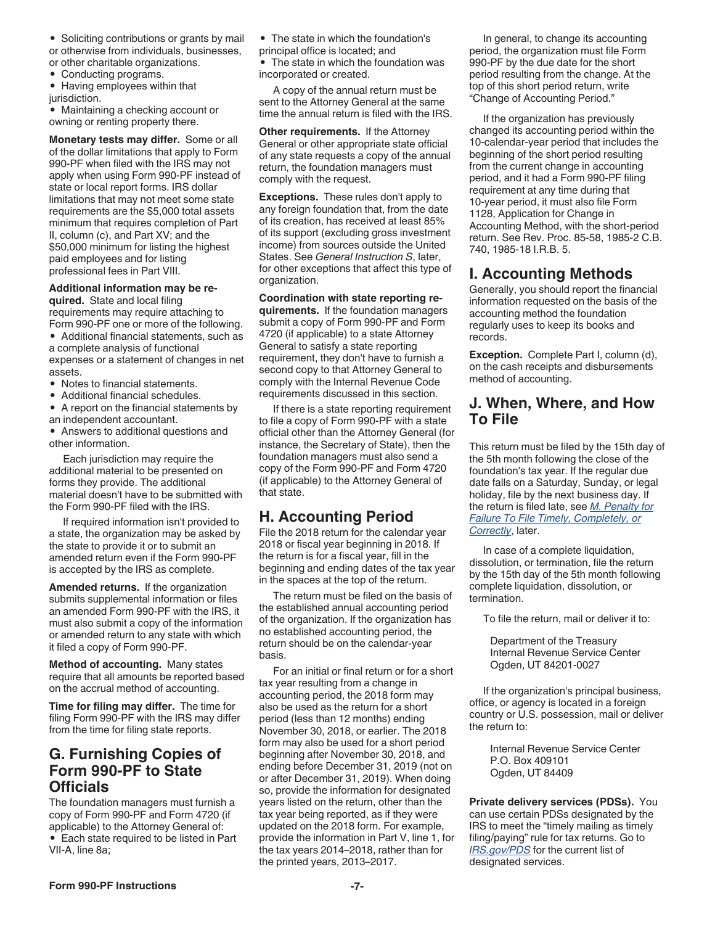- <span id="page-6-0"></span>• Soliciting contributions or grants by mail or otherwise from individuals, businesses, or other charitable organizations.
- Conducting programs.
- Having employees within that

jurisdiction. • Maintaining a checking account or owning or renting property there.

**Monetary tests may differ.** Some or all of the dollar limitations that apply to Form 990-PF when filed with the IRS may not apply when using Form 990-PF instead of state or local report forms. IRS dollar limitations that may not meet some state requirements are the \$5,000 total assets minimum that requires completion of Part II, column (c), and Part XV; and the \$50,000 minimum for listing the highest paid employees and for listing professional fees in Part VIII.

#### **Additional information may be required.** State and local filing

requirements may require attaching to Form 990-PF one or more of the following.

• Additional financial statements, such as a complete analysis of functional expenses or a statement of changes in net assets.

- Notes to financial statements.
- Additional financial schedules.
- A report on the financial statements by an independent accountant.
- Answers to additional questions and other information.

Each jurisdiction may require the additional material to be presented on forms they provide. The additional material doesn't have to be submitted with the Form 990-PF filed with the IRS.

If required information isn't provided to a state, the organization may be asked by the state to provide it or to submit an amended return even if the Form 990-PF is accepted by the IRS as complete.

**Amended returns.** If the organization submits supplemental information or files an amended Form 990-PF with the IRS, it must also submit a copy of the information or amended return to any state with which it filed a copy of Form 990-PF.

**Method of accounting.** Many states require that all amounts be reported based on the accrual method of accounting.

**Time for filing may differ.** The time for filing Form 990-PF with the IRS may differ from the time for filing state reports.

### **G. Furnishing Copies of Form 990-PF to State Officials**

The foundation managers must furnish a copy of Form 990-PF and Form 4720 (if applicable) to the Attorney General of: • Each state required to be listed in Part VII-A, line 8a;

• The state in which the foundation's principal office is located; and

The state in which the foundation was incorporated or created.

A copy of the annual return must be sent to the Attorney General at the same time the annual return is filed with the IRS.

**Other requirements.** If the Attorney General or other appropriate state official of any state requests a copy of the annual return, the foundation managers must comply with the request.

**Exceptions.** These rules don't apply to any foreign foundation that, from the date of its creation, has received at least 85% of its support (excluding gross investment income) from sources outside the United States. See *General Instruction S*, later, for other exceptions that affect this type of organization.

**Coordination with state reporting requirements.** If the foundation managers submit a copy of Form 990-PF and Form 4720 (if applicable) to a state Attorney General to satisfy a state reporting requirement, they don't have to furnish a second copy to that Attorney General to comply with the Internal Revenue Code requirements discussed in this section.

If there is a state reporting requirement to file a copy of Form 990-PF with a state official other than the Attorney General (for instance, the Secretary of State), then the foundation managers must also send a copy of the Form 990-PF and Form 4720 (if applicable) to the Attorney General of that state.

### **H. Accounting Period**

File the 2018 return for the calendar year 2018 or fiscal year beginning in 2018. If the return is for a fiscal year, fill in the beginning and ending dates of the tax year in the spaces at the top of the return.

The return must be filed on the basis of the established annual accounting period of the organization. If the organization has no established accounting period, the return should be on the calendar-year basis.

For an initial or final return or for a short tax year resulting from a change in accounting period, the 2018 form may also be used as the return for a short period (less than 12 months) ending November 30, 2018, or earlier. The 2018 form may also be used for a short period beginning after November 30, 2018, and ending before December 31, 2019 (not on or after December 31, 2019). When doing so, provide the information for designated years listed on the return, other than the tax year being reported, as if they were updated on the 2018 form. For example, provide the information in Part V, line 1, for the tax years 2014–2018, rather than for the printed years, 2013–2017.

In general, to change its accounting period, the organization must file Form 990-PF by the due date for the short period resulting from the change. At the top of this short period return, write "Change of Accounting Period."

If the organization has previously changed its accounting period within the 10-calendar-year period that includes the beginning of the short period resulting from the current change in accounting period, and it had a Form 990-PF filing requirement at any time during that 10-year period, it must also file Form 1128, Application for Change in Accounting Method, with the short-period return. See Rev. Proc. 85-58, 1985-2 C.B. 740, 1985-18 I.R.B. 5.

### **I. Accounting Methods**

Generally, you should report the financial information requested on the basis of the accounting method the foundation regularly uses to keep its books and records.

**Exception.** Complete Part I, column (d), on the cash receipts and disbursements method of accounting.

### **J. When, Where, and How To File**

This return must be filed by the 15th day of the 5th month following the close of the foundation's tax year. If the regular due date falls on a Saturday, Sunday, or legal holiday, file by the next business day. If the return is filed late, see *[M. Penalty for](#page-7-0)  [Failure To File Timely, Completely, or](#page-7-0) [Correctly](#page-7-0)*, later.

In case of a complete liquidation, dissolution, or termination, file the return by the 15th day of the 5th month following complete liquidation, dissolution, or termination.

To file the return, mail or deliver it to:

Department of the Treasury Internal Revenue Service Center Ogden, UT 84201-0027

If the organization's principal business, office, or agency is located in a foreign country or U.S. possession, mail or deliver the return to:

Internal Revenue Service Center P.O. Box 409101 Ogden, UT 84409

**Private delivery services (PDSs).** You can use certain PDSs designated by the IRS to meet the "timely mailing as timely filing/paying" rule for tax returns. Go to *[IRS.gov/PDS](https://www.irs.gov/uac/private-delivery-services-pds)* for the current list of designated services.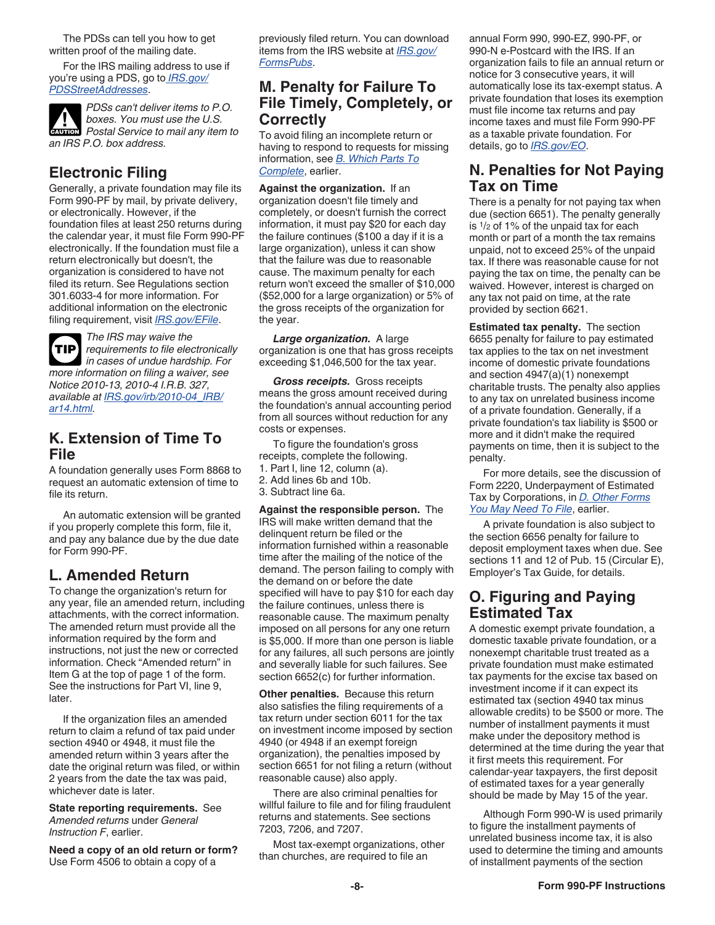<span id="page-7-0"></span>The PDSs can tell you how to get written proof of the mailing date.

For the IRS mailing address to use if you're using a PDS, go to *[IRS.gov/](https://www.irs.gov/uac/submission-processing-center-street-addresses-for-private-delivery-service-pds) [PDSStreetAddresses](https://www.irs.gov/uac/submission-processing-center-street-addresses-for-private-delivery-service-pds)*.



*PDSs can't deliver items to P.O. boxes. You must use the U.S.*  **Postal Service to mail any item to** *an IRS P.O. box address.*

### **Electronic Filing**

Generally, a private foundation may file its Form 990-PF by mail, by private delivery, or electronically. However, if the foundation files at least 250 returns during the calendar year, it must file Form 990-PF electronically. If the foundation must file a return electronically but doesn't, the organization is considered to have not filed its return. See Regulations section 301.6033-4 for more information. For additional information on the electronic filing requirement, visit *[IRS.gov/EFile](https://www.irs.gov/efile)*.

*The IRS may waive the requirements to file electronically in cases of undue hardship. For more information on filing a waiver, see Notice 2010-13, 2010-4 I.R.B. 327, available at [IRS.gov/irb/2010-04\\_IRB/](https://www.irs.gov/irb/2010-04_IRB/ar14.html) [ar14.html](https://www.irs.gov/irb/2010-04_IRB/ar14.html).* **TIP**

### **K. Extension of Time To File**

A foundation generally uses Form 8868 to request an automatic extension of time to file its return.

An automatic extension will be granted if you properly complete this form, file it, and pay any balance due by the due date for Form 990-PF.

### **L. Amended Return**

To change the organization's return for any year, file an amended return, including attachments, with the correct information. The amended return must provide all the information required by the form and instructions, not just the new or corrected information. Check "Amended return" in Item G at the top of page 1 of the form. See the instructions for Part VI, line 9, later.

If the organization files an amended return to claim a refund of tax paid under section 4940 or 4948, it must file the amended return within 3 years after the date the original return was filed, or within 2 years from the date the tax was paid, whichever date is later.

**State reporting requirements.** See *Amended returns* under *General Instruction F*, earlier.

**Need a copy of an old return or form?** Use Form 4506 to obtain a copy of a

previously filed return. You can download items from the IRS website at *[IRS.gov/](https://www.irs.gov/forms-pubs) [FormsPubs](https://www.irs.gov/forms-pubs)*.

### **M. Penalty for Failure To File Timely, Completely, or Correctly**

To avoid filing an incomplete return or having to respond to requests for missing information, see *[B. Which Parts To](#page-1-0) [Complete](#page-1-0)*, earlier.

**Against the organization.** If an organization doesn't file timely and completely, or doesn't furnish the correct information, it must pay \$20 for each day the failure continues (\$100 a day if it is a large organization), unless it can show that the failure was due to reasonable cause. The maximum penalty for each return won't exceed the smaller of \$10,000 (\$52,000 for a large organization) or 5% of the gross receipts of the organization for the year.

*Large organization.* A large organization is one that has gross receipts exceeding \$1,046,500 for the tax year.

*Gross receipts.* Gross receipts means the gross amount received during the foundation's annual accounting period from all sources without reduction for any costs or expenses.

To figure the foundation's gross receipts, complete the following. 1. Part I, line 12, column (a). 2. Add lines 6b and 10b.

3. Subtract line 6a.

**Against the responsible person.** The IRS will make written demand that the delinquent return be filed or the information furnished within a reasonable time after the mailing of the notice of the demand. The person failing to comply with the demand on or before the date specified will have to pay \$10 for each day the failure continues, unless there is reasonable cause. The maximum penalty imposed on all persons for any one return is \$5,000. If more than one person is liable for any failures, all such persons are jointly and severally liable for such failures. See section 6652(c) for further information.

**Other penalties.** Because this return also satisfies the filing requirements of a tax return under section 6011 for the tax on investment income imposed by section 4940 (or 4948 if an exempt foreign organization), the penalties imposed by section 6651 for not filing a return (without reasonable cause) also apply.

There are also criminal penalties for willful failure to file and for filing fraudulent returns and statements. See sections 7203, 7206, and 7207.

Most tax-exempt organizations, other than churches, are required to file an

annual Form 990, 990-EZ, 990-PF, or 990-N e-Postcard with the IRS. If an organization fails to file an annual return or notice for 3 consecutive years, it will automatically lose its tax-exempt status. A private foundation that loses its exemption must file income tax returns and pay income taxes and must file Form 990-PF as a taxable private foundation. For details, go to *[IRS.gov/EO](https://www.irs.gov/eo)*.

### **N. Penalties for Not Paying Tax on Time**

There is a penalty for not paying tax when due (section 6651). The penalty generally is 1/2 of 1% of the unpaid tax for each month or part of a month the tax remains unpaid, not to exceed 25% of the unpaid tax. If there was reasonable cause for not paying the tax on time, the penalty can be waived. However, interest is charged on any tax not paid on time, at the rate provided by section 6621.

**Estimated tax penalty.** The section 6655 penalty for failure to pay estimated tax applies to the tax on net investment income of domestic private foundations and section 4947(a)(1) nonexempt charitable trusts. The penalty also applies to any tax on unrelated business income of a private foundation. Generally, if a private foundation's tax liability is \$500 or more and it didn't make the required payments on time, then it is subject to the penalty.

For more details, see the discussion of Form 2220, Underpayment of Estimated Tax by Corporations, in *[D. Other Forms](#page-3-0) [You May Need To File](#page-3-0)*, earlier.

A private foundation is also subject to the section 6656 penalty for failure to deposit employment taxes when due. See sections 11 and 12 of Pub. 15 (Circular E), Employer's Tax Guide, for details.

### **O. Figuring and Paying Estimated Tax**

A domestic exempt private foundation, a domestic taxable private foundation, or a nonexempt charitable trust treated as a private foundation must make estimated tax payments for the excise tax based on investment income if it can expect its estimated tax (section 4940 tax minus allowable credits) to be \$500 or more. The number of installment payments it must make under the depository method is determined at the time during the year that it first meets this requirement. For calendar-year taxpayers, the first deposit of estimated taxes for a year generally should be made by May 15 of the year.

Although Form 990-W is used primarily to figure the installment payments of unrelated business income tax, it is also used to determine the timing and amounts of installment payments of the section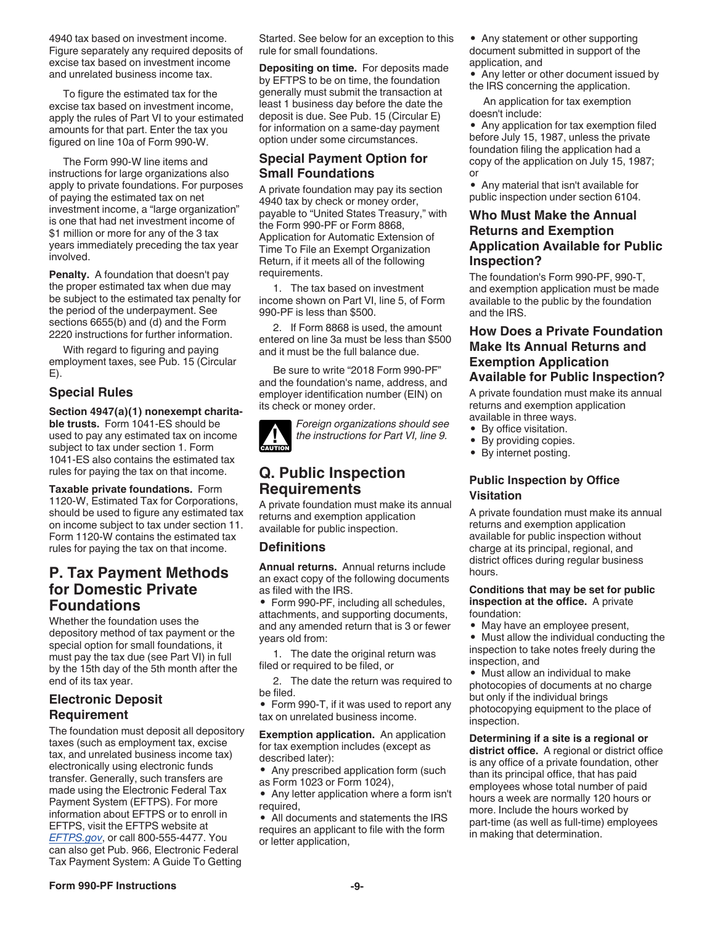<span id="page-8-0"></span>4940 tax based on investment income. Figure separately any required deposits of excise tax based on investment income and unrelated business income tax.

To figure the estimated tax for the excise tax based on investment income, apply the rules of Part VI to your estimated amounts for that part. Enter the tax you figured on line 10a of Form 990-W.

The Form 990-W line items and instructions for large organizations also apply to private foundations. For purposes of paying the estimated tax on net investment income, a "large organization" is one that had net investment income of \$1 million or more for any of the 3 tax years immediately preceding the tax year involved.

**Penalty.** A foundation that doesn't pay the proper estimated tax when due may be subject to the estimated tax penalty for the period of the underpayment. See sections 6655(b) and (d) and the Form 2220 instructions for further information.

With regard to figuring and paying employment taxes, see Pub. 15 (Circular E).

### **Special Rules**

**Section 4947(a)(1) nonexempt charitable trusts.** Form 1041-ES should be used to pay any estimated tax on income subject to tax under section 1. Form 1041-ES also contains the estimated tax rules for paying the tax on that income.

**Taxable private foundations.** Form 1120-W, Estimated Tax for Corporations, should be used to figure any estimated tax on income subject to tax under section 11. Form 1120-W contains the estimated tax rules for paying the tax on that income.

### **P. Tax Payment Methods for Domestic Private Foundations**

Whether the foundation uses the depository method of tax payment or the special option for small foundations, it must pay the tax due (see Part VI) in full by the 15th day of the 5th month after the end of its tax year.

### **Electronic Deposit Requirement**

The foundation must deposit all depository taxes (such as employment tax, excise tax, and unrelated business income tax) electronically using electronic funds transfer. Generally, such transfers are made using the Electronic Federal Tax Payment System (EFTPS). For more information about EFTPS or to enroll in EFTPS, visit the EFTPS website at *[EFTPS.gov](https://www.eftps.gov)*, or call 800-555-4477. You can also get Pub. 966, Electronic Federal Tax Payment System: A Guide To Getting

Started. See below for an exception to this rule for small foundations.

**Depositing on time.** For deposits made by EFTPS to be on time, the foundation generally must submit the transaction at least 1 business day before the date the deposit is due. See Pub. 15 (Circular E) for information on a same-day payment option under some circumstances.

### **Special Payment Option for Small Foundations**

A private foundation may pay its section 4940 tax by check or money order, payable to "United States Treasury," with the Form 990-PF or Form 8868, Application for Automatic Extension of Time To File an Exempt Organization Return, if it meets all of the following requirements.

1. The tax based on investment income shown on Part VI, line 5, of Form 990-PF is less than \$500.

2. If Form 8868 is used, the amount entered on line 3a must be less than \$500 and it must be the full balance due.

Be sure to write "2018 Form 990-PF" and the foundation's name, address, and employer identification number (EIN) on its check or money order.



*Foreign organizations should see the instructions for Part VI, line 9.*

### **Q. Public Inspection Requirements**

A private foundation must make its annual returns and exemption application available for public inspection.

#### **Definitions**

**Annual returns.** Annual returns include an exact copy of the following documents as filed with the IRS.

• Form 990-PF, including all schedules, attachments, and supporting documents, and any amended return that is 3 or fewer years old from:

1. The date the original return was filed or required to be filed, or

2. The date the return was required to be filed.

• Form 990-T, if it was used to report any tax on unrelated business income.

**Exemption application.** An application for tax exemption includes (except as described later):

• Any prescribed application form (such as Form 1023 or Form 1024),

• Any letter application where a form isn't required,

• All documents and statements the IRS requires an applicant to file with the form or letter application,

• Any statement or other supporting document submitted in support of the application, and

• Any letter or other document issued by the IRS concerning the application.

An application for tax exemption doesn't include:

• Any application for tax exemption filed before July 15, 1987, unless the private foundation filing the application had a copy of the application on July 15, 1987; or

• Any material that isn't available for public inspection under section 6104.

### **Who Must Make the Annual Returns and Exemption Application Available for Public Inspection?**

The foundation's Form 990-PF, 990-T, and exemption application must be made available to the public by the foundation and the IRS.

#### **How Does a Private Foundation Make Its Annual Returns and Exemption Application Available for Public Inspection?**

A private foundation must make its annual returns and exemption application available in three ways.

- By office visitation.
- By providing copies.
- By internet posting.

#### **Public Inspection by Office Visitation**

A private foundation must make its annual returns and exemption application available for public inspection without charge at its principal, regional, and district offices during regular business hours.

#### **Conditions that may be set for public inspection at the office.** A private foundation:

• May have an employee present,

• Must allow the individual conducting the inspection to take notes freely during the inspection, and

• Must allow an individual to make photocopies of documents at no charge but only if the individual brings photocopying equipment to the place of inspection.

**Determining if a site is a regional or district office.** A regional or district office is any office of a private foundation, other than its principal office, that has paid employees whose total number of paid hours a week are normally 120 hours or more. Include the hours worked by part-time (as well as full-time) employees in making that determination.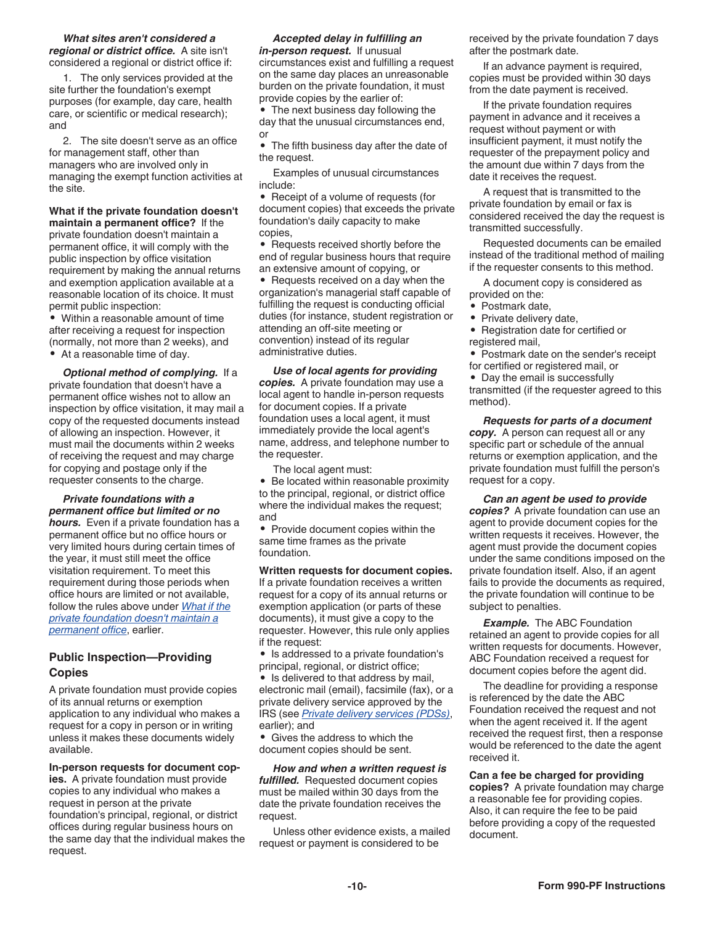#### *What sites aren't considered a regional or district office.* A site isn't

considered a regional or district office if:

1. The only services provided at the site further the foundation's exempt purposes (for example, day care, health care, or scientific or medical research); and

2. The site doesn't serve as an office for management staff, other than managers who are involved only in managing the exempt function activities at the site.

#### **What if the private foundation doesn't maintain a permanent office?** If the

private foundation doesn't maintain a permanent office, it will comply with the public inspection by office visitation requirement by making the annual returns and exemption application available at a reasonable location of its choice. It must permit public inspection:

• Within a reasonable amount of time after receiving a request for inspection (normally, not more than 2 weeks), and

• At a reasonable time of day.

*Optional method of complying.* If a private foundation that doesn't have a permanent office wishes not to allow an inspection by office visitation, it may mail a copy of the requested documents instead of allowing an inspection. However, it must mail the documents within 2 weeks of receiving the request and may charge for copying and postage only if the requester consents to the charge.

*Private foundations with a permanent office but limited or no hours.* Even if a private foundation has a permanent office but no office hours or very limited hours during certain times of the year, it must still meet the office visitation requirement. To meet this requirement during those periods when office hours are limited or not available, follow the rules above under *What if the private foundation doesn't maintain a permanent office*, earlier.

#### **Public Inspection—Providing Copies**

A private foundation must provide copies of its annual returns or exemption application to any individual who makes a request for a copy in person or in writing unless it makes these documents widely available.

**In-person requests for document copies.** A private foundation must provide copies to any individual who makes a request in person at the private foundation's principal, regional, or district offices during regular business hours on the same day that the individual makes the request.

### *Accepted delay in fulfilling an*

*in-person request.* If unusual circumstances exist and fulfilling a request on the same day places an unreasonable burden on the private foundation, it must provide copies by the earlier of:

• The next business day following the day that the unusual circumstances end, or

• The fifth business day after the date of the request.

Examples of unusual circumstances include:

• Receipt of a volume of requests (for document copies) that exceeds the private foundation's daily capacity to make copies,

• Requests received shortly before the end of regular business hours that require an extensive amount of copying, or

• Requests received on a day when the organization's managerial staff capable of fulfilling the request is conducting official duties (for instance, student registration or attending an off-site meeting or convention) instead of its regular administrative duties.

*Use of local agents for providing copies.* A private foundation may use a local agent to handle in-person requests for document copies. If a private foundation uses a local agent, it must immediately provide the local agent's name, address, and telephone number to the requester.

The local agent must:

• Be located within reasonable proximity to the principal, regional, or district office where the individual makes the request; and

• Provide document copies within the same time frames as the private foundation.

#### **Written requests for document copies.**

If a private foundation receives a written request for a copy of its annual returns or exemption application (or parts of these documents), it must give a copy to the requester. However, this rule only applies if the request:

• Is addressed to a private foundation's principal, regional, or district office;

• Is delivered to that address by mail, electronic mail (email), facsimile (fax), or a private delivery service approved by the IRS (see *[Private delivery services \(PDSs\)](#page-6-0)*, earlier); and

• Gives the address to which the document copies should be sent.

*How and when a written request is fulfilled.* Requested document copies must be mailed within 30 days from the date the private foundation receives the request.

Unless other evidence exists, a mailed request or payment is considered to be

received by the private foundation 7 days after the postmark date.

If an advance payment is required, copies must be provided within 30 days from the date payment is received.

If the private foundation requires payment in advance and it receives a request without payment or with insufficient payment, it must notify the requester of the prepayment policy and the amount due within 7 days from the date it receives the request.

A request that is transmitted to the private foundation by email or fax is considered received the day the request is transmitted successfully.

Requested documents can be emailed instead of the traditional method of mailing if the requester consents to this method.

A document copy is considered as provided on the:

- Postmark date,
- Private delivery date,
- Registration date for certified or registered mail,
- Postmark date on the sender's receipt
- for certified or registered mail, or

• Day the email is successfully transmitted (if the requester agreed to this method).

#### *Requests for parts of a document copy.* A person can request all or any

specific part or schedule of the annual returns or exemption application, and the private foundation must fulfill the person's request for a copy.

*Can an agent be used to provide copies?* A private foundation can use an agent to provide document copies for the written requests it receives. However, the agent must provide the document copies under the same conditions imposed on the private foundation itself. Also, if an agent fails to provide the documents as required, the private foundation will continue to be subject to penalties.

*Example.* The ABC Foundation retained an agent to provide copies for all written requests for documents. However, ABC Foundation received a request for document copies before the agent did.

The deadline for providing a response is referenced by the date the ABC Foundation received the request and not when the agent received it. If the agent received the request first, then a response would be referenced to the date the agent received it.

**Can a fee be charged for providing copies?** A private foundation may charge a reasonable fee for providing copies. Also, it can require the fee to be paid before providing a copy of the requested document.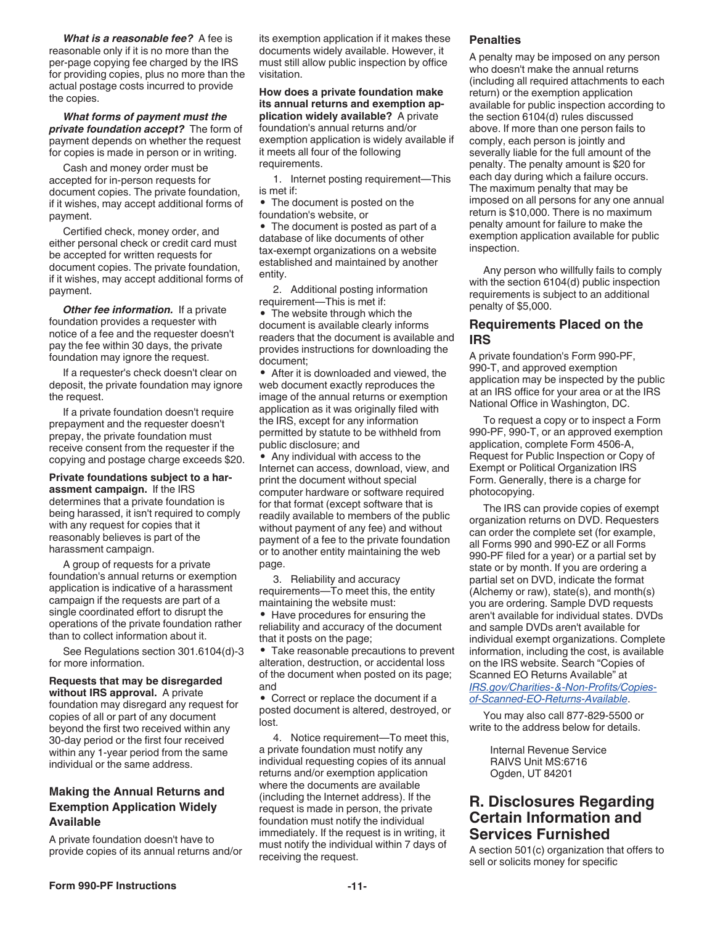<span id="page-10-0"></span>*What is a reasonable fee?* A fee is reasonable only if it is no more than the per-page copying fee charged by the IRS for providing copies, plus no more than the actual postage costs incurred to provide the copies.

*What forms of payment must the private foundation accept?* The form of payment depends on whether the request for copies is made in person or in writing.

Cash and money order must be accepted for in-person requests for document copies. The private foundation, if it wishes, may accept additional forms of payment.

Certified check, money order, and either personal check or credit card must be accepted for written requests for document copies. The private foundation, if it wishes, may accept additional forms of payment.

*Other fee information.* If a private foundation provides a requester with notice of a fee and the requester doesn't pay the fee within 30 days, the private foundation may ignore the request.

If a requester's check doesn't clear on deposit, the private foundation may ignore the request.

If a private foundation doesn't require prepayment and the requester doesn't prepay, the private foundation must receive consent from the requester if the copying and postage charge exceeds \$20.

**Private foundations subject to a harassment campaign.** If the IRS determines that a private foundation is being harassed, it isn't required to comply with any request for copies that it reasonably believes is part of the harassment campaign.

A group of requests for a private foundation's annual returns or exemption application is indicative of a harassment campaign if the requests are part of a single coordinated effort to disrupt the operations of the private foundation rather than to collect information about it.

See Regulations section 301.6104(d)-3 for more information.

#### **Requests that may be disregarded without IRS approval.** A private

foundation may disregard any request for copies of all or part of any document beyond the first two received within any 30-day period or the first four received within any 1-year period from the same individual or the same address.

#### **Making the Annual Returns and Exemption Application Widely Available**

A private foundation doesn't have to provide copies of its annual returns and/or its exemption application if it makes these documents widely available. However, it must still allow public inspection by office visitation.

**How does a private foundation make its annual returns and exemption application widely available?** A private foundation's annual returns and/or exemption application is widely available if it meets all four of the following requirements.

1. Internet posting requirement—This is met if:

• The document is posted on the foundation's website, or

• The document is posted as part of a database of like documents of other tax-exempt organizations on a website established and maintained by another entity.

2. Additional posting information requirement—This is met if:

• The website through which the document is available clearly informs readers that the document is available and provides instructions for downloading the document;

• After it is downloaded and viewed, the web document exactly reproduces the image of the annual returns or exemption application as it was originally filed with the IRS, except for any information permitted by statute to be withheld from public disclosure; and

• Any individual with access to the Internet can access, download, view, and print the document without special computer hardware or software required for that format (except software that is readily available to members of the public without payment of any fee) and without payment of a fee to the private foundation or to another entity maintaining the web page.

3. Reliability and accuracy requirements—To meet this, the entity maintaining the website must:

• Have procedures for ensuring the reliability and accuracy of the document that it posts on the page;

• Take reasonable precautions to prevent alteration, destruction, or accidental loss of the document when posted on its page; and

• Correct or replace the document if a posted document is altered, destroyed, or lost.

4. Notice requirement—To meet this, a private foundation must notify any individual requesting copies of its annual returns and/or exemption application where the documents are available (including the Internet address). If the request is made in person, the private foundation must notify the individual immediately. If the request is in writing, it must notify the individual within 7 days of receiving the request.

#### **Penalties**

A penalty may be imposed on any person who doesn't make the annual returns (including all required attachments to each return) or the exemption application available for public inspection according to the section 6104(d) rules discussed above. If more than one person fails to comply, each person is jointly and severally liable for the full amount of the penalty. The penalty amount is \$20 for each day during which a failure occurs. The maximum penalty that may be imposed on all persons for any one annual return is \$10,000. There is no maximum penalty amount for failure to make the exemption application available for public inspection.

Any person who willfully fails to comply with the section 6104(d) public inspection requirements is subject to an additional penalty of \$5,000.

#### **Requirements Placed on the IRS**

A private foundation's Form 990-PF, 990-T, and approved exemption application may be inspected by the public at an IRS office for your area or at the IRS National Office in Washington, DC.

To request a copy or to inspect a Form 990-PF, 990-T, or an approved exemption application, complete Form 4506-A, Request for Public Inspection or Copy of Exempt or Political Organization IRS Form. Generally, there is a charge for photocopying.

The IRS can provide copies of exempt organization returns on DVD. Requesters can order the complete set (for example, all Forms 990 and 990-EZ or all Forms 990-PF filed for a year) or a partial set by state or by month. If you are ordering a partial set on DVD, indicate the format (Alchemy or raw), state(s), and month(s) you are ordering. Sample DVD requests aren't available for individual states. DVDs and sample DVDs aren't available for individual exempt organizations. Complete information, including the cost, is available on the IRS website. Search "Copies of Scanned EO Returns Available" at *[IRS.gov/Charities-&-Non-Profits/Copies](https://www.irs.gov/Charities-&-Non-Profits/Copies-of-Scanned-EO-Returns-Available)[of-Scanned-EO-Returns-Available](https://www.irs.gov/Charities-&-Non-Profits/Copies-of-Scanned-EO-Returns-Available)*.

You may also call 877-829-5500 or write to the address below for details.

> Internal Revenue Service RAIVS Unit MS:6716 Ogden, UT 84201

### **R. Disclosures Regarding Certain Information and Services Furnished**

A section 501(c) organization that offers to sell or solicits money for specific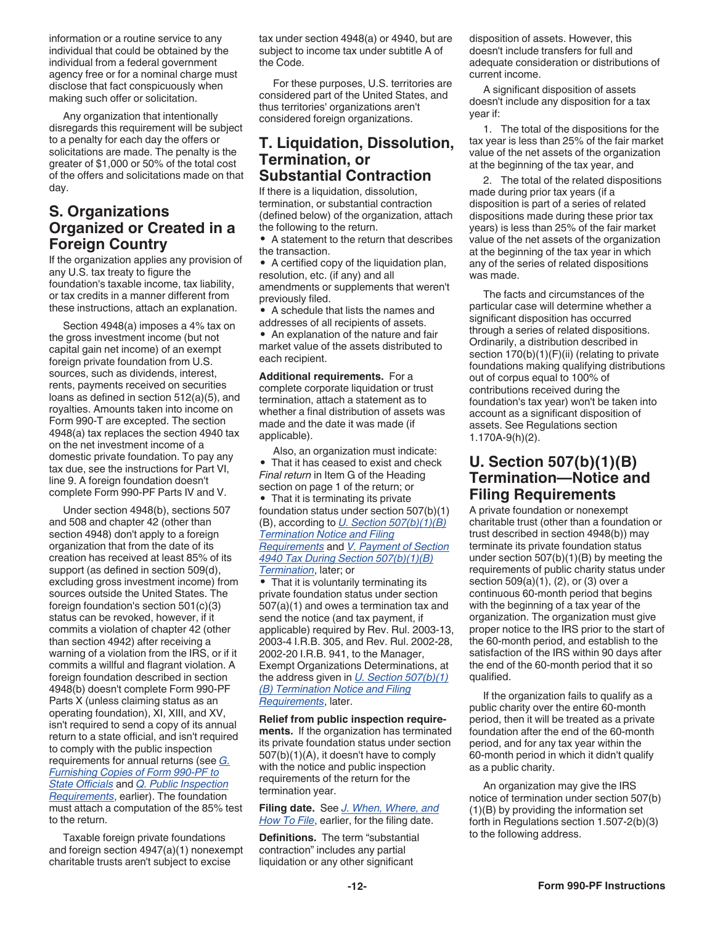<span id="page-11-0"></span>information or a routine service to any individual that could be obtained by the individual from a federal government agency free or for a nominal charge must disclose that fact conspicuously when making such offer or solicitation.

Any organization that intentionally disregards this requirement will be subject to a penalty for each day the offers or solicitations are made. The penalty is the greater of \$1,000 or 50% of the total cost of the offers and solicitations made on that day.

### **S. Organizations Organized or Created in a Foreign Country**

If the organization applies any provision of any U.S. tax treaty to figure the foundation's taxable income, tax liability, or tax credits in a manner different from these instructions, attach an explanation.

Section 4948(a) imposes a 4% tax on the gross investment income (but not capital gain net income) of an exempt foreign private foundation from U.S. sources, such as dividends, interest, rents, payments received on securities loans as defined in section 512(a)(5), and royalties. Amounts taken into income on Form 990-T are excepted. The section 4948(a) tax replaces the section 4940 tax on the net investment income of a domestic private foundation. To pay any tax due, see the instructions for Part VI, line 9. A foreign foundation doesn't complete Form 990-PF Parts IV and V.

Under section 4948(b), sections 507 and 508 and chapter 42 (other than section 4948) don't apply to a foreign organization that from the date of its creation has received at least 85% of its support (as defined in section 509(d), excluding gross investment income) from sources outside the United States. The foreign foundation's section 501(c)(3) status can be revoked, however, if it commits a violation of chapter 42 (other than section 4942) after receiving a warning of a violation from the IRS, or if it commits a willful and flagrant violation. A foreign foundation described in section 4948(b) doesn't complete Form 990-PF Parts X (unless claiming status as an operating foundation), XI, XIII, and XV, isn't required to send a copy of its annual return to a state official, and isn't required to comply with the public inspection requirements for annual returns (see *[G.](#page-6-0) [Furnishing Copies of Form 990-PF to](#page-6-0)  [State Officials](#page-6-0)* and *[Q. Public Inspection](#page-8-0)  [Requirements](#page-8-0)*, earlier). The foundation must attach a computation of the 85% test to the return.

Taxable foreign private foundations and foreign section 4947(a)(1) nonexempt charitable trusts aren't subject to excise

tax under section 4948(a) or 4940, but are subject to income tax under subtitle A of the Code.

For these purposes, U.S. territories are considered part of the United States, and thus territories' organizations aren't considered foreign organizations.

### **T. Liquidation, Dissolution, Termination, or Substantial Contraction**

If there is a liquidation, dissolution, termination, or substantial contraction (defined below) of the organization, attach the following to the return.

• A statement to the return that describes the transaction.

• A certified copy of the liquidation plan, resolution, etc. (if any) and all amendments or supplements that weren't previously filed.

• A schedule that lists the names and addresses of all recipients of assets.

• An explanation of the nature and fair market value of the assets distributed to each recipient.

**Additional requirements.** For a complete corporate liquidation or trust termination, attach a statement as to whether a final distribution of assets was made and the date it was made (if applicable).

Also, an organization must indicate: • That it has ceased to exist and check *Final return* in Item G of the Heading section on page 1 of the return; or

• That it is terminating its private foundation status under section 507(b)(1) (B), according to *U. Section 507(b)(1)(B) Termination Notice and Filing Requirements* and *[V. Payment of Section](#page-12-0)  [4940 Tax During Section 507\(b\)\(1\)\(B\)](#page-12-0) [Termination](#page-12-0)*, later; or

• That it is voluntarily terminating its private foundation status under section 507(a)(1) and owes a termination tax and send the notice (and tax payment, if applicable) required by Rev. Rul. 2003-13, 2003-4 I.R.B. 305, and Rev. Rul. 2002-28, 2002-20 I.R.B. 941, to the Manager, Exempt Organizations Determinations, at the address given in *U. Section 507(b)(1) (B) Termination Notice and Filing Requirements*, later.

**Relief from public inspection requirements.** If the organization has terminated its private foundation status under section 507(b)(1)(A), it doesn't have to comply with the notice and public inspection requirements of the return for the termination year.

#### **Filing date.** See *[J. When, Where, and](#page-6-0) [How To File](#page-6-0)*, earlier, for the filing date.

**Definitions.** The term "substantial contraction" includes any partial liquidation or any other significant

disposition of assets. However, this doesn't include transfers for full and adequate consideration or distributions of current income.

A significant disposition of assets doesn't include any disposition for a tax year if:

1. The total of the dispositions for the tax year is less than 25% of the fair market value of the net assets of the organization at the beginning of the tax year, and

2. The total of the related dispositions made during prior tax years (if a disposition is part of a series of related dispositions made during these prior tax years) is less than 25% of the fair market value of the net assets of the organization at the beginning of the tax year in which any of the series of related dispositions was made.

The facts and circumstances of the particular case will determine whether a significant disposition has occurred through a series of related dispositions. Ordinarily, a distribution described in section 170(b)(1)(F)(ii) (relating to private foundations making qualifying distributions out of corpus equal to 100% of contributions received during the foundation's tax year) won't be taken into account as a significant disposition of assets. See Regulations section 1.170A-9(h)(2).

### **U. Section 507(b)(1)(B) Termination—Notice and Filing Requirements**

A private foundation or nonexempt charitable trust (other than a foundation or trust described in section 4948(b)) may terminate its private foundation status under section 507(b)(1)(B) by meeting the requirements of public charity status under section 509(a)(1), (2), or (3) over a continuous 60-month period that begins with the beginning of a tax year of the organization. The organization must give proper notice to the IRS prior to the start of the 60-month period, and establish to the satisfaction of the IRS within 90 days after the end of the 60-month period that it so qualified.

If the organization fails to qualify as a public charity over the entire 60-month period, then it will be treated as a private foundation after the end of the 60-month period, and for any tax year within the 60-month period in which it didn't qualify as a public charity.

An organization may give the IRS notice of termination under section 507(b) (1)(B) by providing the information set forth in Regulations section 1.507-2(b)(3) to the following address.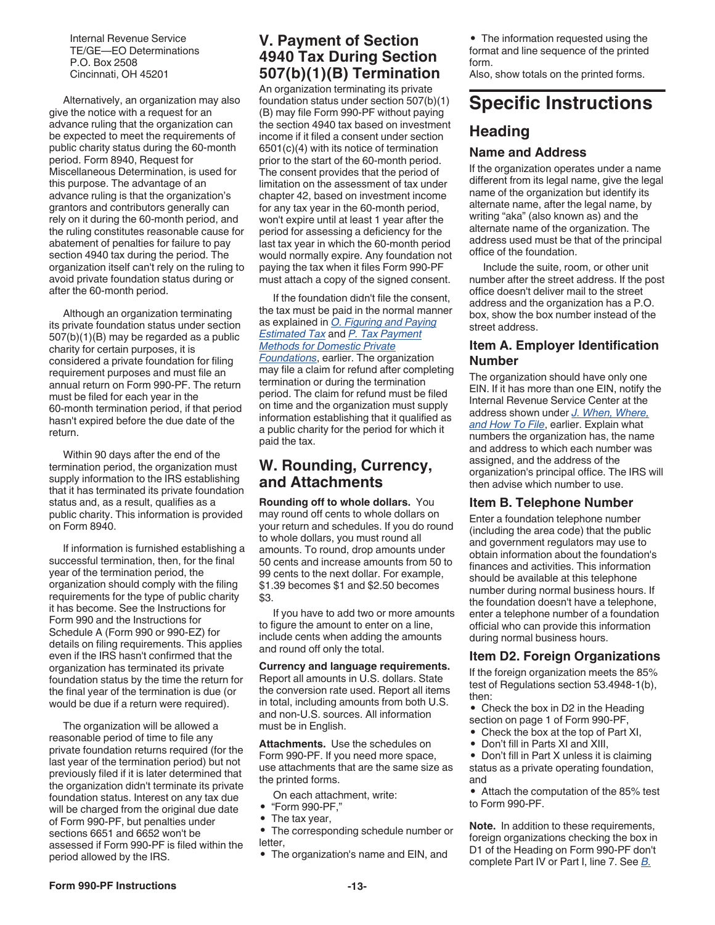<span id="page-12-0"></span>Internal Revenue Service TE/GE—EO Determinations P.O. Box 2508 Cincinnati, OH 45201

Alternatively, an organization may also give the notice with a request for an advance ruling that the organization can be expected to meet the requirements of public charity status during the 60-month period. Form 8940, Request for Miscellaneous Determination, is used for this purpose. The advantage of an advance ruling is that the organization's grantors and contributors generally can rely on it during the 60-month period, and the ruling constitutes reasonable cause for abatement of penalties for failure to pay section 4940 tax during the period. The organization itself can't rely on the ruling to avoid private foundation status during or after the 60-month period.

Although an organization terminating its private foundation status under section 507(b)(1)(B) may be regarded as a public charity for certain purposes, it is considered a private foundation for filing requirement purposes and must file an annual return on Form 990-PF. The return must be filed for each year in the 60-month termination period, if that period hasn't expired before the due date of the return.

Within 90 days after the end of the termination period, the organization must supply information to the IRS establishing that it has terminated its private foundation status and, as a result, qualifies as a public charity. This information is provided on Form 8940.

If information is furnished establishing a successful termination, then, for the final year of the termination period, the organization should comply with the filing requirements for the type of public charity it has become. See the Instructions for Form 990 and the Instructions for Schedule A (Form 990 or 990-EZ) for details on filing requirements. This applies even if the IRS hasn't confirmed that the organization has terminated its private foundation status by the time the return for the final year of the termination is due (or would be due if a return were required).

The organization will be allowed a reasonable period of time to file any private foundation returns required (for the last year of the termination period) but not previously filed if it is later determined that the organization didn't terminate its private foundation status. Interest on any tax due will be charged from the original due date of Form 990-PF, but penalties under sections 6651 and 6652 won't be assessed if Form 990-PF is filed within the period allowed by the IRS.

### **V. Payment of Section 4940 Tax During Section 507(b)(1)(B) Termination**

An organization terminating its private foundation status under section 507(b)(1) (B) may file Form 990-PF without paying the section 4940 tax based on investment income if it filed a consent under section 6501(c)(4) with its notice of termination prior to the start of the 60-month period. The consent provides that the period of limitation on the assessment of tax under chapter 42, based on investment income for any tax year in the 60-month period, won't expire until at least 1 year after the period for assessing a deficiency for the last tax year in which the 60-month period would normally expire. Any foundation not paying the tax when it files Form 990-PF must attach a copy of the signed consent.

#### If the foundation didn't file the consent, the tax must be paid in the normal manner as explained in *[O. Figuring and Paying](#page-7-0) [Estimated Tax](#page-7-0)* and *[P. Tax Payment](#page-8-0) [Methods for Domestic Private](#page-8-0)*

*[Foundations](#page-8-0)*, earlier. The organization may file a claim for refund after completing termination or during the termination period. The claim for refund must be filed on time and the organization must supply information establishing that it qualified as a public charity for the period for which it paid the tax.

### **W. Rounding, Currency, and Attachments**

**Rounding off to whole dollars.** You may round off cents to whole dollars on your return and schedules. If you do round to whole dollars, you must round all amounts. To round, drop amounts under 50 cents and increase amounts from 50 to 99 cents to the next dollar. For example, \$1.39 becomes \$1 and \$2.50 becomes \$3.

If you have to add two or more amounts to figure the amount to enter on a line, include cents when adding the amounts and round off only the total.

**Currency and language requirements.** Report all amounts in U.S. dollars. State the conversion rate used. Report all items in total, including amounts from both U.S. and non-U.S. sources. All information must be in English.

**Attachments.** Use the schedules on Form 990-PF. If you need more space, use attachments that are the same size as the printed forms.

On each attachment, write:

- "Form 990-PF,"
- The tax year,
- The corresponding schedule number or letter,
- The organization's name and EIN, and

• The information requested using the format and line sequence of the printed form.

Also, show totals on the printed forms.

## **Specific Instructions Heading**

#### **Name and Address**

If the organization operates under a name different from its legal name, give the legal name of the organization but identify its alternate name, after the legal name, by writing "aka" (also known as) and the alternate name of the organization. The address used must be that of the principal office of the foundation.

Include the suite, room, or other unit number after the street address. If the post office doesn't deliver mail to the street address and the organization has a P.O. box, show the box number instead of the street address.

#### **Item A. Employer Identification Number**

The organization should have only one EIN. If it has more than one EIN, notify the Internal Revenue Service Center at the address shown under *[J. When, Where,](#page-6-0) [and How To File](#page-6-0)*, earlier. Explain what numbers the organization has, the name and address to which each number was assigned, and the address of the organization's principal office. The IRS will then advise which number to use.

#### **Item B. Telephone Number**

Enter a foundation telephone number (including the area code) that the public and government regulators may use to obtain information about the foundation's finances and activities. This information should be available at this telephone number during normal business hours. If the foundation doesn't have a telephone, enter a telephone number of a foundation official who can provide this information during normal business hours.

#### **Item D2. Foreign Organizations**

If the foreign organization meets the 85% test of Regulations section 53.4948-1(b), then:

• Check the box in D2 in the Heading section on page 1 of Form 990-PF,

- Check the box at the top of Part XI,
- Don't fill in Parts XI and XIII,

• Don't fill in Part X unless it is claiming status as a private operating foundation, and

• Attach the computation of the 85% test to Form 990-PF.

**Note.** In addition to these requirements, foreign organizations checking the box in D1 of the Heading on Form 990-PF don't complete Part IV or Part I, line 7. See *[B.](#page-1-0)*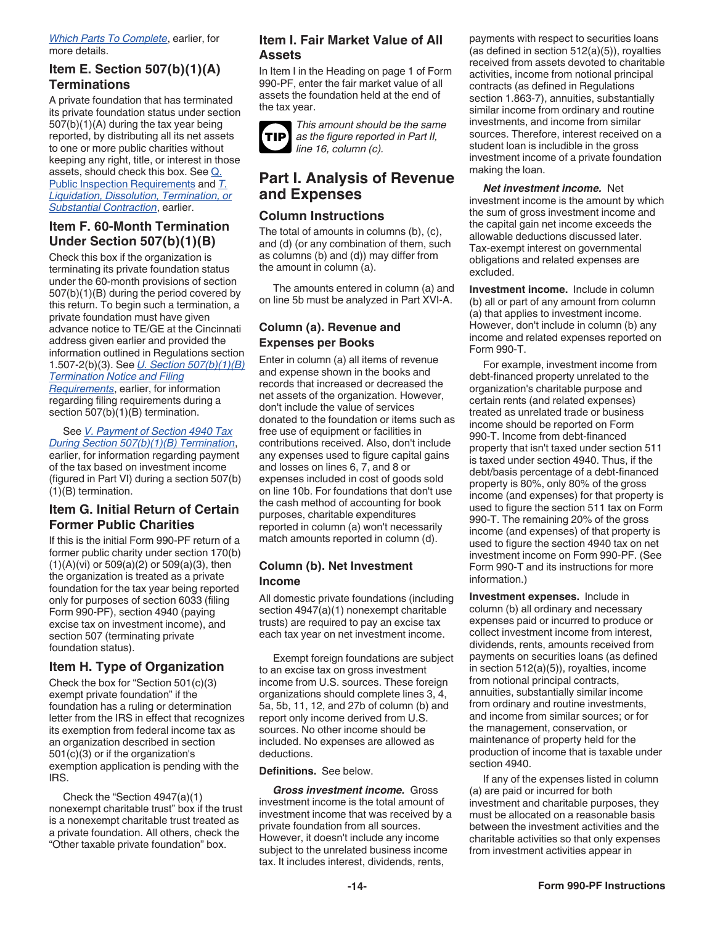<span id="page-13-0"></span>*[Which Parts To Complete](#page-1-0)*, earlier, for more details.

### **Item E. Section 507(b)(1)(A) Terminations**

A private foundation that has terminated its private foundation status under section 507(b)(1)(A) during the tax year being reported, by distributing all its net assets to one or more public charities without keeping any right, title, or interest in those assets, should check this box. See [Q.](#page-8-0) [Public Inspection Requirements](#page-8-0) and *[T.](#page-11-0)  [Liquidation, Dissolution, Termination, or](#page-11-0)  [Substantial Contraction](#page-11-0)*, earlier.

### **Item F. 60-Month Termination Under Section 507(b)(1)(B)**

Check this box if the organization is terminating its private foundation status under the 60-month provisions of section 507(b)(1)(B) during the period covered by this return. To begin such a termination, a private foundation must have given advance notice to TE/GE at the Cincinnati address given earlier and provided the information outlined in Regulations section 1.507-2(b)(3). See *[U. Section 507\(b\)\(1\)\(B\)](#page-11-0)  [Termination Notice and Filing](#page-11-0)  [Requirements](#page-11-0)*, earlier, for information regarding filing requirements during a section 507(b)(1)(B) termination.

See *[V. Payment of Section 4940 Tax](#page-12-0) [During Section 507\(b\)\(1\)\(B\) Termination](#page-12-0)*, earlier, for information regarding payment of the tax based on investment income (figured in Part VI) during a section 507(b) (1)(B) termination.

### **Item G. Initial Return of Certain Former Public Charities**

If this is the initial Form 990-PF return of a former public charity under section 170(b)  $(1)(A)(vi)$  or 509 $(a)(2)$  or 509 $(a)(3)$ , then the organization is treated as a private foundation for the tax year being reported only for purposes of section 6033 (filing Form 990-PF), section 4940 (paying excise tax on investment income), and section 507 (terminating private foundation status).

#### **Item H. Type of Organization**

Check the box for "Section 501(c)(3) exempt private foundation" if the foundation has a ruling or determination letter from the IRS in effect that recognizes its exemption from federal income tax as an organization described in section 501(c)(3) or if the organization's exemption application is pending with the IRS.

Check the "Section 4947(a)(1) nonexempt charitable trust" box if the trust is a nonexempt charitable trust treated as a private foundation. All others, check the "Other taxable private foundation" box.

### **Item I. Fair Market Value of All Assets**

In Item I in the Heading on page 1 of Form 990-PF, enter the fair market value of all assets the foundation held at the end of the tax year.



*This amount should be the same as the figure reported in Part II, line 16, column (c).*

### **Part I. Analysis of Revenue and Expenses**

### **Column Instructions**

The total of amounts in columns (b), (c), and (d) (or any combination of them, such as columns (b) and (d)) may differ from the amount in column (a).

The amounts entered in column (a) and on line 5b must be analyzed in Part XVI-A.

#### **Column (a). Revenue and Expenses per Books**

Enter in column (a) all items of revenue and expense shown in the books and records that increased or decreased the net assets of the organization. However, don't include the value of services donated to the foundation or items such as free use of equipment or facilities in contributions received. Also, don't include any expenses used to figure capital gains and losses on lines 6, 7, and 8 or expenses included in cost of goods sold on line 10b. For foundations that don't use the cash method of accounting for book purposes, charitable expenditures reported in column (a) won't necessarily match amounts reported in column (d).

#### **Column (b). Net Investment Income**

All domestic private foundations (including section 4947(a)(1) nonexempt charitable trusts) are required to pay an excise tax each tax year on net investment income.

Exempt foreign foundations are subject to an excise tax on gross investment income from U.S. sources. These foreign organizations should complete lines 3, 4, 5a, 5b, 11, 12, and 27b of column (b) and report only income derived from U.S. sources. No other income should be included. No expenses are allowed as deductions.

#### **Definitions.** See below.

*Gross investment income.* Gross investment income is the total amount of investment income that was received by a private foundation from all sources. However, it doesn't include any income subject to the unrelated business income tax. It includes interest, dividends, rents,

payments with respect to securities loans (as defined in section 512(a)(5)), royalties received from assets devoted to charitable activities, income from notional principal contracts (as defined in Regulations section 1.863-7), annuities, substantially similar income from ordinary and routine investments, and income from similar sources. Therefore, interest received on a student loan is includible in the gross investment income of a private foundation making the loan.

*Net investment income.* Net investment income is the amount by which the sum of gross investment income and the capital gain net income exceeds the allowable deductions discussed later. Tax-exempt interest on governmental obligations and related expenses are excluded.

**Investment income.** Include in column (b) all or part of any amount from column (a) that applies to investment income. However, don't include in column (b) any income and related expenses reported on Form 990-T.

For example, investment income from debt-financed property unrelated to the organization's charitable purpose and certain rents (and related expenses) treated as unrelated trade or business income should be reported on Form 990-T. Income from debt-financed property that isn't taxed under section 511 is taxed under section 4940. Thus, if the debt/basis percentage of a debt-financed property is 80%, only 80% of the gross income (and expenses) for that property is used to figure the section 511 tax on Form 990-T. The remaining 20% of the gross income (and expenses) of that property is used to figure the section 4940 tax on net investment income on Form 990-PF. (See Form 990-T and its instructions for more information.)

**Investment expenses.** Include in column (b) all ordinary and necessary expenses paid or incurred to produce or collect investment income from interest, dividends, rents, amounts received from payments on securities loans (as defined in section 512(a)(5)), royalties, income from notional principal contracts, annuities, substantially similar income from ordinary and routine investments, and income from similar sources; or for the management, conservation, or maintenance of property held for the production of income that is taxable under section 4940.

If any of the expenses listed in column (a) are paid or incurred for both investment and charitable purposes, they must be allocated on a reasonable basis between the investment activities and the charitable activities so that only expenses from investment activities appear in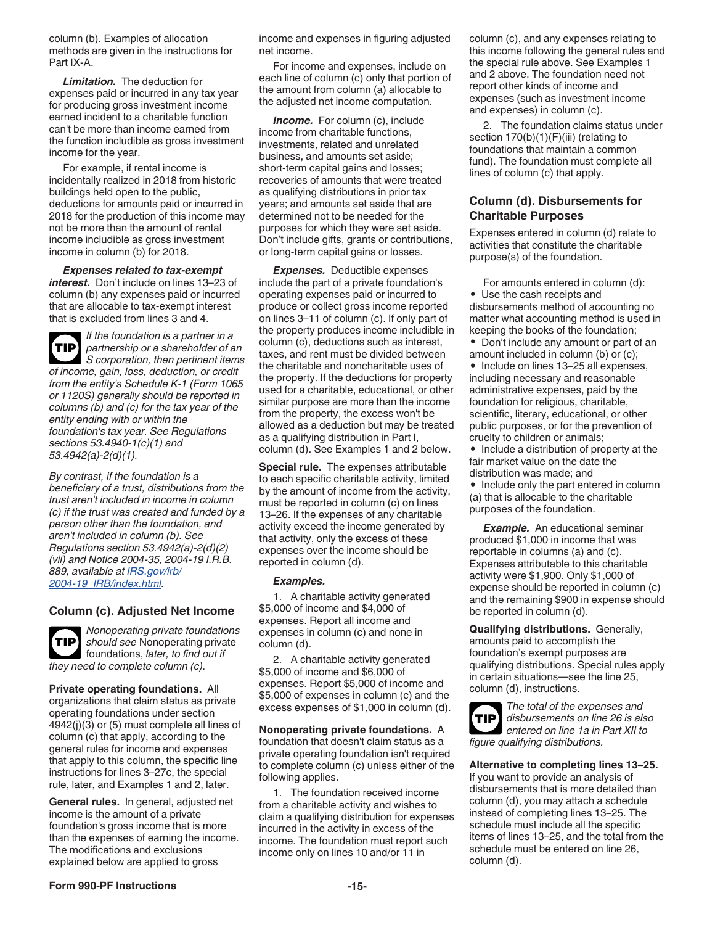<span id="page-14-0"></span>column (b). Examples of allocation methods are given in the instructions for Part IX-A.

*Limitation.* The deduction for expenses paid or incurred in any tax year for producing gross investment income earned incident to a charitable function can't be more than income earned from the function includible as gross investment income for the year.

For example, if rental income is incidentally realized in 2018 from historic buildings held open to the public, deductions for amounts paid or incurred in 2018 for the production of this income may not be more than the amount of rental income includible as gross investment income in column (b) for 2018.

*Expenses related to tax-exempt interest.* Don't include on lines 13–23 of column (b) any expenses paid or incurred that are allocable to tax-exempt interest that is excluded from lines 3 and 4.

*If the foundation is a partner in a partnership or a shareholder of an S corporation, then pertinent items of income, gain, loss, deduction, or credit from the entity's Schedule K-1 (Form 1065 or 1120S) generally should be reported in columns (b) and (c) for the tax year of the entity ending with or within the foundation's tax year. See Regulations sections 53.4940-1(c)(1) and 53.4942(a)-2(d)(1).* **TIP**

*By contrast, if the foundation is a beneficiary of a trust, distributions from the trust aren't included in income in column (c) if the trust was created and funded by a person other than the foundation, and aren't included in column (b). See Regulations section 53.4942(a)-2(d)(2) (vii) and Notice 2004-35, 2004-19 I.R.B. 889, available at [IRS.gov/irb/](https://www.irs.gov/irb/2004-19_IRB/index.html) [2004-19\\_IRB/index.html](https://www.irs.gov/irb/2004-19_IRB/index.html).*

#### **Column (c). Adjusted Net Income**



*Nonoperating private foundations should see* Nonoperating private foundations, *later, to find out if they need to complete column (c).*

**Private operating foundations.** All organizations that claim status as private operating foundations under section 4942(j)(3) or (5) must complete all lines of column (c) that apply, according to the general rules for income and expenses that apply to this column, the specific line instructions for lines 3–27c, the special rule, later, and Examples 1 and 2, later.

**General rules.** In general, adjusted net income is the amount of a private foundation's gross income that is more than the expenses of earning the income. The modifications and exclusions explained below are applied to gross

income and expenses in figuring adjusted net income.

For income and expenses, include on each line of column (c) only that portion of the amount from column (a) allocable to the adjusted net income computation.

*Income.* For column (c), include income from charitable functions, investments, related and unrelated business, and amounts set aside; short-term capital gains and losses; recoveries of amounts that were treated as qualifying distributions in prior tax years; and amounts set aside that are determined not to be needed for the purposes for which they were set aside. Don't include gifts, grants or contributions, or long-term capital gains or losses.

*Expenses.* Deductible expenses include the part of a private foundation's operating expenses paid or incurred to produce or collect gross income reported on lines 3–11 of column (c). If only part of the property produces income includible in column (c), deductions such as interest, taxes, and rent must be divided between the charitable and noncharitable uses of the property. If the deductions for property used for a charitable, educational, or other similar purpose are more than the income from the property, the excess won't be allowed as a deduction but may be treated as a qualifying distribution in Part I, column (d). See Examples 1 and 2 below.

**Special rule.** The expenses attributable to each specific charitable activity, limited by the amount of income from the activity, must be reported in column (c) on lines 13–26. If the expenses of any charitable activity exceed the income generated by that activity, only the excess of these expenses over the income should be reported in column (d).

#### *Examples.*

1. A charitable activity generated \$5,000 of income and \$4,000 of expenses. Report all income and expenses in column (c) and none in column (d).

2. A charitable activity generated \$5,000 of income and \$6,000 of expenses. Report \$5,000 of income and \$5,000 of expenses in column (c) and the excess expenses of \$1,000 in column (d).

**Nonoperating private foundations.** A foundation that doesn't claim status as a private operating foundation isn't required to complete column (c) unless either of the following applies.

1. The foundation received income from a charitable activity and wishes to claim a qualifying distribution for expenses incurred in the activity in excess of the income. The foundation must report such income only on lines 10 and/or 11 in

column (c), and any expenses relating to this income following the general rules and the special rule above. See Examples 1 and 2 above. The foundation need not report other kinds of income and expenses (such as investment income and expenses) in column (c).

2. The foundation claims status under section 170(b)(1)(F)(iii) (relating to foundations that maintain a common fund). The foundation must complete all lines of column (c) that apply.

#### **Column (d). Disbursements for Charitable Purposes**

Expenses entered in column (d) relate to activities that constitute the charitable purpose(s) of the foundation.

For amounts entered in column (d):

• Use the cash receipts and disbursements method of accounting no matter what accounting method is used in keeping the books of the foundation;

• Don't include any amount or part of an amount included in column (b) or (c); • Include on lines 13–25 all expenses, including necessary and reasonable administrative expenses, paid by the foundation for religious, charitable, scientific, literary, educational, or other public purposes, or for the prevention of cruelty to children or animals;

• Include a distribution of property at the fair market value on the date the distribution was made; and

• Include only the part entered in column (a) that is allocable to the charitable purposes of the foundation.

**Example.** An educational seminar produced \$1,000 in income that was reportable in columns (a) and (c). Expenses attributable to this charitable activity were \$1,900. Only \$1,000 of expense should be reported in column (c) and the remaining \$900 in expense should be reported in column (d).

**Qualifying distributions.** Generally, amounts paid to accomplish the foundation's exempt purposes are qualifying distributions. Special rules apply in certain situations—see the line 25, column (d), instructions.



*The total of the expenses and disbursements on line 26 is also entered on line 1a in Part XII to figure qualifying distributions.*

**Alternative to completing lines 13–25.**  If you want to provide an analysis of disbursements that is more detailed than column (d), you may attach a schedule instead of completing lines 13–25. The schedule must include all the specific items of lines 13–25, and the total from the schedule must be entered on line 26, column (d).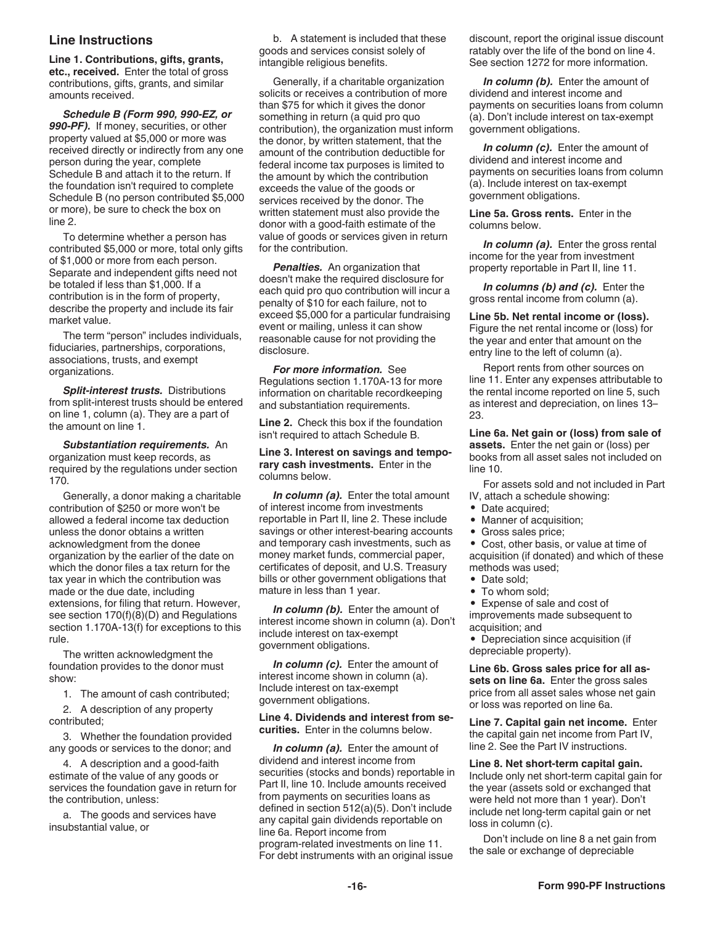#### <span id="page-15-0"></span>**Line Instructions**

**Line 1. Contributions, gifts, grants, etc., received.** Enter the total of gross contributions, gifts, grants, and similar amounts received.

*Schedule B (Form 990, 990-EZ, or 990-PF).* If money, securities, or other property valued at \$5,000 or more was received directly or indirectly from any one person during the year, complete Schedule B and attach it to the return. If the foundation isn't required to complete Schedule B (no person contributed \$5,000 or more), be sure to check the box on line 2.

To determine whether a person has contributed \$5,000 or more, total only gifts of \$1,000 or more from each person. Separate and independent gifts need not be totaled if less than \$1,000. If a contribution is in the form of property, describe the property and include its fair market value.

The term "person" includes individuals, fiduciaries, partnerships, corporations, associations, trusts, and exempt organizations.

*Split-interest trusts.* Distributions from split-interest trusts should be entered on line 1, column (a). They are a part of the amount on line 1.

*Substantiation requirements.* An organization must keep records, as required by the regulations under section 170.

Generally, a donor making a charitable contribution of \$250 or more won't be allowed a federal income tax deduction unless the donor obtains a written acknowledgment from the donee organization by the earlier of the date on which the donor files a tax return for the tax year in which the contribution was made or the due date, including extensions, for filing that return. However, see section 170(f)(8)(D) and Regulations section 1.170A-13(f) for exceptions to this rule.

The written acknowledgment the foundation provides to the donor must show:

1. The amount of cash contributed;

2. A description of any property contributed;

3. Whether the foundation provided any goods or services to the donor; and

4. A description and a good-faith estimate of the value of any goods or services the foundation gave in return for the contribution, unless:

a. The goods and services have insubstantial value, or

b. A statement is included that these goods and services consist solely of intangible religious benefits.

Generally, if a charitable organization solicits or receives a contribution of more than \$75 for which it gives the donor something in return (a quid pro quo contribution), the organization must inform the donor, by written statement, that the amount of the contribution deductible for federal income tax purposes is limited to the amount by which the contribution exceeds the value of the goods or services received by the donor. The written statement must also provide the donor with a good-faith estimate of the value of goods or services given in return for the contribution.

*Penalties.* An organization that doesn't make the required disclosure for each quid pro quo contribution will incur a penalty of \$10 for each failure, not to exceed \$5,000 for a particular fundraising event or mailing, unless it can show reasonable cause for not providing the disclosure.

*For more information.* See Regulations section 1.170A-13 for more information on charitable recordkeeping and substantiation requirements.

**Line 2.** Check this box if the foundation isn't required to attach Schedule B.

#### **Line 3. Interest on savings and temporary cash investments.** Enter in the columns below.

*In column (a).* Enter the total amount of interest income from investments reportable in Part II, line 2. These include savings or other interest-bearing accounts and temporary cash investments, such as money market funds, commercial paper, certificates of deposit, and U.S. Treasury bills or other government obligations that mature in less than 1 year.

*In column (b).* Enter the amount of interest income shown in column (a). Don't include interest on tax-exempt government obligations.

*In column (c).* Enter the amount of interest income shown in column (a). Include interest on tax-exempt government obligations.

#### **Line 4. Dividends and interest from securities.** Enter in the columns below.

*In column (a).* Enter the amount of dividend and interest income from securities (stocks and bonds) reportable in Part II, line 10. Include amounts received from payments on securities loans as defined in section 512(a)(5). Don't include any capital gain dividends reportable on line 6a. Report income from program-related investments on line 11. For debt instruments with an original issue

discount, report the original issue discount ratably over the life of the bond on line 4. See section 1272 for more information.

*In column (b).* Enter the amount of dividend and interest income and payments on securities loans from column (a). Don't include interest on tax-exempt government obligations.

*In column (c).* Enter the amount of dividend and interest income and payments on securities loans from column (a). Include interest on tax-exempt government obligations.

**Line 5a. Gross rents.** Enter in the columns below.

*In column (a).* Enter the gross rental income for the year from investment property reportable in Part II, line 11.

*In columns (b) and (c).* Enter the gross rental income from column (a).

**Line 5b. Net rental income or (loss).**  Figure the net rental income or (loss) for the year and enter that amount on the entry line to the left of column (a).

Report rents from other sources on line 11. Enter any expenses attributable to the rental income reported on line 5, such as interest and depreciation, on lines 13– 23.

**Line 6a. Net gain or (loss) from sale of assets.** Enter the net gain or (loss) per books from all asset sales not included on line 10.

For assets sold and not included in Part IV, attach a schedule showing:

- Date acquired;
- Manner of acquisition;
- Gross sales price;

• Cost, other basis, or value at time of acquisition (if donated) and which of these methods was used;

- Date sold;
- To whom sold;

• Expense of sale and cost of improvements made subsequent to acquisition; and

• Depreciation since acquisition (if depreciable property).

**Line 6b. Gross sales price for all assets on line 6a.** Enter the gross sales price from all asset sales whose net gain or loss was reported on line 6a.

**Line 7. Capital gain net income.** Enter the capital gain net income from Part IV, line 2. See the Part IV instructions.

**Line 8. Net short-term capital gain.**  Include only net short-term capital gain for the year (assets sold or exchanged that were held not more than 1 year). Don't include net long-term capital gain or net loss in column (c).

Don't include on line 8 a net gain from the sale or exchange of depreciable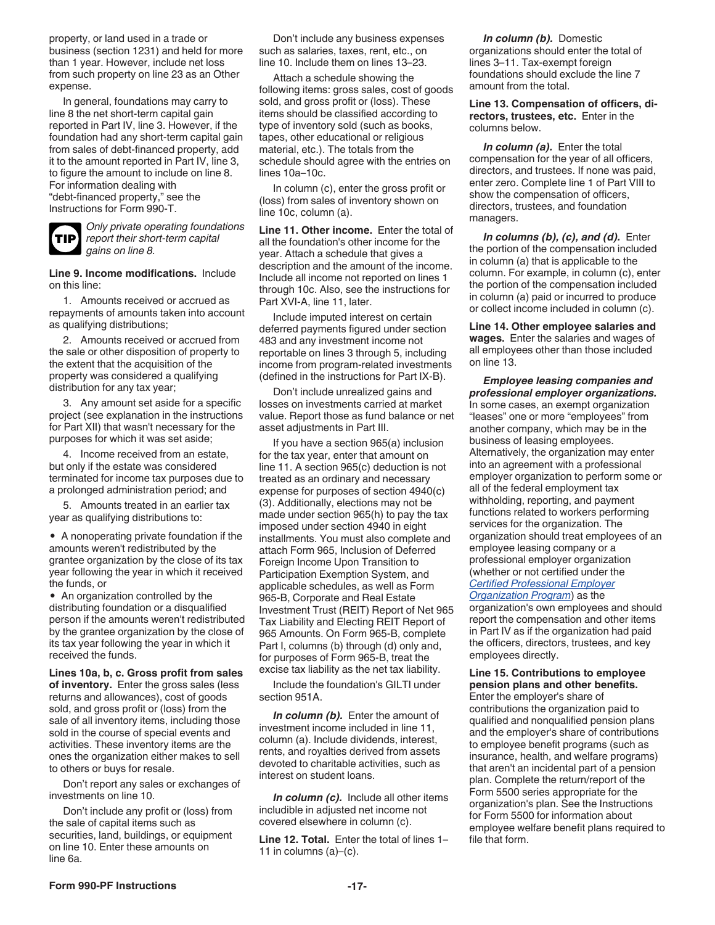<span id="page-16-0"></span>property, or land used in a trade or business (section 1231) and held for more than 1 year. However, include net loss from such property on line 23 as an Other expense.

In general, foundations may carry to line 8 the net short-term capital gain reported in Part IV, line 3. However, if the foundation had any short-term capital gain from sales of debt-financed property, add it to the amount reported in Part IV, line 3, to figure the amount to include on line 8. For information dealing with "debt-financed property," see the Instructions for Form 990-T.



*Only private operating foundations report their short-term capital gains on line 8.*

**Line 9. Income modifications.** Include on this line:

1. Amounts received or accrued as repayments of amounts taken into account as qualifying distributions;

2. Amounts received or accrued from the sale or other disposition of property to the extent that the acquisition of the property was considered a qualifying distribution for any tax year;

3. Any amount set aside for a specific project (see explanation in the instructions for Part XII) that wasn't necessary for the purposes for which it was set aside;

4. Income received from an estate, but only if the estate was considered terminated for income tax purposes due to a prolonged administration period; and

5. Amounts treated in an earlier tax year as qualifying distributions to:

• A nonoperating private foundation if the amounts weren't redistributed by the grantee organization by the close of its tax year following the year in which it received the funds, or

• An organization controlled by the distributing foundation or a disqualified person if the amounts weren't redistributed by the grantee organization by the close of its tax year following the year in which it received the funds.

**Lines 10a, b, c. Gross profit from sales of inventory.** Enter the gross sales (less returns and allowances), cost of goods sold, and gross profit or (loss) from the sale of all inventory items, including those sold in the course of special events and activities. These inventory items are the ones the organization either makes to sell to others or buys for resale.

Don't report any sales or exchanges of investments on line 10.

Don't include any profit or (loss) from the sale of capital items such as securities, land, buildings, or equipment on line 10. Enter these amounts on line 6a.

Don't include any business expenses such as salaries, taxes, rent, etc., on line 10. Include them on lines 13–23.

Attach a schedule showing the following items: gross sales, cost of goods sold, and gross profit or (loss). These items should be classified according to type of inventory sold (such as books, tapes, other educational or religious material, etc.). The totals from the schedule should agree with the entries on lines 10a–10c.

In column (c), enter the gross profit or (loss) from sales of inventory shown on line 10c, column (a).

**Line 11. Other income.** Enter the total of all the foundation's other income for the year. Attach a schedule that gives a description and the amount of the income. Include all income not reported on lines 1 through 10c. Also, see the instructions for Part XVI-A, line 11, later.

Include imputed interest on certain deferred payments figured under section 483 and any investment income not reportable on lines 3 through 5, including income from program-related investments (defined in the instructions for Part IX-B).

Don't include unrealized gains and losses on investments carried at market value. Report those as fund balance or net asset adjustments in Part III.

If you have a section 965(a) inclusion for the tax year, enter that amount on line 11. A section 965(c) deduction is not treated as an ordinary and necessary expense for purposes of section 4940(c) (3). Additionally, elections may not be made under section 965(h) to pay the tax imposed under section 4940 in eight installments. You must also complete and attach Form 965, Inclusion of Deferred Foreign Income Upon Transition to Participation Exemption System, and applicable schedules, as well as Form 965-B, Corporate and Real Estate Investment Trust (REIT) Report of Net 965 Tax Liability and Electing REIT Report of 965 Amounts. On Form 965-B, complete Part I, columns (b) through (d) only and, for purposes of Form 965-B, treat the excise tax liability as the net tax liability.

Include the foundation's GILTI under section 951A.

*In column (b).* Enter the amount of investment income included in line 11, column (a). Include dividends, interest, rents, and royalties derived from assets devoted to charitable activities, such as interest on student loans.

*In column (c).* Include all other items includible in adjusted net income not covered elsewhere in column (c).

**Line 12. Total.** Enter the total of lines 1– 11 in columns  $(a)$ – $(c)$ .

*In column (b).* Domestic organizations should enter the total of lines 3–11. Tax-exempt foreign foundations should exclude the line 7

amount from the total.

**Line 13. Compensation of officers, directors, trustees, etc.** Enter in the columns below.

*In column (a).* Enter the total compensation for the year of all officers, directors, and trustees. If none was paid, enter zero. Complete line 1 of Part VIII to show the compensation of officers, directors, trustees, and foundation managers.

*In columns (b), (c), and (d).* Enter the portion of the compensation included in column (a) that is applicable to the column. For example, in column (c), enter the portion of the compensation included in column (a) paid or incurred to produce or collect income included in column (c).

**Line 14. Other employee salaries and wages.** Enter the salaries and wages of all employees other than those included on line 13.

*Employee leasing companies and professional employer organizations.*  In some cases, an exempt organization "leases" one or more "employees" from another company, which may be in the business of leasing employees. Alternatively, the organization may enter into an agreement with a professional employer organization to perform some or all of the federal employment tax withholding, reporting, and payment functions related to workers performing services for the organization. The organization should treat employees of an employee leasing company or a professional employer organization (whether or not certified under the *[Certified Professional Employer](https://www.irs.gov/for-tax-pros/basic-tools/certified-professional-employer-organization?_ga=1.143850288.445333279.1473687520)  [Organization Program](https://www.irs.gov/for-tax-pros/basic-tools/certified-professional-employer-organization?_ga=1.143850288.445333279.1473687520)*) as the

organization's own employees and should report the compensation and other items in Part IV as if the organization had paid the officers, directors, trustees, and key employees directly.

#### **Line 15. Contributions to employee pension plans and other benefits.**

Enter the employer's share of contributions the organization paid to qualified and nonqualified pension plans and the employer's share of contributions to employee benefit programs (such as insurance, health, and welfare programs) that aren't an incidental part of a pension plan. Complete the return/report of the Form 5500 series appropriate for the organization's plan. See the Instructions for Form 5500 for information about employee welfare benefit plans required to file that form.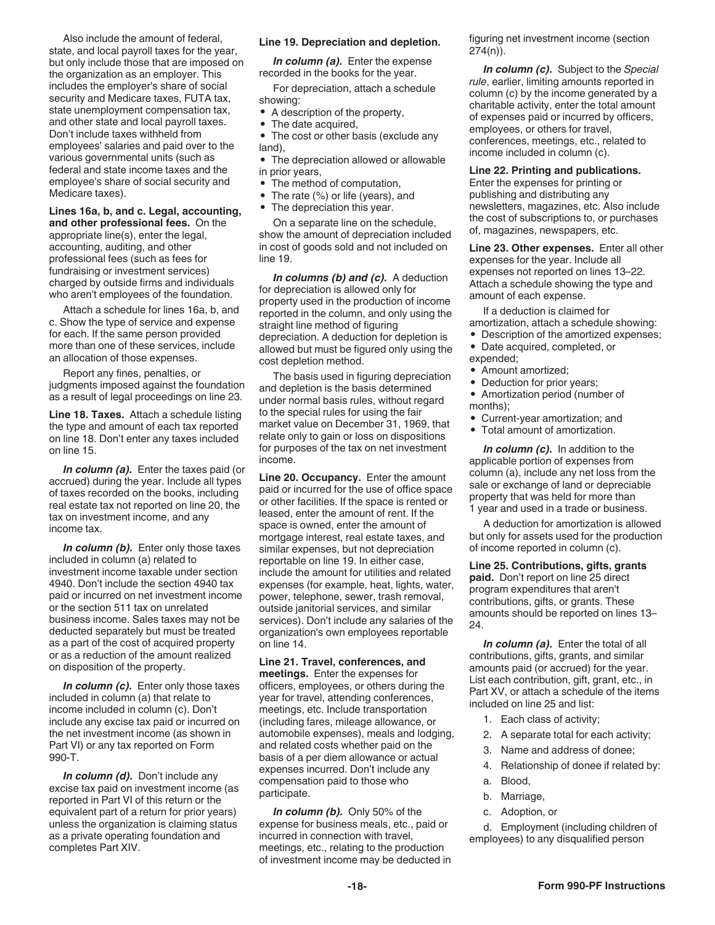<span id="page-17-0"></span>Also include the amount of federal, state, and local payroll taxes for the year, but only include those that are imposed on the organization as an employer. This includes the employer's share of social security and Medicare taxes, FUTA tax, state unemployment compensation tax, and other state and local payroll taxes. Don't include taxes withheld from employees' salaries and paid over to the various governmental units (such as federal and state income taxes and the employee's share of social security and Medicare taxes).

**Lines 16a, b, and c. Legal, accounting, and other professional fees.** On the appropriate line(s), enter the legal, accounting, auditing, and other professional fees (such as fees for fundraising or investment services) charged by outside firms and individuals who aren't employees of the foundation.

Attach a schedule for lines 16a, b, and c. Show the type of service and expense for each. If the same person provided more than one of these services, include an allocation of those expenses.

Report any fines, penalties, or judgments imposed against the foundation as a result of legal proceedings on line 23.

**Line 18. Taxes.** Attach a schedule listing the type and amount of each tax reported on line 18. Don't enter any taxes included on line 15.

*In column (a).* Enter the taxes paid (or accrued) during the year. Include all types of taxes recorded on the books, including real estate tax not reported on line 20, the tax on investment income, and any income tax.

*In column (b).* Enter only those taxes included in column (a) related to investment income taxable under section 4940. Don't include the section 4940 tax paid or incurred on net investment income or the section 511 tax on unrelated business income. Sales taxes may not be deducted separately but must be treated as a part of the cost of acquired property or as a reduction of the amount realized on disposition of the property.

*In column (c).* Enter only those taxes included in column (a) that relate to income included in column (c). Don't include any excise tax paid or incurred on the net investment income (as shown in Part VI) or any tax reported on Form 990-T.

*In column (d).* Don't include any excise tax paid on investment income (as reported in Part VI of this return or the equivalent part of a return for prior years) unless the organization is claiming status as a private operating foundation and completes Part XIV.

#### **Line 19. Depreciation and depletion.**

*In column (a).* Enter the expense recorded in the books for the year.

For depreciation, attach a schedule showing:

- A description of the property,
- The date acquired,

• The cost or other basis (exclude any land),

• The depreciation allowed or allowable in prior years,

- The method of computation,
- The rate (%) or life (years), and
- The depreciation this year.

On a separate line on the schedule, show the amount of depreciation included in cost of goods sold and not included on line 19.

*In columns (b) and (c).* A deduction for depreciation is allowed only for property used in the production of income reported in the column, and only using the straight line method of figuring depreciation. A deduction for depletion is allowed but must be figured only using the cost depletion method.

The basis used in figuring depreciation and depletion is the basis determined under normal basis rules, without regard to the special rules for using the fair market value on December 31, 1969, that relate only to gain or loss on dispositions for purposes of the tax on net investment income.

**Line 20. Occupancy.** Enter the amount paid or incurred for the use of office space or other facilities. If the space is rented or leased, enter the amount of rent. If the space is owned, enter the amount of mortgage interest, real estate taxes, and similar expenses, but not depreciation reportable on line 19. In either case, include the amount for utilities and related expenses (for example, heat, lights, water, power, telephone, sewer, trash removal, outside janitorial services, and similar services). Don't include any salaries of the organization's own employees reportable on line 14.

**Line 21. Travel, conferences, and** 

**meetings.** Enter the expenses for officers, employees, or others during the year for travel, attending conferences, meetings, etc. Include transportation (including fares, mileage allowance, or automobile expenses), meals and lodging, and related costs whether paid on the basis of a per diem allowance or actual expenses incurred. Don't include any compensation paid to those who participate.

*In column (b).* Only 50% of the expense for business meals, etc., paid or incurred in connection with travel, meetings, etc., relating to the production of investment income may be deducted in figuring net investment income (section 274(n)).

*In column (c).* Subject to the *Special rule*, earlier, limiting amounts reported in column (c) by the income generated by a charitable activity, enter the total amount of expenses paid or incurred by officers, employees, or others for travel, conferences, meetings, etc., related to income included in column (c).

#### **Line 22. Printing and publications.**

Enter the expenses for printing or publishing and distributing any newsletters, magazines, etc. Also include the cost of subscriptions to, or purchases of, magazines, newspapers, etc.

**Line 23. Other expenses.** Enter all other expenses for the year. Include all expenses not reported on lines 13–22. Attach a schedule showing the type and amount of each expense.

If a deduction is claimed for amortization, attach a schedule showing:

- Description of the amortized expenses;
- Date acquired, completed, or expended;
- Amount amortized;
- Deduction for prior years:
- Amortization period (number of months);
- Current-year amortization; and
- Total amount of amortization.

*In column (c).* In addition to the applicable portion of expenses from column (a), include any net loss from the sale or exchange of land or depreciable property that was held for more than 1 year and used in a trade or business.

A deduction for amortization is allowed but only for assets used for the production of income reported in column (c).

**Line 25. Contributions, gifts, grants paid.** Don't report on line 25 direct program expenditures that aren't contributions, gifts, or grants. These amounts should be reported on lines 13– 24.

*In column (a).* Enter the total of all contributions, gifts, grants, and similar amounts paid (or accrued) for the year. List each contribution, gift, grant, etc., in Part XV, or attach a schedule of the items included on line 25 and list:

- 1. Each class of activity;
- 2. A separate total for each activity;
- 3. Name and address of donee;
- 4. Relationship of donee if related by:
- a. Blood,
- b. Marriage,
- c. Adoption, or

d. Employment (including children of employees) to any disqualified person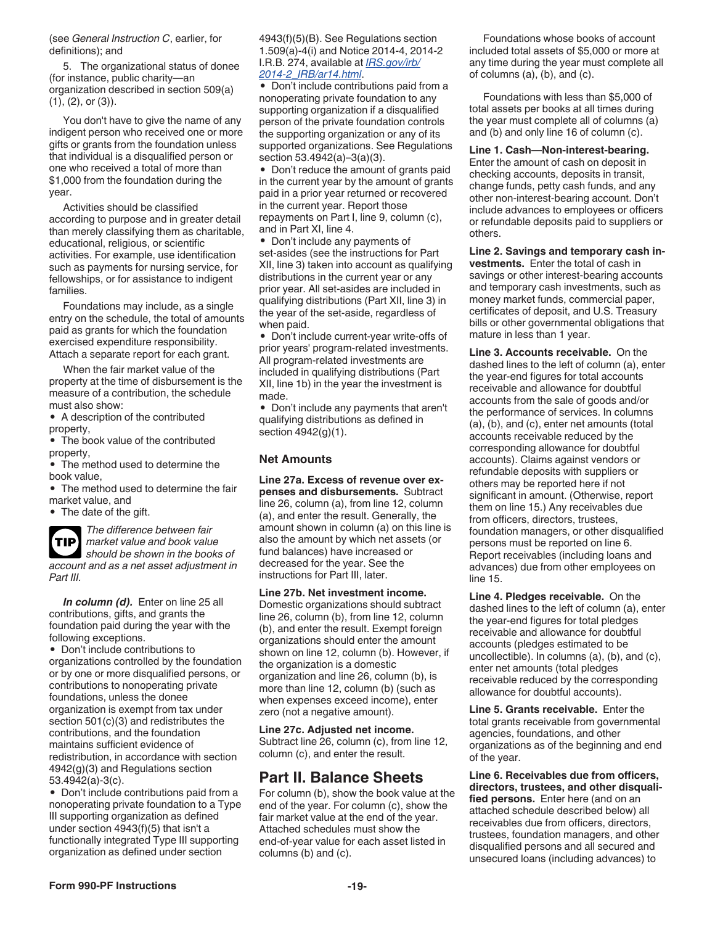<span id="page-18-0"></span>(see *General Instruction C*, earlier, for definitions); and

5. The organizational status of donee (for instance, public charity—an organization described in section 509(a)  $(1), (2),$  or  $(3)$ ).

You don't have to give the name of any indigent person who received one or more gifts or grants from the foundation unless that individual is a disqualified person or one who received a total of more than \$1,000 from the foundation during the year.

Activities should be classified according to purpose and in greater detail than merely classifying them as charitable, educational, religious, or scientific activities. For example, use identification such as payments for nursing service, for fellowships, or for assistance to indigent families.

Foundations may include, as a single entry on the schedule, the total of amounts paid as grants for which the foundation exercised expenditure responsibility. Attach a separate report for each grant.

When the fair market value of the property at the time of disbursement is the measure of a contribution, the schedule must also show:

• A description of the contributed property,

• The book value of the contributed property,

• The method used to determine the book value,

• The method used to determine the fair market value, and

• The date of the gift.

*The difference between fair market value and book value*  **TIP**

*should be shown in the books of account and as a net asset adjustment in Part III.*

*In column (d).* Enter on line 25 all contributions, gifts, and grants the foundation paid during the year with the following exceptions.

• Don't include contributions to organizations controlled by the foundation or by one or more disqualified persons, or contributions to nonoperating private foundations, unless the donee organization is exempt from tax under section 501(c)(3) and redistributes the contributions, and the foundation maintains sufficient evidence of redistribution, in accordance with section 4942(g)(3) and Regulations section 53.4942(a)-3(c).

• Don't include contributions paid from a nonoperating private foundation to a Type III supporting organization as defined under section 4943(f)(5) that isn't a functionally integrated Type III supporting organization as defined under section

#### 4943(f)(5)(B). See Regulations section 1.509(a)-4(i) and Notice 2014-4, 2014-2 I.R.B. 274, available at *[IRS.gov/irb/](https://www.irs.gov/irb/2014-2_IRB/ar14.html) [2014-2\\_IRB/ar14.html](https://www.irs.gov/irb/2014-2_IRB/ar14.html)*.

• Don't include contributions paid from a nonoperating private foundation to any supporting organization if a disqualified person of the private foundation controls the supporting organization or any of its supported organizations. See Regulations section 53.4942(a)-3(a)(3).

• Don't reduce the amount of grants paid in the current year by the amount of grants paid in a prior year returned or recovered in the current year. Report those repayments on Part I, line 9, column (c), and in Part XI, line 4.

• Don't include any payments of set-asides (see the instructions for Part XII, line 3) taken into account as qualifying distributions in the current year or any prior year. All set-asides are included in qualifying distributions (Part XII, line 3) in the year of the set-aside, regardless of when paid.

• Don't include current-year write-offs of prior years' program-related investments. All program-related investments are included in qualifying distributions (Part XII, line 1b) in the year the investment is made.

• Don't include any payments that aren't qualifying distributions as defined in section 4942(g)(1).

#### **Net Amounts**

**Line 27a. Excess of revenue over expenses and disbursements.** Subtract line 26, column (a), from line 12, column (a), and enter the result. Generally, the amount shown in column (a) on this line is also the amount by which net assets (or fund balances) have increased or decreased for the year. See the instructions for Part III, later.

**Line 27b. Net investment income.** Domestic organizations should subtract line 26, column (b), from line 12, column (b), and enter the result. Exempt foreign organizations should enter the amount shown on line 12, column (b). However, if the organization is a domestic organization and line 26, column (b), is more than line 12, column (b) (such as when expenses exceed income), enter zero (not a negative amount).

**Line 27c. Adjusted net income.**  Subtract line 26, column (c), from line 12, column (c), and enter the result.

### **Part II. Balance Sheets**

For column (b), show the book value at the end of the year. For column (c), show the fair market value at the end of the year. Attached schedules must show the end-of-year value for each asset listed in columns (b) and (c).

Foundations whose books of account included total assets of \$5,000 or more at any time during the year must complete all of columns (a), (b), and (c).

Foundations with less than \$5,000 of total assets per books at all times during the year must complete all of columns (a) and (b) and only line 16 of column (c).

**Line 1. Cash—Non-interest-bearing.**  Enter the amount of cash on deposit in checking accounts, deposits in transit, change funds, petty cash funds, and any other non-interest-bearing account. Don't include advances to employees or officers or refundable deposits paid to suppliers or others.

**Line 2. Savings and temporary cash investments.** Enter the total of cash in savings or other interest-bearing accounts and temporary cash investments, such as money market funds, commercial paper, certificates of deposit, and U.S. Treasury bills or other governmental obligations that mature in less than 1 year.

**Line 3. Accounts receivable.** On the dashed lines to the left of column (a), enter the year-end figures for total accounts receivable and allowance for doubtful accounts from the sale of goods and/or the performance of services. In columns (a), (b), and (c), enter net amounts (total accounts receivable reduced by the corresponding allowance for doubtful accounts). Claims against vendors or refundable deposits with suppliers or others may be reported here if not significant in amount. (Otherwise, report them on line 15.) Any receivables due from officers, directors, trustees, foundation managers, or other disqualified persons must be reported on line 6. Report receivables (including loans and advances) due from other employees on line 15.

**Line 4. Pledges receivable.** On the dashed lines to the left of column (a), enter the year-end figures for total pledges receivable and allowance for doubtful accounts (pledges estimated to be uncollectible). In columns (a), (b), and (c), enter net amounts (total pledges receivable reduced by the corresponding allowance for doubtful accounts).

**Line 5. Grants receivable.** Enter the total grants receivable from governmental agencies, foundations, and other organizations as of the beginning and end of the year.

**Line 6. Receivables due from officers, directors, trustees, and other disqualified persons.** Enter here (and on an attached schedule described below) all receivables due from officers, directors, trustees, foundation managers, and other disqualified persons and all secured and unsecured loans (including advances) to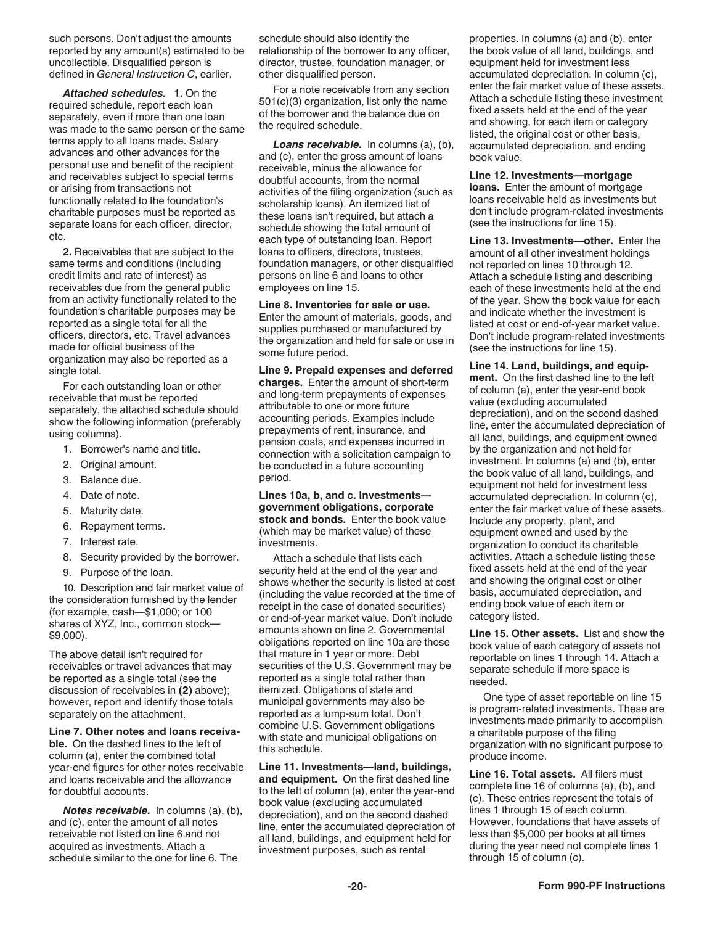such persons. Don't adjust the amounts reported by any amount(s) estimated to be uncollectible. Disqualified person is defined in *General Instruction C*, earlier.

*Attached schedules.* **1.** On the required schedule, report each loan separately, even if more than one loan was made to the same person or the same terms apply to all loans made. Salary advances and other advances for the personal use and benefit of the recipient and receivables subject to special terms or arising from transactions not functionally related to the foundation's charitable purposes must be reported as separate loans for each officer, director, etc.

**2.** Receivables that are subject to the same terms and conditions (including credit limits and rate of interest) as receivables due from the general public from an activity functionally related to the foundation's charitable purposes may be reported as a single total for all the officers, directors, etc. Travel advances made for official business of the organization may also be reported as a single total.

For each outstanding loan or other receivable that must be reported separately, the attached schedule should show the following information (preferably using columns).

- 1. Borrower's name and title.
- 2. Original amount.
- 3. Balance due.
- 4. Date of note.
- 5. Maturity date.
- 6. Repayment terms.
- 7. Interest rate.
- 8. Security provided by the borrower.
- 9. Purpose of the loan.

10. Description and fair market value of the consideration furnished by the lender (for example, cash—\$1,000; or 100 shares of XYZ, Inc., common stock— \$9,000).

The above detail isn't required for receivables or travel advances that may be reported as a single total (see the discussion of receivables in **(2)** above); however, report and identify those totals separately on the attachment.

**Line 7. Other notes and loans receivable.** On the dashed lines to the left of column (a), enter the combined total year-end figures for other notes receivable and loans receivable and the allowance for doubtful accounts.

*Notes receivable.* In columns (a), (b), and (c), enter the amount of all notes receivable not listed on line 6 and not acquired as investments. Attach a schedule similar to the one for line 6. The

schedule should also identify the relationship of the borrower to any officer, director, trustee, foundation manager, or other disqualified person.

For a note receivable from any section 501(c)(3) organization, list only the name of the borrower and the balance due on the required schedule.

*Loans receivable.* In columns (a), (b), and (c), enter the gross amount of loans receivable, minus the allowance for doubtful accounts, from the normal activities of the filing organization (such as scholarship loans). An itemized list of these loans isn't required, but attach a schedule showing the total amount of each type of outstanding loan. Report loans to officers, directors, trustees, foundation managers, or other disqualified persons on line 6 and loans to other employees on line 15.

**Line 8. Inventories for sale or use.**  Enter the amount of materials, goods, and supplies purchased or manufactured by the organization and held for sale or use in some future period.

**Line 9. Prepaid expenses and deferred charges.** Enter the amount of short-term and long-term prepayments of expenses attributable to one or more future accounting periods. Examples include prepayments of rent, insurance, and pension costs, and expenses incurred in connection with a solicitation campaign to be conducted in a future accounting period.

**Lines 10a, b, and c. Investments government obligations, corporate stock and bonds.** Enter the book value (which may be market value) of these investments.

Attach a schedule that lists each security held at the end of the year and shows whether the security is listed at cost (including the value recorded at the time of receipt in the case of donated securities) or end-of-year market value. Don't include amounts shown on line 2. Governmental obligations reported on line 10a are those that mature in 1 year or more. Debt securities of the U.S. Government may be reported as a single total rather than itemized. Obligations of state and municipal governments may also be reported as a lump-sum total. Don't combine U.S. Government obligations with state and municipal obligations on this schedule.

**Line 11. Investments—land, buildings, and equipment.** On the first dashed line to the left of column (a), enter the year-end book value (excluding accumulated depreciation), and on the second dashed line, enter the accumulated depreciation of all land, buildings, and equipment held for investment purposes, such as rental

properties. In columns (a) and (b), enter the book value of all land, buildings, and equipment held for investment less accumulated depreciation. In column (c), enter the fair market value of these assets. Attach a schedule listing these investment fixed assets held at the end of the year and showing, for each item or category listed, the original cost or other basis, accumulated depreciation, and ending book value.

**Line 12. Investments—mortgage** 

**loans.** Enter the amount of mortgage loans receivable held as investments but don't include program-related investments (see the instructions for line 15).

**Line 13. Investments—other.** Enter the amount of all other investment holdings not reported on lines 10 through 12. Attach a schedule listing and describing each of these investments held at the end of the year. Show the book value for each and indicate whether the investment is listed at cost or end-of-year market value. Don't include program-related investments (see the instructions for line 15).

**Line 14. Land, buildings, and equipment.** On the first dashed line to the left of column (a), enter the year-end book value (excluding accumulated depreciation), and on the second dashed line, enter the accumulated depreciation of all land, buildings, and equipment owned by the organization and not held for investment. In columns (a) and (b), enter the book value of all land, buildings, and equipment not held for investment less accumulated depreciation. In column (c), enter the fair market value of these assets. Include any property, plant, and equipment owned and used by the organization to conduct its charitable activities. Attach a schedule listing these fixed assets held at the end of the year and showing the original cost or other basis, accumulated depreciation, and ending book value of each item or category listed.

**Line 15. Other assets.** List and show the book value of each category of assets not reportable on lines 1 through 14. Attach a separate schedule if more space is needed.

One type of asset reportable on line 15 is program-related investments. These are investments made primarily to accomplish a charitable purpose of the filing organization with no significant purpose to produce income.

**Line 16. Total assets.** All filers must complete line 16 of columns (a), (b), and (c). These entries represent the totals of lines 1 through 15 of each column. However, foundations that have assets of less than \$5,000 per books at all times during the year need not complete lines 1 through 15 of column (c).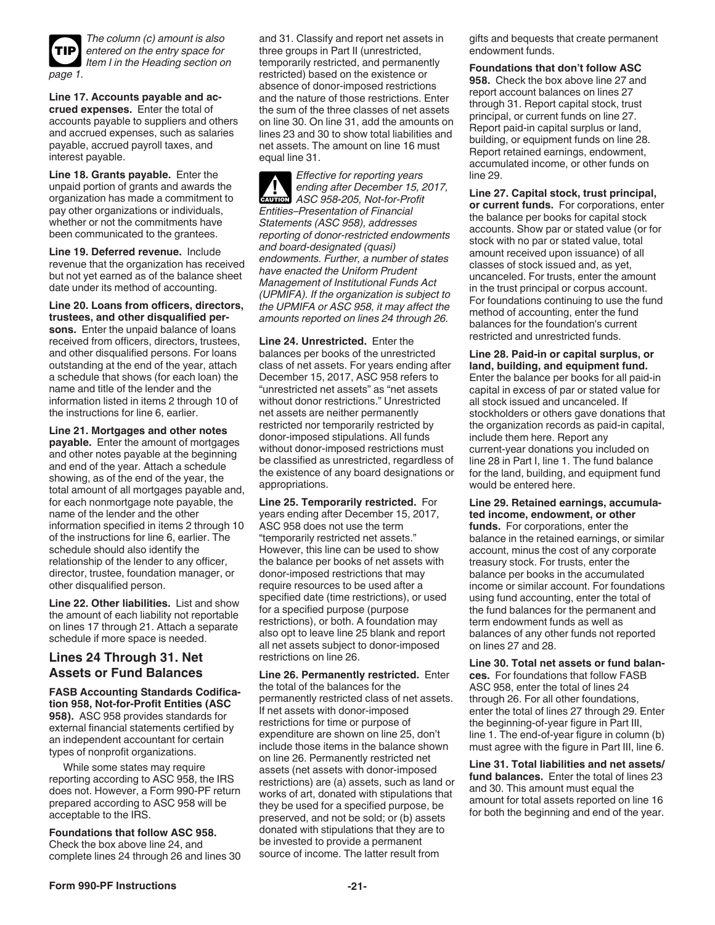

*The column (c) amount is also entered on the entry space for Item I in the Heading section on* 

**Line 17. Accounts payable and accrued expenses.** Enter the total of accounts payable to suppliers and others and accrued expenses, such as salaries payable, accrued payroll taxes, and interest payable.

**Line 18. Grants payable.** Enter the unpaid portion of grants and awards the organization has made a commitment to pay other organizations or individuals, whether or not the commitments have been communicated to the grantees.

**Line 19. Deferred revenue.** Include revenue that the organization has received but not yet earned as of the balance sheet date under its method of accounting.

**Line 20. Loans from officers, directors, trustees, and other disqualified persons.** Enter the unpaid balance of loans received from officers, directors, trustees, and other disqualified persons. For loans outstanding at the end of the year, attach a schedule that shows (for each loan) the name and title of the lender and the information listed in items 2 through 10 of the instructions for line 6, earlier.

**Line 21. Mortgages and other notes payable.** Enter the amount of mortgages and other notes payable at the beginning and end of the year. Attach a schedule showing, as of the end of the year, the total amount of all mortgages payable and, for each nonmortgage note payable, the name of the lender and the other information specified in items 2 through 10 of the instructions for line 6, earlier. The schedule should also identify the relationship of the lender to any officer, director, trustee, foundation manager, or other disqualified person.

**Line 22. Other liabilities.** List and show the amount of each liability not reportable on lines 17 through 21. Attach a separate schedule if more space is needed.

### **Lines 24 Through 31. Net Assets or Fund Balances**

**FASB Accounting Standards Codification 958, Not-for-Profit Entities (ASC 958).** ASC 958 provides standards for external financial statements certified by an independent accountant for certain types of nonprofit organizations.

While some states may require reporting according to ASC 958, the IRS does not. However, a Form 990-PF return prepared according to ASC 958 will be acceptable to the IRS.

**Foundations that follow ASC 958.**  Check the box above line 24, and complete lines 24 through 26 and lines 30 and 31. Classify and report net assets in three groups in Part II (unrestricted, temporarily restricted, and permanently restricted) based on the existence or absence of donor-imposed restrictions and the nature of those restrictions. Enter the sum of the three classes of net assets on line 30. On line 31, add the amounts on lines 23 and 30 to show total liabilities and net assets. The amount on line 16 must equal line 31.

*Effective for reporting years ending after December 15, 2017,*  **ASC 958-205, Not-for-Profit ASC 958-205, Not-for-Profit** *Entities–Presentation of Financial Statements (ASC 958), addresses reporting of donor-restricted endowments and board-designated (quasi) endowments. Further, a number of states have enacted the Uniform Prudent Management of Institutional Funds Act (UPMIFA). If the organization is subject to the UPMIFA or ASC 958, it may affect the amounts reported on lines 24 through 26.*

**Line 24. Unrestricted.** Enter the balances per books of the unrestricted class of net assets. For years ending after December 15, 2017, ASC 958 refers to "unrestricted net assets" as "net assets without donor restrictions." Unrestricted net assets are neither permanently restricted nor temporarily restricted by donor-imposed stipulations. All funds without donor-imposed restrictions must be classified as unrestricted, regardless of the existence of any board designations or appropriations.

**Line 25. Temporarily restricted.** For years ending after December 15, 2017, ASC 958 does not use the term "temporarily restricted net assets." However, this line can be used to show the balance per books of net assets with donor-imposed restrictions that may require resources to be used after a specified date (time restrictions), or used for a specified purpose (purpose restrictions), or both. A foundation may also opt to leave line 25 blank and report all net assets subject to donor-imposed restrictions on line 26.

**Line 26. Permanently restricted.** Enter the total of the balances for the permanently restricted class of net assets. If net assets with donor-imposed restrictions for time or purpose of expenditure are shown on line 25, don't include those items in the balance shown on line 26. Permanently restricted net assets (net assets with donor-imposed restrictions) are (a) assets, such as land or works of art, donated with stipulations that they be used for a specified purpose, be preserved, and not be sold; or (b) assets donated with stipulations that they are to be invested to provide a permanent source of income. The latter result from

gifts and bequests that create permanent endowment funds.

#### **Foundations that don't follow ASC**

**958.** Check the box above line 27 and report account balances on lines 27 through 31. Report capital stock, trust principal, or current funds on line 27. Report paid-in capital surplus or land, building, or equipment funds on line 28. Report retained earnings, endowment, accumulated income, or other funds on line 29.

**Line 27. Capital stock, trust principal, or current funds.** For corporations, enter the balance per books for capital stock accounts. Show par or stated value (or for stock with no par or stated value, total amount received upon issuance) of all classes of stock issued and, as yet, uncanceled. For trusts, enter the amount in the trust principal or corpus account. For foundations continuing to use the fund method of accounting, enter the fund balances for the foundation's current restricted and unrestricted funds.

**Line 28. Paid-in or capital surplus, or land, building, and equipment fund.**  Enter the balance per books for all paid-in capital in excess of par or stated value for all stock issued and uncanceled. If stockholders or others gave donations that the organization records as paid-in capital, include them here. Report any current-year donations you included on line 28 in Part I, line 1. The fund balance for the land, building, and equipment fund would be entered here.

**Line 29. Retained earnings, accumulated income, endowment, or other funds.** For corporations, enter the balance in the retained earnings, or similar account, minus the cost of any corporate treasury stock. For trusts, enter the balance per books in the accumulated income or similar account. For foundations using fund accounting, enter the total of the fund balances for the permanent and term endowment funds as well as balances of any other funds not reported on lines 27 and 28.

**Line 30. Total net assets or fund balances.** For foundations that follow FASB ASC 958, enter the total of lines 24 through 26. For all other foundations, enter the total of lines 27 through 29. Enter the beginning-of-year figure in Part III, line 1. The end-of-year figure in column (b) must agree with the figure in Part III, line 6.

**Line 31. Total liabilities and net assets/ fund balances.** Enter the total of lines 23 and 30. This amount must equal the amount for total assets reported on line 16 for both the beginning and end of the year.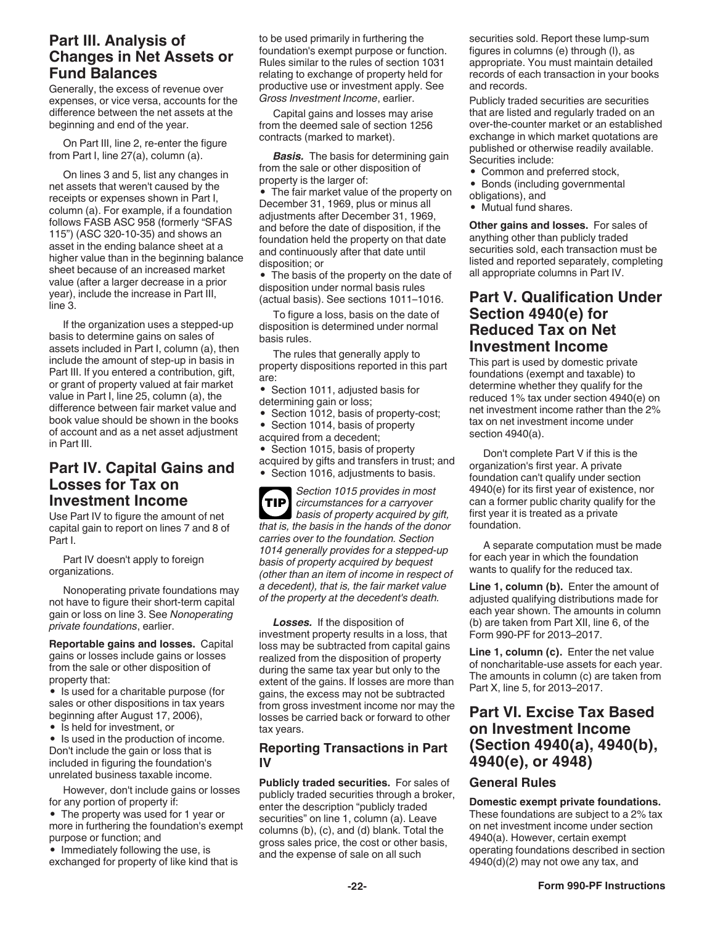### <span id="page-21-0"></span>**Part III. Analysis of Changes in Net Assets or Fund Balances**

Generally, the excess of revenue over expenses, or vice versa, accounts for the difference between the net assets at the beginning and end of the year.

On Part III, line 2, re-enter the figure from Part I, line 27(a), column (a).

On lines 3 and 5, list any changes in net assets that weren't caused by the receipts or expenses shown in Part I, column (a). For example, if a foundation follows FASB ASC 958 (formerly "SFAS 115") (ASC 320-10-35) and shows an asset in the ending balance sheet at a higher value than in the beginning balance sheet because of an increased market value (after a larger decrease in a prior year), include the increase in Part III, line 3.

If the organization uses a stepped-up basis to determine gains on sales of assets included in Part I, column (a), then include the amount of step-up in basis in Part III. If you entered a contribution, gift, or grant of property valued at fair market value in Part I, line 25, column (a), the difference between fair market value and book value should be shown in the books of account and as a net asset adjustment in Part III.

### **Part IV. Capital Gains and Losses for Tax on Investment Income**

Use Part IV to figure the amount of net capital gain to report on lines 7 and 8 of Part I.

Part IV doesn't apply to foreign organizations.

Nonoperating private foundations may not have to figure their short-term capital gain or loss on line 3. See *Nonoperating private foundations*, earlier.

**Reportable gains and losses.** Capital gains or losses include gains or losses from the sale or other disposition of property that:

• Is used for a charitable purpose (for sales or other dispositions in tax years beginning after August 17, 2006), • Is held for investment, or

• Is used in the production of income. Don't include the gain or loss that is included in figuring the foundation's unrelated business taxable income.

However, don't include gains or losses for any portion of property if:

• The property was used for 1 year or more in furthering the foundation's exempt purpose or function; and

• Immediately following the use, is exchanged for property of like kind that is to be used primarily in furthering the foundation's exempt purpose or function. Rules similar to the rules of section 1031 relating to exchange of property held for productive use or investment apply. See *Gross Investment Income*, earlier.

Capital gains and losses may arise from the deemed sale of section 1256 contracts (marked to market).

**Basis.** The basis for determining gain from the sale or other disposition of property is the larger of:

• The fair market value of the property on December 31, 1969, plus or minus all adiustments after December 31, 1969. and before the date of disposition, if the foundation held the property on that date and continuously after that date until disposition; or

• The basis of the property on the date of disposition under normal basis rules (actual basis). See sections 1011–1016.

To figure a loss, basis on the date of disposition is determined under normal basis rules.

The rules that generally apply to property dispositions reported in this part are:

- Section 1011, adjusted basis for determining gain or loss;
- Section 1012, basis of property-cost;
- Section 1014, basis of property
- acquired from a decedent;
- Section 1015, basis of property
- acquired by gifts and transfers in trust; and

• Section 1016, adjustments to basis.

*Section 1015 provides in most circumstances for a carryover basis of property acquired by gift, that is, the basis in the hands of the donor carries over to the foundation. Section 1014 generally provides for a stepped-up basis of property acquired by bequest (other than an item of income in respect of a decedent), that is, the fair market value of the property at the decedent's death.* **TIP**

*Losses.* If the disposition of investment property results in a loss, that loss may be subtracted from capital gains realized from the disposition of property during the same tax year but only to the extent of the gains. If losses are more than gains, the excess may not be subtracted from gross investment income nor may the losses be carried back or forward to other tax years.

#### **Reporting Transactions in Part IV**

**Publicly traded securities.** For sales of publicly traded securities through a broker, enter the description "publicly traded securities" on line 1, column (a). Leave columns (b), (c), and (d) blank. Total the gross sales price, the cost or other basis, and the expense of sale on all such

securities sold. Report these lump-sum figures in columns (e) through (l), as appropriate. You must maintain detailed records of each transaction in your books and records.

Publicly traded securities are securities that are listed and regularly traded on an over-the-counter market or an established exchange in which market quotations are published or otherwise readily available. Securities include:

- Common and preferred stock,
- Bonds (including governmental
- obligations), and
- Mutual fund shares.

**Other gains and losses.** For sales of anything other than publicly traded securities sold, each transaction must be listed and reported separately, completing all appropriate columns in Part IV.

### **Part V. Qualification Under Section 4940(e) for Reduced Tax on Net Investment Income**

This part is used by domestic private foundations (exempt and taxable) to determine whether they qualify for the reduced 1% tax under section 4940(e) on net investment income rather than the 2% tax on net investment income under section 4940(a).

Don't complete Part V if this is the organization's first year. A private foundation can't qualify under section 4940(e) for its first year of existence, nor can a former public charity qualify for the first year it is treated as a private foundation.

A separate computation must be made for each year in which the foundation wants to qualify for the reduced tax.

**Line 1, column (b).** Enter the amount of adjusted qualifying distributions made for each year shown. The amounts in column (b) are taken from Part XII, line 6, of the Form 990-PF for 2013–2017.

**Line 1, column (c).** Enter the net value of noncharitable-use assets for each year. The amounts in column (c) are taken from Part X, line 5, for 2013–2017.

### **Part VI. Excise Tax Based on Investment Income (Section 4940(a), 4940(b), 4940(e), or 4948)**

#### **General Rules**

**Domestic exempt private foundations.** These foundations are subject to a 2% tax on net investment income under section 4940(a). However, certain exempt operating foundations described in section 4940(d)(2) may not owe any tax, and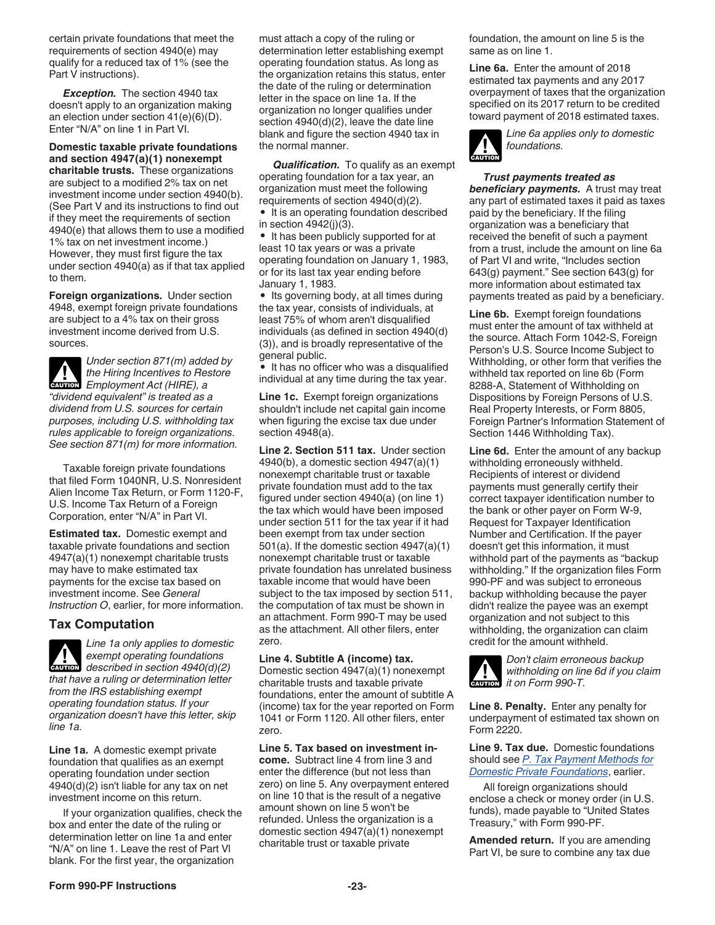<span id="page-22-0"></span>certain private foundations that meet the requirements of section 4940(e) may qualify for a reduced tax of 1% (see the Part V instructions).

**Exception.** The section 4940 tax doesn't apply to an organization making an election under section 41(e)(6)(D). Enter "N/A" on line 1 in Part VI.

**Domestic taxable private foundations and section 4947(a)(1) nonexempt charitable trusts.** These organizations are subject to a modified 2% tax on net investment income under section 4940(b). (See Part V and its instructions to find out if they meet the requirements of section 4940(e) that allows them to use a modified 1% tax on net investment income.) However, they must first figure the tax under section 4940(a) as if that tax applied to them.

**Foreign organizations.** Under section 4948, exempt foreign private foundations are subject to a 4% tax on their gross investment income derived from U.S. sources.

*Under section 871(m) added by the Hiring Incentives to Restore*  **EMPLOYMENT ACT (HIRE), a**<br> **EMPLOYMENT ACT (HIRE), a** *"dividend equivalent" is treated as a dividend from U.S. sources for certain purposes, including U.S. withholding tax rules applicable to foreign organizations. See section 871(m) for more information.*

Taxable foreign private foundations that filed Form 1040NR, U.S. Nonresident Alien Income Tax Return, or Form 1120-F, U.S. Income Tax Return of a Foreign Corporation, enter "N/A" in Part VI.

**Estimated tax.** Domestic exempt and taxable private foundations and section 4947(a)(1) nonexempt charitable trusts may have to make estimated tax payments for the excise tax based on investment income. See *General Instruction O*, earlier, for more information.

#### **Tax Computation**

*Line 1a only applies to domestic exempt operating foundations*  **described in section 4940(d)(2)**<br> **CAUTION** described in section 4940(d)(2) *that have a ruling or determination letter from the IRS establishing exempt operating foundation status. If your organization doesn't have this letter, skip line 1a.*

**Line 1a.** A domestic exempt private foundation that qualifies as an exempt operating foundation under section 4940(d)(2) isn't liable for any tax on net investment income on this return.

If your organization qualifies, check the box and enter the date of the ruling or determination letter on line 1a and enter "N/A" on line 1. Leave the rest of Part Vl blank. For the first year, the organization

must attach a copy of the ruling or determination letter establishing exempt operating foundation status. As long as the organization retains this status, enter the date of the ruling or determination letter in the space on line 1a. If the organization no longer qualifies under section 4940(d)(2), leave the date line blank and figure the section 4940 tax in the normal manner.

*Qualification.* To qualify as an exempt operating foundation for a tax year, an organization must meet the following requirements of section 4940(d)(2). • It is an operating foundation described in section 4942(j)(3).

• It has been publicly supported for at least 10 tax years or was a private operating foundation on January 1, 1983, or for its last tax year ending before January 1, 1983.

• Its governing body, at all times during the tax year, consists of individuals, at least 75% of whom aren't disqualified individuals (as defined in section 4940(d) (3)), and is broadly representative of the general public.

• It has no officer who was a disqualified individual at any time during the tax year.

**Line 1c.** Exempt foreign organizations shouldn't include net capital gain income when figuring the excise tax due under section 4948(a).

**Line 2. Section 511 tax.** Under section 4940(b), a domestic section 4947(a)(1) nonexempt charitable trust or taxable private foundation must add to the tax figured under section 4940(a) (on line 1) the tax which would have been imposed under section 511 for the tax year if it had been exempt from tax under section 501(a). If the domestic section 4947(a)(1) nonexempt charitable trust or taxable private foundation has unrelated business taxable income that would have been subject to the tax imposed by section 511, the computation of tax must be shown in an attachment. Form 990-T may be used as the attachment. All other filers, enter zero.

#### **Line 4. Subtitle A (income) tax.**

Domestic section 4947(a)(1) nonexempt charitable trusts and taxable private foundations, enter the amount of subtitle A (income) tax for the year reported on Form 1041 or Form 1120. All other filers, enter zero.

**Line 5. Tax based on investment income.** Subtract line 4 from line 3 and enter the difference (but not less than zero) on line 5. Any overpayment entered on line 10 that is the result of a negative amount shown on line 5 won't be refunded. Unless the organization is a domestic section 4947(a)(1) nonexempt charitable trust or taxable private

foundation, the amount on line 5 is the same as on line 1.

**Line 6a.** Enter the amount of 2018 estimated tax payments and any 2017 overpayment of taxes that the organization specified on its 2017 return to be credited toward payment of 2018 estimated taxes.



*Trust payments treated as beneficiary payments.* A trust may treat any part of estimated taxes it paid as taxes paid by the beneficiary. If the filing organization was a beneficiary that received the benefit of such a payment from a trust, include the amount on line 6a of Part VI and write, "Includes section 643(g) payment." See section 643(g) for more information about estimated tax payments treated as paid by a beneficiary.

**Line 6b.** Exempt foreign foundations must enter the amount of tax withheld at the source. Attach Form 1042-S, Foreign Person's U.S. Source Income Subject to Withholding, or other form that verifies the withheld tax reported on line 6b (Form 8288-A, Statement of Withholding on Dispositions by Foreign Persons of U.S. Real Property Interests, or Form 8805, Foreign Partner's Information Statement of Section 1446 Withholding Tax).

**Line 6d.** Enter the amount of any backup withholding erroneously withheld. Recipients of interest or dividend payments must generally certify their correct taxpayer identification number to the bank or other payer on Form W-9, Request for Taxpayer Identification Number and Certification. If the payer doesn't get this information, it must withhold part of the payments as "backup withholding." If the organization files Form 990-PF and was subject to erroneous backup withholding because the payer didn't realize the payee was an exempt organization and not subject to this withholding, the organization can claim credit for the amount withheld.



*Don't claim erroneous backup withholding on line 6d if you claim x* withholding on line with the Form 990-T.

**Line 8. Penalty.** Enter any penalty for underpayment of estimated tax shown on Form 2220.

**Line 9. Tax due.** Domestic foundations should see *[P. Tax Payment Methods for](#page-8-0)  [Domestic Private Foundations](#page-8-0)*, earlier.

All foreign organizations should enclose a check or money order (in U.S. funds), made payable to "United States Treasury," with Form 990-PF.

**Amended return.** If you are amending Part VI, be sure to combine any tax due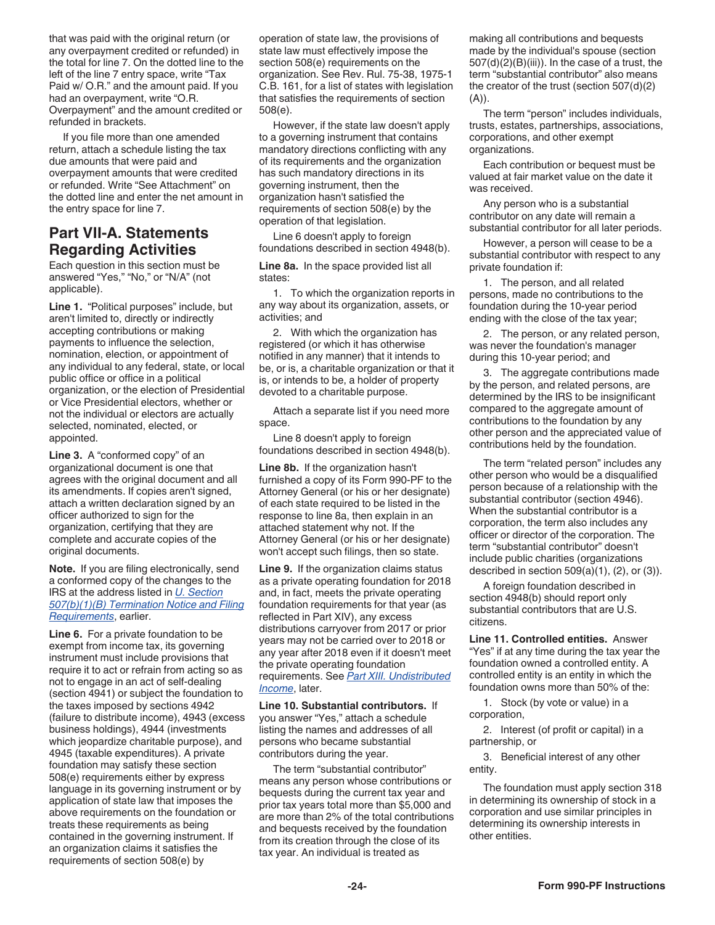<span id="page-23-0"></span>that was paid with the original return (or any overpayment credited or refunded) in the total for line 7. On the dotted line to the left of the line 7 entry space, write "Tax Paid w/ O.R." and the amount paid. If you had an overpayment, write "O.R. Overpayment" and the amount credited or refunded in brackets.

If you file more than one amended return, attach a schedule listing the tax due amounts that were paid and overpayment amounts that were credited or refunded. Write "See Attachment" on the dotted line and enter the net amount in the entry space for line 7.

### **Part VII-A. Statements Regarding Activities**

Each question in this section must be answered "Yes," "No," or "N/A" (not applicable).

Line 1. "Political purposes" include, but aren't limited to, directly or indirectly accepting contributions or making payments to influence the selection, nomination, election, or appointment of any individual to any federal, state, or local public office or office in a political organization, or the election of Presidential or Vice Presidential electors, whether or not the individual or electors are actually selected, nominated, elected, or appointed.

Line 3. A "conformed copy" of an organizational document is one that agrees with the original document and all its amendments. If copies aren't signed, attach a written declaration signed by an officer authorized to sign for the organization, certifying that they are complete and accurate copies of the original documents.

**Note.** If you are filing electronically, send a conformed copy of the changes to the IRS at the address listed in *[U. Section](#page-11-0) [507\(b\)\(1\)\(B\) Termination Notice and Filing](#page-11-0) [Requirements](#page-11-0)*, earlier.

**Line 6.** For a private foundation to be exempt from income tax, its governing instrument must include provisions that require it to act or refrain from acting so as not to engage in an act of self-dealing (section 4941) or subject the foundation to the taxes imposed by sections 4942 (failure to distribute income), 4943 (excess business holdings), 4944 (investments which jeopardize charitable purpose), and 4945 (taxable expenditures). A private foundation may satisfy these section 508(e) requirements either by express language in its governing instrument or by application of state law that imposes the above requirements on the foundation or treats these requirements as being contained in the governing instrument. If an organization claims it satisfies the requirements of section 508(e) by

operation of state law, the provisions of state law must effectively impose the section 508(e) requirements on the organization. See Rev. Rul. 75-38, 1975-1 C.B. 161, for a list of states with legislation that satisfies the requirements of section 508(e).

However, if the state law doesn't apply to a governing instrument that contains mandatory directions conflicting with any of its requirements and the organization has such mandatory directions in its governing instrument, then the organization hasn't satisfied the requirements of section 508(e) by the operation of that legislation.

Line 6 doesn't apply to foreign foundations described in section 4948(b).

**Line 8a.** In the space provided list all states:

1. To which the organization reports in any way about its organization, assets, or activities; and

2. With which the organization has registered (or which it has otherwise notified in any manner) that it intends to be, or is, a charitable organization or that it is, or intends to be, a holder of property devoted to a charitable purpose.

Attach a separate list if you need more space.

Line 8 doesn't apply to foreign foundations described in section 4948(b).

**Line 8b.** If the organization hasn't furnished a copy of its Form 990-PF to the Attorney General (or his or her designate) of each state required to be listed in the response to line 8a, then explain in an attached statement why not. If the Attorney General (or his or her designate) won't accept such filings, then so state.

**Line 9.** If the organization claims status as a private operating foundation for 2018 and, in fact, meets the private operating foundation requirements for that year (as reflected in Part XIV), any excess distributions carryover from 2017 or prior years may not be carried over to 2018 or any year after 2018 even if it doesn't meet the private operating foundation requirements. See *[Part XIII. Undistributed](#page-31-0) [Income](#page-31-0)*, later.

**Line 10. Substantial contributors.** If you answer "Yes," attach a schedule listing the names and addresses of all persons who became substantial contributors during the year.

The term "substantial contributor" means any person whose contributions or bequests during the current tax year and prior tax years total more than \$5,000 and are more than 2% of the total contributions and bequests received by the foundation from its creation through the close of its tax year. An individual is treated as

making all contributions and bequests made by the individual's spouse (section  $507(d)(2)(B)(iii)$ . In the case of a trust, the term "substantial contributor" also means the creator of the trust (section 507(d)(2) (A)).

The term "person" includes individuals, trusts, estates, partnerships, associations, corporations, and other exempt organizations.

Each contribution or bequest must be valued at fair market value on the date it was received.

Any person who is a substantial contributor on any date will remain a substantial contributor for all later periods.

However, a person will cease to be a substantial contributor with respect to any private foundation if:

1. The person, and all related persons, made no contributions to the foundation during the 10-year period ending with the close of the tax year;

2. The person, or any related person, was never the foundation's manager during this 10-year period; and

3. The aggregate contributions made by the person, and related persons, are determined by the IRS to be insignificant compared to the aggregate amount of contributions to the foundation by any other person and the appreciated value of contributions held by the foundation.

The term "related person" includes any other person who would be a disqualified person because of a relationship with the substantial contributor (section 4946). When the substantial contributor is a corporation, the term also includes any officer or director of the corporation. The term "substantial contributor" doesn't include public charities (organizations described in section  $509(a)(1)$ ,  $(2)$ , or  $(3)$ ).

A foreign foundation described in section 4948(b) should report only substantial contributors that are U.S. citizens.

**Line 11. Controlled entities.** Answer "Yes" if at any time during the tax year the foundation owned a controlled entity. A controlled entity is an entity in which the foundation owns more than 50% of the:

1. Stock (by vote or value) in a corporation,

2. Interest (of profit or capital) in a partnership, or

3. Beneficial interest of any other entity.

The foundation must apply section 318 in determining its ownership of stock in a corporation and use similar principles in determining its ownership interests in other entities.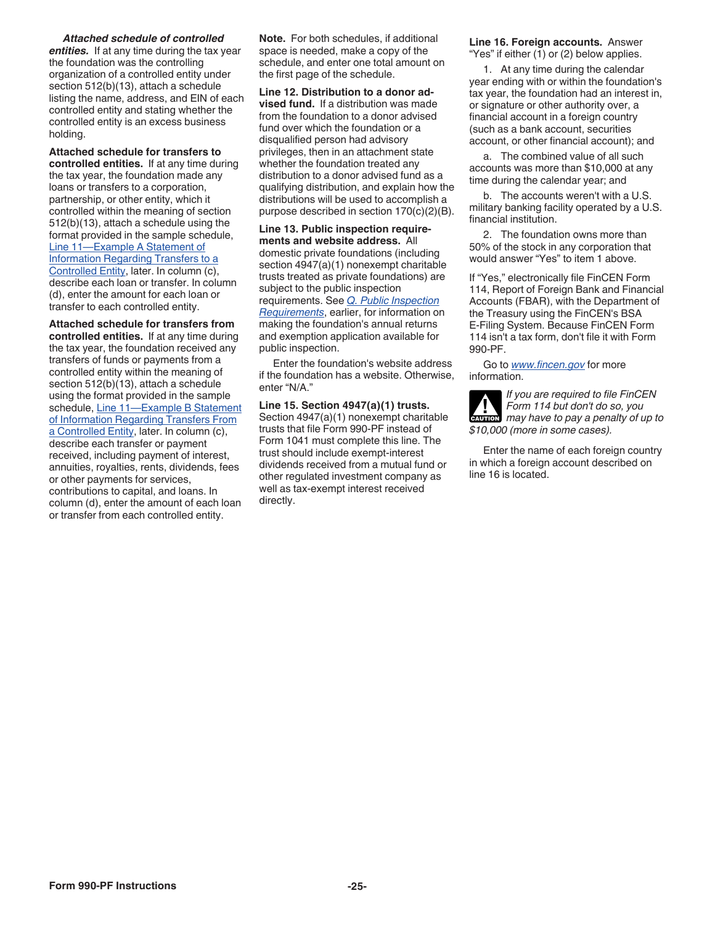#### *Attached schedule of controlled*

<span id="page-24-0"></span>*entities.* If at any time during the tax year the foundation was the controlling organization of a controlled entity under section 512(b)(13), attach a schedule listing the name, address, and EIN of each controlled entity and stating whether the controlled entity is an excess business holding.

**Attached schedule for transfers to controlled entities.** If at any time during the tax year, the foundation made any loans or transfers to a corporation, partnership, or other entity, which it controlled within the meaning of section 512(b)(13), attach a schedule using the format provided in the sample schedule, [Line 11—Example A Statement of](#page-25-0)  [Information Regarding Transfers to a](#page-25-0) [Controlled Entity](#page-25-0), later. In column (c), describe each loan or transfer. In column (d), enter the amount for each loan or transfer to each controlled entity.

**Attached schedule for transfers from controlled entities.** If at any time during the tax year, the foundation received any transfers of funds or payments from a controlled entity within the meaning of section 512(b)(13), attach a schedule using the format provided in the sample schedule, Line 11-Example B Statement [of Information Regarding Transfers From](#page-25-0)  [a Controlled Entity,](#page-25-0) later. In column (c), describe each transfer or payment received, including payment of interest, annuities, royalties, rents, dividends, fees or other payments for services, contributions to capital, and loans. In column (d), enter the amount of each loan or transfer from each controlled entity.

**Note.** For both schedules, if additional space is needed, make a copy of the schedule, and enter one total amount on the first page of the schedule.

**Line 12. Distribution to a donor advised fund.** If a distribution was made from the foundation to a donor advised fund over which the foundation or a disqualified person had advisory privileges, then in an attachment state whether the foundation treated any distribution to a donor advised fund as a qualifying distribution, and explain how the distributions will be used to accomplish a purpose described in section 170(c)(2)(B).

**Line 13. Public inspection requirements and website address.** All domestic private foundations (including section 4947(a)(1) nonexempt charitable trusts treated as private foundations) are subject to the public inspection requirements. See *[Q. Public Inspection](#page-8-0) [Requirements](#page-8-0)*, earlier, for information on making the foundation's annual returns and exemption application available for public inspection.

Enter the foundation's website address if the foundation has a website. Otherwise, enter "N/A."

**Line 15. Section 4947(a)(1) trusts.**  Section 4947(a)(1) nonexempt charitable trusts that file Form 990-PF instead of Form 1041 must complete this line. The trust should include exempt-interest dividends received from a mutual fund or other regulated investment company as well as tax-exempt interest received directly.

**Line 16. Foreign accounts.** Answer "Yes" if either (1) or (2) below applies.

1. At any time during the calendar year ending with or within the foundation's tax year, the foundation had an interest in, or signature or other authority over, a financial account in a foreign country (such as a bank account, securities account, or other financial account); and

a. The combined value of all such accounts was more than \$10,000 at any time during the calendar year; and

b. The accounts weren't with a U.S. military banking facility operated by a U.S. financial institution.

2. The foundation owns more than 50% of the stock in any corporation that would answer "Yes" to item 1 above.

If "Yes," electronically file FinCEN Form 114, Report of Foreign Bank and Financial Accounts (FBAR), with the Department of the Treasury using the FinCEN's BSA E-Filing System. Because FinCEN Form 114 isn't a tax form, don't file it with Form 990-PF.

Go to *[www.fincen.gov](https://www.fincen.gov)* for more information.

*If you are required to file FinCEN Form 114 but don't do so, you*  **Porm 114 but don't do so, you**<br> **CAUTION** may have to pay a penalty of up to *\$10,000 (more in some cases).*

Enter the name of each foreign country in which a foreign account described on line 16 is located.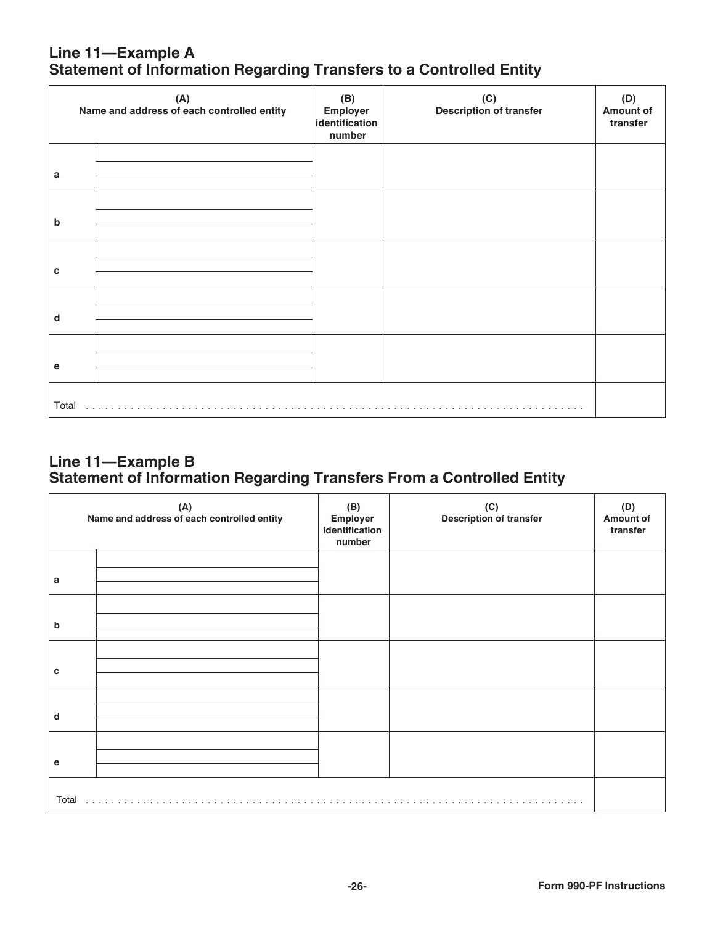### <span id="page-25-0"></span>**Line 11—Example A Statement of Information Regarding Transfers to a Controlled Entity**

|       | $(A)$<br>Name and address of each controlled entity | (B)<br>Employer<br>identification<br>number | (C)<br>Description of transfer | (D)<br><b>Amount of</b><br>transfer |
|-------|-----------------------------------------------------|---------------------------------------------|--------------------------------|-------------------------------------|
| a     |                                                     |                                             |                                |                                     |
| b     |                                                     |                                             |                                |                                     |
| с     |                                                     |                                             |                                |                                     |
| d     |                                                     |                                             |                                |                                     |
| е     |                                                     |                                             |                                |                                     |
| Total |                                                     |                                             |                                |                                     |

### **Line 11—Example B Statement of Information Regarding Transfers From a Controlled Entity**

|       | (A)<br>Name and address of each controlled entity | (B)<br>Employer<br>identification<br>number | (C)<br><b>Description of transfer</b> | (D)<br><b>Amount of</b><br>transfer |
|-------|---------------------------------------------------|---------------------------------------------|---------------------------------------|-------------------------------------|
| a     |                                                   |                                             |                                       |                                     |
| b     |                                                   |                                             |                                       |                                     |
| c     |                                                   |                                             |                                       |                                     |
| d     |                                                   |                                             |                                       |                                     |
| e     |                                                   |                                             |                                       |                                     |
| Total |                                                   |                                             |                                       |                                     |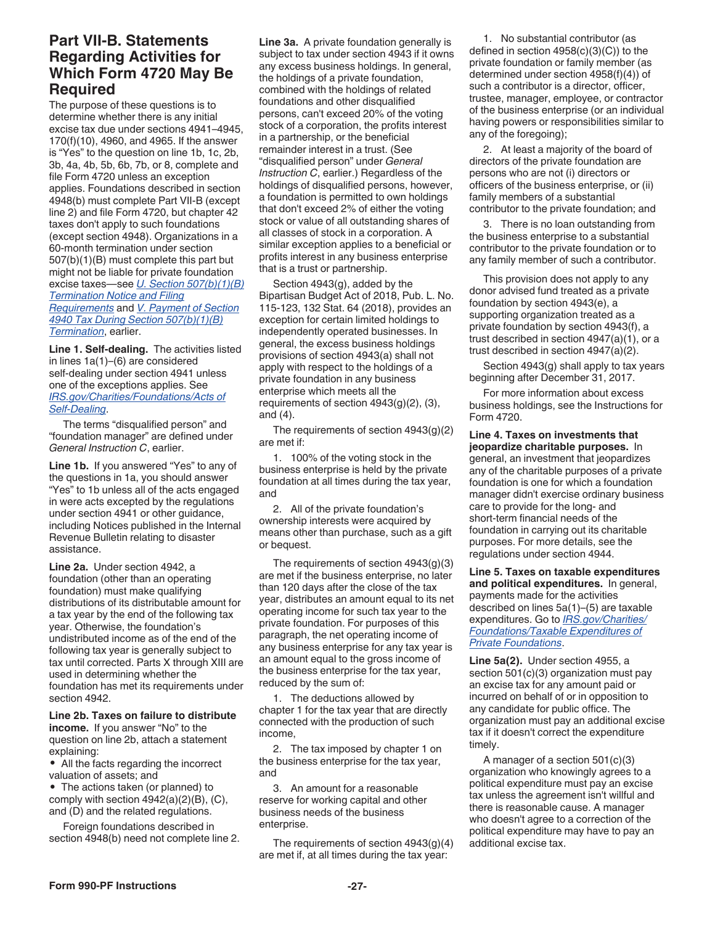### <span id="page-26-0"></span>**Part VII-B. Statements Regarding Activities for Which Form 4720 May Be Required**

The purpose of these questions is to determine whether there is any initial excise tax due under sections 4941–4945, 170(f)(10), 4960, and 4965. If the answer is "Yes" to the question on line 1b, 1c, 2b, 3b, 4a, 4b, 5b, 6b, 7b, or 8, complete and file Form 4720 unless an exception applies. Foundations described in section 4948(b) must complete Part VII-B (except line 2) and file Form 4720, but chapter 42 taxes don't apply to such foundations (except section 4948). Organizations in a 60-month termination under section 507(b)(1)(B) must complete this part but might not be liable for private foundation excise taxes—see *[U. Section 507\(b\)\(1\)\(B\)](#page-11-0) [Termination Notice and Filing](#page-11-0)  [Requirements](#page-11-0)* and *[V. Payment of Section](#page-12-0)  [4940 Tax During Section 507\(b\)\(1\)\(B\)](#page-12-0) [Termination](#page-12-0)*, earlier.

**Line 1. Self-dealing.** The activities listed in lines 1a(1)–(6) are considered self-dealing under section 4941 unless one of the exceptions applies. See *[IRS.gov/Charities/Foundations/Acts of](https://www.irs.gov/Charities-&-Non-Profits/Private-Foundations/Acts-of-self-dealing-by-private-foundation) [Self-Dealing](https://www.irs.gov/Charities-&-Non-Profits/Private-Foundations/Acts-of-self-dealing-by-private-foundation)*.

The terms "disqualified person" and "foundation manager" are defined under *General Instruction C*, earlier.

**Line 1b.** If you answered "Yes" to any of the questions in 1a, you should answer "Yes" to 1b unless all of the acts engaged in were acts excepted by the regulations under section 4941 or other guidance, including Notices published in the Internal Revenue Bulletin relating to disaster assistance.

**Line 2a.** Under section 4942, a foundation (other than an operating foundation) must make qualifying distributions of its distributable amount for a tax year by the end of the following tax year. Otherwise, the foundation's undistributed income as of the end of the following tax year is generally subject to tax until corrected. Parts X through XIII are used in determining whether the foundation has met its requirements under section 4942.

**Line 2b. Taxes on failure to distribute income.** If you answer "No" to the question on line 2b, attach a statement explaining:

• All the facts regarding the incorrect valuation of assets; and

• The actions taken (or planned) to comply with section 4942(a)(2)(B), (C), and (D) and the related regulations.

Foreign foundations described in section 4948(b) need not complete line 2. **Line 3a.** A private foundation generally is subject to tax under section 4943 if it owns any excess business holdings. In general, the holdings of a private foundation, combined with the holdings of related foundations and other disqualified persons, can't exceed 20% of the voting stock of a corporation, the profits interest in a partnership, or the beneficial remainder interest in a trust. (See "disqualified person" under *General Instruction C*, earlier.) Regardless of the holdings of disqualified persons, however, a foundation is permitted to own holdings that don't exceed 2% of either the voting stock or value of all outstanding shares of all classes of stock in a corporation. A similar exception applies to a beneficial or profits interest in any business enterprise that is a trust or partnership.

Section 4943(g), added by the Bipartisan Budget Act of 2018, Pub. L. No. 115-123, 132 Stat. 64 (2018), provides an exception for certain limited holdings to independently operated businesses. In general, the excess business holdings provisions of section 4943(a) shall not apply with respect to the holdings of a private foundation in any business enterprise which meets all the requirements of section 4943(g)(2), (3), and (4).

The requirements of section 4943(g)(2) are met if:

1. 100% of the voting stock in the business enterprise is held by the private foundation at all times during the tax year, and

2. All of the private foundation's ownership interests were acquired by means other than purchase, such as a gift or bequest.

The requirements of section 4943(g)(3) are met if the business enterprise, no later than 120 days after the close of the tax year, distributes an amount equal to its net operating income for such tax year to the private foundation. For purposes of this paragraph, the net operating income of any business enterprise for any tax year is an amount equal to the gross income of the business enterprise for the tax year, reduced by the sum of:

1. The deductions allowed by chapter 1 for the tax year that are directly connected with the production of such income,

2. The tax imposed by chapter 1 on the business enterprise for the tax year, and

3. An amount for a reasonable reserve for working capital and other business needs of the business enterprise.

The requirements of section 4943(g)(4) are met if, at all times during the tax year:

1. No substantial contributor (as defined in section  $4958(c)(3)(C)$ ) to the private foundation or family member (as determined under section 4958(f)(4)) of such a contributor is a director, officer, trustee, manager, employee, or contractor of the business enterprise (or an individual having powers or responsibilities similar to any of the foregoing);

2. At least a majority of the board of directors of the private foundation are persons who are not (i) directors or officers of the business enterprise, or (ii) family members of a substantial contributor to the private foundation; and

3. There is no loan outstanding from the business enterprise to a substantial contributor to the private foundation or to any family member of such a contributor.

This provision does not apply to any donor advised fund treated as a private foundation by section 4943(e), a supporting organization treated as a private foundation by section 4943(f), a trust described in section 4947(a)(1), or a trust described in section 4947(a)(2).

Section 4943(g) shall apply to tax years beginning after December 31, 2017.

For more information about excess business holdings, see the Instructions for Form 4720.

**Line 4. Taxes on investments that jeopardize charitable purposes.** In general, an investment that jeopardizes any of the charitable purposes of a private foundation is one for which a foundation manager didn't exercise ordinary business care to provide for the long- and short-term financial needs of the foundation in carrying out its charitable purposes. For more details, see the regulations under section 4944.

**Line 5. Taxes on taxable expenditures and political expenditures.** In general, payments made for the activities described on lines 5a(1)–(5) are taxable expenditures. Go to *[IRS.gov/Charities/](https://www.irs.gov/irm/part7/irm_07-027-019.html) [Foundations/Taxable Expenditures of](https://www.irs.gov/irm/part7/irm_07-027-019.html) [Private Foundations](https://www.irs.gov/irm/part7/irm_07-027-019.html)*.

**Line 5a(2).** Under section 4955, a section 501(c)(3) organization must pay an excise tax for any amount paid or incurred on behalf of or in opposition to any candidate for public office. The organization must pay an additional excise tax if it doesn't correct the expenditure timely.

A manager of a section 501(c)(3) organization who knowingly agrees to a political expenditure must pay an excise tax unless the agreement isn't willful and there is reasonable cause. A manager who doesn't agree to a correction of the political expenditure may have to pay an additional excise tax.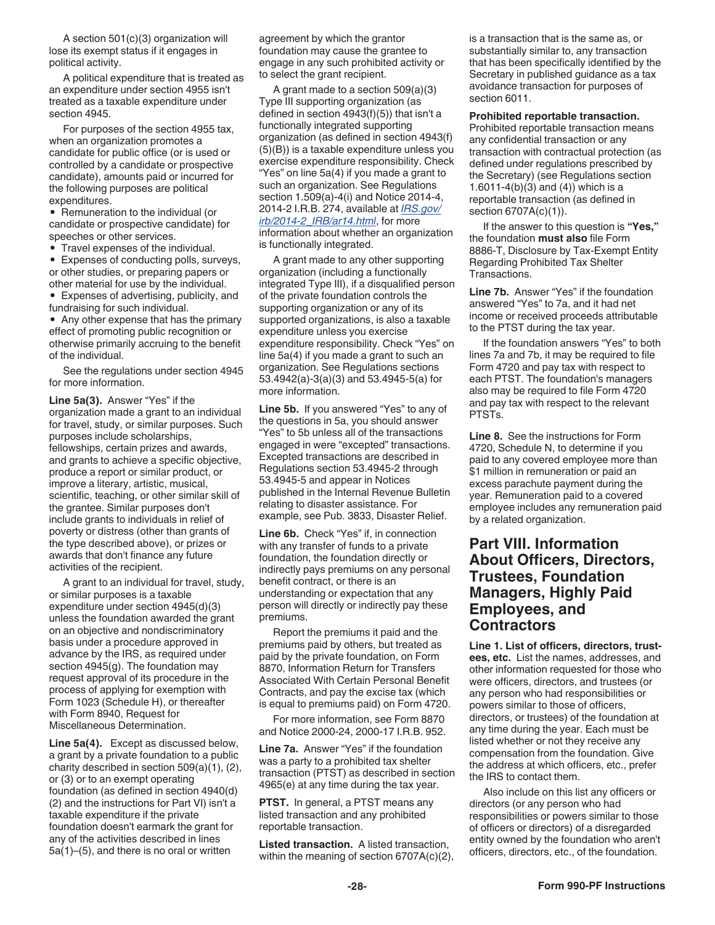<span id="page-27-0"></span>A section 501(c)(3) organization will lose its exempt status if it engages in political activity.

A political expenditure that is treated as an expenditure under section 4955 isn't treated as a taxable expenditure under section 4945.

For purposes of the section 4955 tax, when an organization promotes a candidate for public office (or is used or controlled by a candidate or prospective candidate), amounts paid or incurred for the following purposes are political expenditures.

• Remuneration to the individual (or candidate or prospective candidate) for speeches or other services.

• Travel expenses of the individual.

• Expenses of conducting polls, surveys, or other studies, or preparing papers or other material for use by the individual.

• Expenses of advertising, publicity, and fundraising for such individual.

• Any other expense that has the primary effect of promoting public recognition or otherwise primarily accruing to the benefit of the individual.

See the regulations under section 4945 for more information.

**Line 5a(3).** Answer "Yes" if the organization made a grant to an individual for travel, study, or similar purposes. Such purposes include scholarships, fellowships, certain prizes and awards, and grants to achieve a specific objective, produce a report or similar product, or improve a literary, artistic, musical, scientific, teaching, or other similar skill of the grantee. Similar purposes don't include grants to individuals in relief of poverty or distress (other than grants of the type described above), or prizes or awards that don't finance any future activities of the recipient.

A grant to an individual for travel, study, or similar purposes is a taxable expenditure under section 4945(d)(3) unless the foundation awarded the grant on an objective and nondiscriminatory basis under a procedure approved in advance by the IRS, as required under section 4945(g). The foundation may request approval of its procedure in the process of applying for exemption with Form 1023 (Schedule H), or thereafter with Form 8940, Request for Miscellaneous Determination.

**Line 5a(4).** Except as discussed below, a grant by a private foundation to a public charity described in section 509(a)(1), (2), or (3) or to an exempt operating foundation (as defined in section 4940(d) (2) and the instructions for Part VI) isn't a taxable expenditure if the private foundation doesn't earmark the grant for any of the activities described in lines 5a(1)–(5), and there is no oral or written

agreement by which the grantor foundation may cause the grantee to engage in any such prohibited activity or to select the grant recipient.

A grant made to a section 509(a)(3) Type III supporting organization (as defined in section 4943(f)(5)) that isn't a functionally integrated supporting organization (as defined in section 4943(f) (5)(B)) is a taxable expenditure unless you exercise expenditure responsibility. Check "Yes" on line 5a(4) if you made a grant to such an organization. See Regulations section 1.509(a)-4(i) and Notice 2014-4, 2014-2 I.R.B. 274, available at *[IRS.gov/](https://www.irs.gov/irb/2014-2_IRB/ar14.html) [irb/2014-2\\_IRB/ar14.html](https://www.irs.gov/irb/2014-2_IRB/ar14.html)*, for more information about whether an organization is functionally integrated.

A grant made to any other supporting organization (including a functionally integrated Type III), if a disqualified person of the private foundation controls the supporting organization or any of its supported organizations, is also a taxable expenditure unless you exercise expenditure responsibility. Check "Yes" on line 5a(4) if you made a grant to such an organization. See Regulations sections 53.4942(a)-3(a)(3) and 53.4945-5(a) for more information.

**Line 5b.** If you answered "Yes" to any of the questions in 5a, you should answer "Yes" to 5b unless all of the transactions engaged in were "excepted" transactions. Excepted transactions are described in Regulations section 53.4945-2 through 53.4945-5 and appear in Notices published in the Internal Revenue Bulletin relating to disaster assistance. For example, see Pub. 3833, Disaster Relief.

**Line 6b.** Check "Yes" if, in connection with any transfer of funds to a private foundation, the foundation directly or indirectly pays premiums on any personal benefit contract, or there is an understanding or expectation that any person will directly or indirectly pay these premiums.

Report the premiums it paid and the premiums paid by others, but treated as paid by the private foundation, on Form 8870, Information Return for Transfers Associated With Certain Personal Benefit Contracts, and pay the excise tax (which is equal to premiums paid) on Form 4720.

For more information, see Form 8870 and Notice 2000-24, 2000-17 I.R.B. 952.

**Line 7a.** Answer "Yes" if the foundation was a party to a prohibited tax shelter transaction (PTST) as described in section 4965(e) at any time during the tax year.

**PTST.** In general, a PTST means any listed transaction and any prohibited reportable transaction.

**Listed transaction.** A listed transaction, within the meaning of section 6707A(c)(2), is a transaction that is the same as, or substantially similar to, any transaction that has been specifically identified by the Secretary in published guidance as a tax avoidance transaction for purposes of section 6011.

#### **Prohibited reportable transaction.**

Prohibited reportable transaction means any confidential transaction or any transaction with contractual protection (as defined under regulations prescribed by the Secretary) (see Regulations section 1.6011-4(b)(3) and (4)) which is a reportable transaction (as defined in section 6707A(c)(1)).

If the answer to this question is **"Yes,"**  the foundation **must also** file Form 8886-T, Disclosure by Tax-Exempt Entity Regarding Prohibited Tax Shelter Transactions.

**Line 7b.** Answer "Yes" if the foundation answered "Yes" to 7a, and it had net income or received proceeds attributable to the PTST during the tax year.

If the foundation answers "Yes" to both lines 7a and 7b, it may be required to file Form 4720 and pay tax with respect to each PTST. The foundation's managers also may be required to file Form 4720 and pay tax with respect to the relevant PTSTs.

**Line 8.** See the instructions for Form 4720, Schedule N, to determine if you paid to any covered employee more than \$1 million in remuneration or paid an excess parachute payment during the year. Remuneration paid to a covered employee includes any remuneration paid by a related organization.

### **Part VIII. Information About Officers, Directors, Trustees, Foundation Managers, Highly Paid Employees, and Contractors**

**Line 1. List of officers, directors, trustees, etc.** List the names, addresses, and other information requested for those who were officers, directors, and trustees (or any person who had responsibilities or powers similar to those of officers, directors, or trustees) of the foundation at any time during the year. Each must be listed whether or not they receive any compensation from the foundation. Give the address at which officers, etc., prefer the IRS to contact them.

Also include on this list any officers or directors (or any person who had responsibilities or powers similar to those of officers or directors) of a disregarded entity owned by the foundation who aren't officers, directors, etc., of the foundation.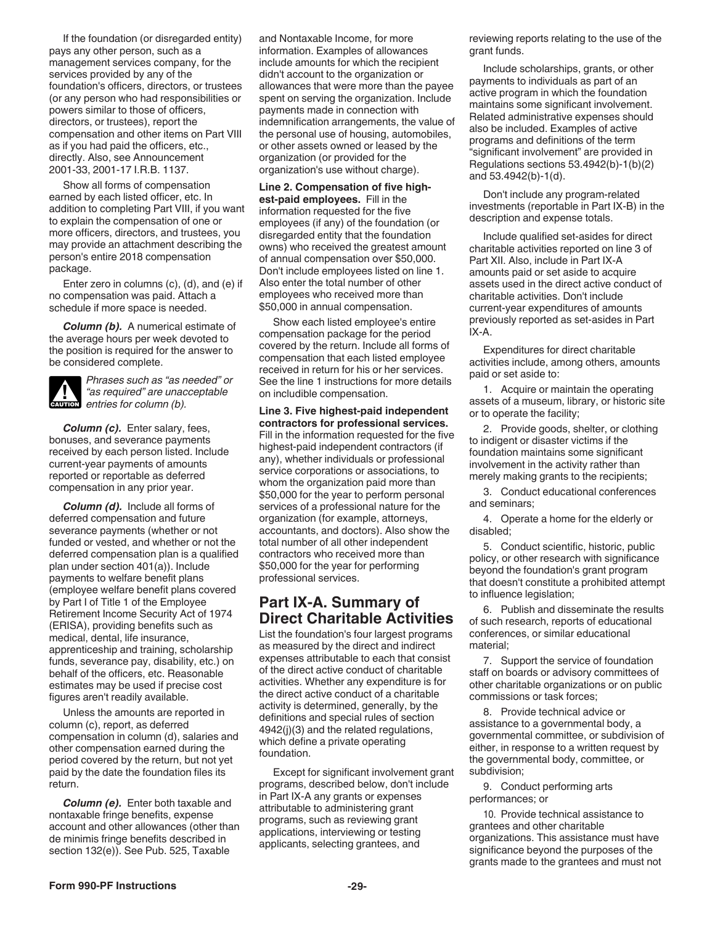<span id="page-28-0"></span>If the foundation (or disregarded entity) pays any other person, such as a management services company, for the services provided by any of the foundation's officers, directors, or trustees (or any person who had responsibilities or powers similar to those of officers, directors, or trustees), report the compensation and other items on Part VIII as if you had paid the officers, etc., directly. Also, see Announcement 2001-33, 2001-17 I.R.B. 1137.

Show all forms of compensation earned by each listed officer, etc. In addition to completing Part VIII, if you want to explain the compensation of one or more officers, directors, and trustees, you may provide an attachment describing the person's entire 2018 compensation package.

Enter zero in columns (c), (d), and (e) if no compensation was paid. Attach a schedule if more space is needed.

*Column (b).* A numerical estimate of the average hours per week devoted to the position is required for the answer to be considered complete.



*Phrases such as "as needed" or "as required" are unacceptable*  **A** *entries for column (b).*<br> **CAUTION** *entries for column (b).* 

*Column (c).* Enter salary, fees, bonuses, and severance payments received by each person listed. Include current-year payments of amounts reported or reportable as deferred compensation in any prior year.

*Column (d).* Include all forms of deferred compensation and future severance payments (whether or not funded or vested, and whether or not the deferred compensation plan is a qualified plan under section 401(a)). Include payments to welfare benefit plans (employee welfare benefit plans covered by Part I of Title 1 of the Employee Retirement Income Security Act of 1974 (ERISA), providing benefits such as medical, dental, life insurance, apprenticeship and training, scholarship funds, severance pay, disability, etc.) on behalf of the officers, etc. Reasonable estimates may be used if precise cost figures aren't readily available.

Unless the amounts are reported in column (c), report, as deferred compensation in column (d), salaries and other compensation earned during the period covered by the return, but not yet paid by the date the foundation files its return.

*Column (e).* Enter both taxable and nontaxable fringe benefits, expense account and other allowances (other than de minimis fringe benefits described in section 132(e)). See Pub. 525, Taxable

and Nontaxable Income, for more information. Examples of allowances include amounts for which the recipient didn't account to the organization or allowances that were more than the payee spent on serving the organization. Include payments made in connection with indemnification arrangements, the value of the personal use of housing, automobiles, or other assets owned or leased by the organization (or provided for the organization's use without charge).

**Line 2. Compensation of five highest-paid employees.** Fill in the information requested for the five employees (if any) of the foundation (or disregarded entity that the foundation owns) who received the greatest amount of annual compensation over \$50,000. Don't include employees listed on line 1. Also enter the total number of other employees who received more than \$50,000 in annual compensation.

Show each listed employee's entire compensation package for the period covered by the return. Include all forms of compensation that each listed employee received in return for his or her services. See the line 1 instructions for more details on includible compensation.

**Line 3. Five highest-paid independent contractors for professional services.**  Fill in the information requested for the five highest-paid independent contractors (if any), whether individuals or professional service corporations or associations, to whom the organization paid more than \$50,000 for the year to perform personal services of a professional nature for the organization (for example, attorneys, accountants, and doctors). Also show the total number of all other independent contractors who received more than \$50,000 for the year for performing professional services.

### **Part IX-A. Summary of Direct Charitable Activities**

List the foundation's four largest programs as measured by the direct and indirect expenses attributable to each that consist of the direct active conduct of charitable activities. Whether any expenditure is for the direct active conduct of a charitable activity is determined, generally, by the definitions and special rules of section 4942(j)(3) and the related regulations, which define a private operating foundation.

Except for significant involvement grant programs, described below, don't include in Part IX-A any grants or expenses attributable to administering grant programs, such as reviewing grant applications, interviewing or testing applicants, selecting grantees, and

reviewing reports relating to the use of the grant funds.

Include scholarships, grants, or other payments to individuals as part of an active program in which the foundation maintains some significant involvement. Related administrative expenses should also be included. Examples of active programs and definitions of the term "significant involvement" are provided in Regulations sections 53.4942(b)-1(b)(2) and 53.4942(b)-1(d).

Don't include any program-related investments (reportable in Part IX-B) in the description and expense totals.

Include qualified set-asides for direct charitable activities reported on line 3 of Part XII. Also, include in Part IX-A amounts paid or set aside to acquire assets used in the direct active conduct of charitable activities. Don't include current-year expenditures of amounts previously reported as set-asides in Part IX-A.

Expenditures for direct charitable activities include, among others, amounts paid or set aside to:

1. Acquire or maintain the operating assets of a museum, library, or historic site or to operate the facility;

2. Provide goods, shelter, or clothing to indigent or disaster victims if the foundation maintains some significant involvement in the activity rather than merely making grants to the recipients;

3. Conduct educational conferences and seminars;

4. Operate a home for the elderly or disabled;

5. Conduct scientific, historic, public policy, or other research with significance beyond the foundation's grant program that doesn't constitute a prohibited attempt to influence legislation;

6. Publish and disseminate the results of such research, reports of educational conferences, or similar educational material;

7. Support the service of foundation staff on boards or advisory committees of other charitable organizations or on public commissions or task forces;

8. Provide technical advice or assistance to a governmental body, a governmental committee, or subdivision of either, in response to a written request by the governmental body, committee, or subdivision;

9. Conduct performing arts performances; or

10. Provide technical assistance to grantees and other charitable organizations. This assistance must have significance beyond the purposes of the grants made to the grantees and must not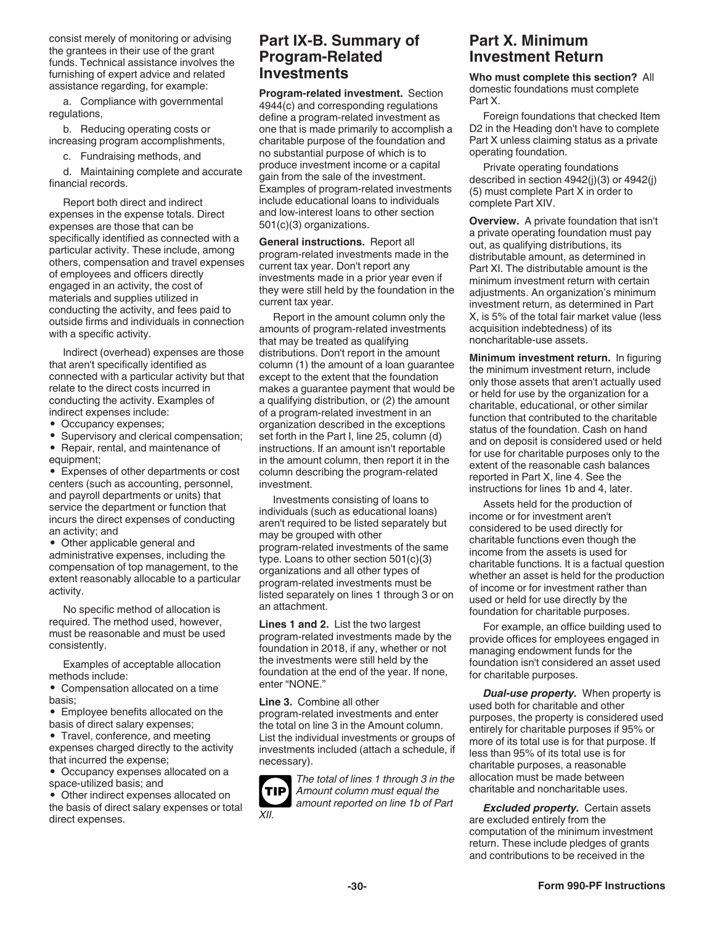<span id="page-29-0"></span>consist merely of monitoring or advising the grantees in their use of the grant funds. Technical assistance involves the furnishing of expert advice and related assistance regarding, for example:

a. Compliance with governmental regulations,

b. Reducing operating costs or increasing program accomplishments,

c. Fundraising methods, and

d. Maintaining complete and accurate financial records.

Report both direct and indirect expenses in the expense totals. Direct expenses are those that can be specifically identified as connected with a particular activity. These include, among others, compensation and travel expenses of employees and officers directly engaged in an activity, the cost of materials and supplies utilized in conducting the activity, and fees paid to outside firms and individuals in connection with a specific activity.

Indirect (overhead) expenses are those that aren't specifically identified as connected with a particular activity but that relate to the direct costs incurred in conducting the activity. Examples of indirect expenses include:

• Occupancy expenses;

- Supervisory and clerical compensation;
- Repair, rental, and maintenance of equipment;

• Expenses of other departments or cost centers (such as accounting, personnel, and payroll departments or units) that service the department or function that incurs the direct expenses of conducting an activity; and

• Other applicable general and administrative expenses, including the compensation of top management, to the extent reasonably allocable to a particular activity.

No specific method of allocation is required. The method used, however, must be reasonable and must be used consistently.

Examples of acceptable allocation methods include:

• Compensation allocated on a time basis;

• Employee benefits allocated on the basis of direct salary expenses;

• Travel, conference, and meeting expenses charged directly to the activity

that incurred the expense; • Occupancy expenses allocated on a space-utilized basis; and

• Other indirect expenses allocated on the basis of direct salary expenses or total direct expenses.

### **Part IX-B. Summary of Program-Related Investments**

**Program-related investment.** Section 4944(c) and corresponding regulations define a program-related investment as one that is made primarily to accomplish a charitable purpose of the foundation and no substantial purpose of which is to produce investment income or a capital gain from the sale of the investment. Examples of program-related investments include educational loans to individuals and low-interest loans to other section 501(c)(3) organizations.

**General instructions.** Report all program-related investments made in the current tax year. Don't report any investments made in a prior year even if they were still held by the foundation in the current tax year.

Report in the amount column only the amounts of program-related investments that may be treated as qualifying distributions. Don't report in the amount column (1) the amount of a loan guarantee except to the extent that the foundation makes a guarantee payment that would be a qualifying distribution, or (2) the amount of a program-related investment in an organization described in the exceptions set forth in the Part I, line 25, column (d) instructions. If an amount isn't reportable in the amount column, then report it in the column describing the program-related investment.

Investments consisting of loans to individuals (such as educational loans) aren't required to be listed separately but may be grouped with other program-related investments of the same type. Loans to other section 501(c)(3) organizations and all other types of program-related investments must be listed separately on lines 1 through 3 or on an attachment.

**Lines 1 and 2.** List the two largest program-related investments made by the foundation in 2018, if any, whether or not the investments were still held by the foundation at the end of the year. If none, enter "NONE."

#### **Line 3.** Combine all other

program-related investments and enter the total on line 3 in the Amount column. List the individual investments or groups of investments included (attach a schedule, if necessary).



*The total of lines 1 through 3 in the Amount column must equal the amount reported on line 1b of Part* 

### **Part X. Minimum Investment Return**

**Who must complete this section?** All domestic foundations must complete Part X.

Foreign foundations that checked Item D2 in the Heading don't have to complete Part X unless claiming status as a private operating foundation.

Private operating foundations described in section 4942(j)(3) or 4942(j) (5) must complete Part X in order to complete Part XIV.

**Overview.** A private foundation that isn't a private operating foundation must pay out, as qualifying distributions, its distributable amount, as determined in Part XI. The distributable amount is the minimum investment return with certain adjustments. An organization's minimum investment return, as determined in Part X, is 5% of the total fair market value (less acquisition indebtedness) of its noncharitable-use assets.

**Minimum investment return.** In figuring the minimum investment return, include only those assets that aren't actually used or held for use by the organization for a charitable, educational, or other similar function that contributed to the charitable status of the foundation. Cash on hand and on deposit is considered used or held for use for charitable purposes only to the extent of the reasonable cash balances reported in Part X, line 4. See the instructions for lines 1b and 4, later.

Assets held for the production of income or for investment aren't considered to be used directly for charitable functions even though the income from the assets is used for charitable functions. It is a factual question whether an asset is held for the production of income or for investment rather than used or held for use directly by the foundation for charitable purposes.

For example, an office building used to provide offices for employees engaged in managing endowment funds for the foundation isn't considered an asset used for charitable purposes.

*Dual-use property.* When property is used both for charitable and other purposes, the property is considered used entirely for charitable purposes if 95% or more of its total use is for that purpose. If less than 95% of its total use is for charitable purposes, a reasonable allocation must be made between charitable and noncharitable uses.

*Excluded property.* Certain assets are excluded entirely from the computation of the minimum investment return. These include pledges of grants and contributions to be received in the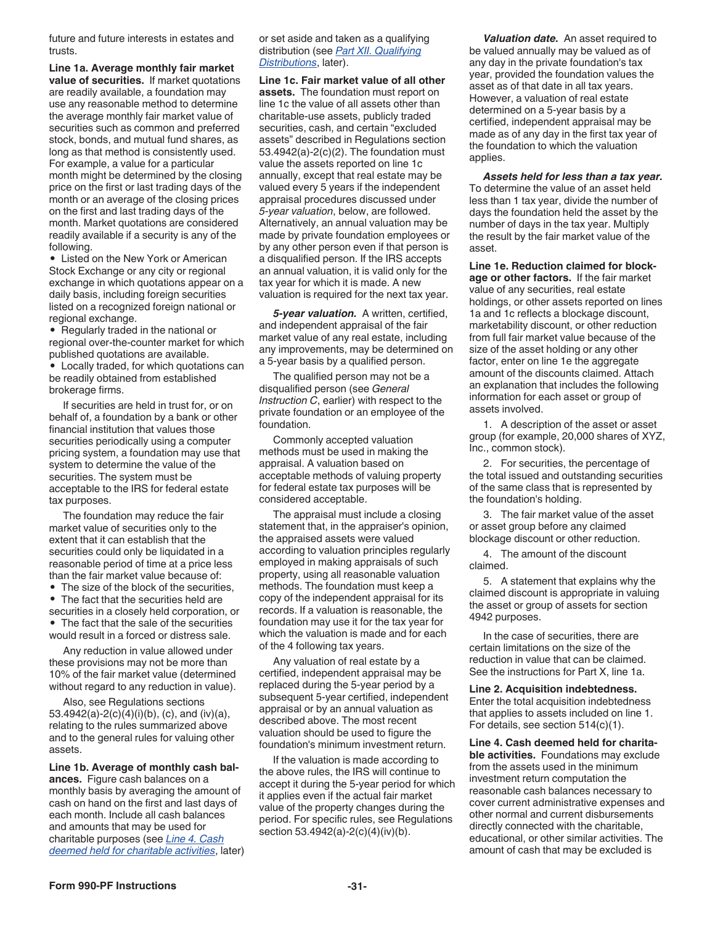future and future interests in estates and trusts.

**Line 1a. Average monthly fair market value of securities.** If market quotations are readily available, a foundation may use any reasonable method to determine the average monthly fair market value of securities such as common and preferred stock, bonds, and mutual fund shares, as long as that method is consistently used. For example, a value for a particular month might be determined by the closing price on the first or last trading days of the month or an average of the closing prices on the first and last trading days of the month. Market quotations are considered readily available if a security is any of the following.

• Listed on the New York or American Stock Exchange or any city or regional exchange in which quotations appear on a daily basis, including foreign securities listed on a recognized foreign national or regional exchange.

• Regularly traded in the national or regional over-the-counter market for which published quotations are available. • Locally traded, for which quotations can be readily obtained from established brokerage firms.

If securities are held in trust for, or on behalf of, a foundation by a bank or other financial institution that values those securities periodically using a computer pricing system, a foundation may use that system to determine the value of the securities. The system must be acceptable to the IRS for federal estate tax purposes.

The foundation may reduce the fair market value of securities only to the extent that it can establish that the securities could only be liquidated in a reasonable period of time at a price less than the fair market value because of:

• The size of the block of the securities, • The fact that the securities held are securities in a closely held corporation, or • The fact that the sale of the securities

would result in a forced or distress sale.

Any reduction in value allowed under these provisions may not be more than 10% of the fair market value (determined without regard to any reduction in value).

Also, see Regulations sections 53.4942(a)-2(c)(4)(i)(b), (c), and (iv)(a), relating to the rules summarized above and to the general rules for valuing other assets.

**Line 1b. Average of monthly cash balances.** Figure cash balances on a monthly basis by averaging the amount of cash on hand on the first and last days of each month. Include all cash balances and amounts that may be used for charitable purposes (see *Line 4. Cash deemed held for charitable activities*, later) or set aside and taken as a qualifying distribution (see *[Part XII. Qualifying](#page-31-0)  [Distributions](#page-31-0)*, later).

**Line 1c. Fair market value of all other assets.** The foundation must report on line 1c the value of all assets other than charitable-use assets, publicly traded securities, cash, and certain "excluded assets" described in Regulations section 53.4942(a)-2(c)(2). The foundation must value the assets reported on line 1c annually, except that real estate may be valued every 5 years if the independent appraisal procedures discussed under *5-year valuation*, below, are followed. Alternatively, an annual valuation may be made by private foundation employees or by any other person even if that person is a disqualified person. If the IRS accepts an annual valuation, it is valid only for the tax year for which it is made. A new valuation is required for the next tax year.

*5-year valuation.* A written, certified, and independent appraisal of the fair market value of any real estate, including any improvements, may be determined on a 5-year basis by a qualified person.

The qualified person may not be a disqualified person (see *General Instruction C*, earlier) with respect to the private foundation or an employee of the foundation.

Commonly accepted valuation methods must be used in making the appraisal. A valuation based on acceptable methods of valuing property for federal estate tax purposes will be considered acceptable.

The appraisal must include a closing statement that, in the appraiser's opinion, the appraised assets were valued according to valuation principles regularly employed in making appraisals of such property, using all reasonable valuation methods. The foundation must keep a copy of the independent appraisal for its records. If a valuation is reasonable, the foundation may use it for the tax year for which the valuation is made and for each of the 4 following tax years.

Any valuation of real estate by a certified, independent appraisal may be replaced during the 5-year period by a subsequent 5-year certified, independent appraisal or by an annual valuation as described above. The most recent valuation should be used to figure the foundation's minimum investment return.

If the valuation is made according to the above rules, the IRS will continue to accept it during the 5-year period for which it applies even if the actual fair market value of the property changes during the period. For specific rules, see Regulations section 53.4942(a)-2(c)(4)(iv)(b).

*Valuation date.* An asset required to be valued annually may be valued as of any day in the private foundation's tax year, provided the foundation values the asset as of that date in all tax years. However, a valuation of real estate determined on a 5-year basis by a certified, independent appraisal may be made as of any day in the first tax year of the foundation to which the valuation applies.

*Assets held for less than a tax year.*  To determine the value of an asset held less than 1 tax year, divide the number of days the foundation held the asset by the number of days in the tax year. Multiply the result by the fair market value of the asset.

**Line 1e. Reduction claimed for blockage or other factors.** If the fair market value of any securities, real estate holdings, or other assets reported on lines 1a and 1c reflects a blockage discount, marketability discount, or other reduction from full fair market value because of the size of the asset holding or any other factor, enter on line 1e the aggregate amount of the discounts claimed. Attach an explanation that includes the following information for each asset or group of assets involved.

1. A description of the asset or asset group (for example, 20,000 shares of XYZ, Inc., common stock).

2. For securities, the percentage of the total issued and outstanding securities of the same class that is represented by the foundation's holding.

3. The fair market value of the asset or asset group before any claimed blockage discount or other reduction.

4. The amount of the discount claimed.

5. A statement that explains why the claimed discount is appropriate in valuing the asset or group of assets for section 4942 purposes.

In the case of securities, there are certain limitations on the size of the reduction in value that can be claimed. See the instructions for Part X, line 1a.

**Line 2. Acquisition indebtedness.**  Enter the total acquisition indebtedness that applies to assets included on line 1. For details, see section 514(c)(1).

**Line 4. Cash deemed held for charitable activities.** Foundations may exclude from the assets used in the minimum investment return computation the reasonable cash balances necessary to cover current administrative expenses and other normal and current disbursements directly connected with the charitable, educational, or other similar activities. The amount of cash that may be excluded is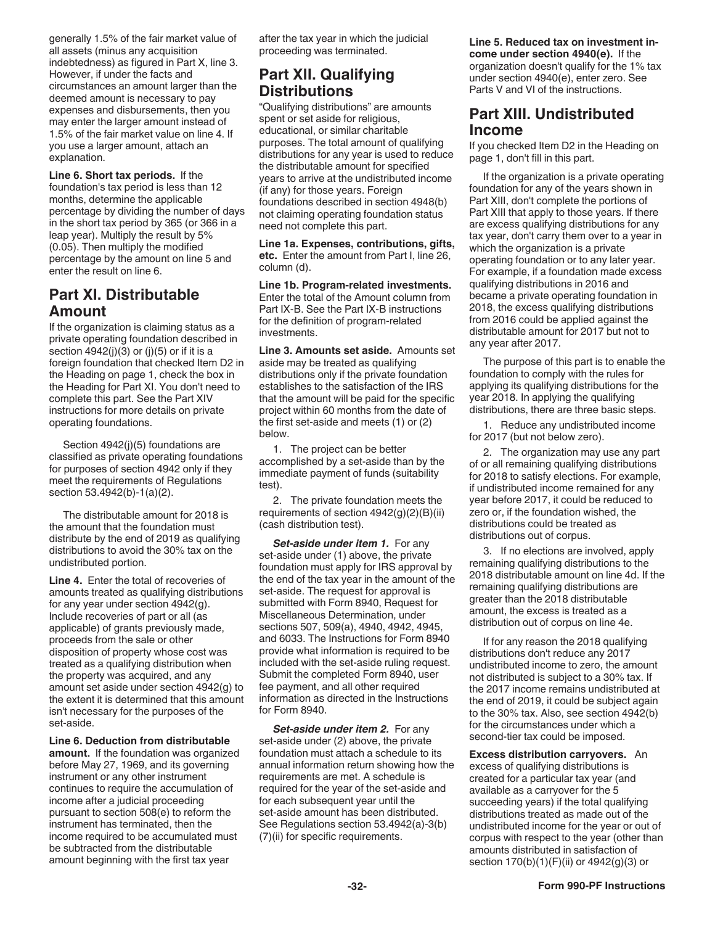<span id="page-31-0"></span>generally 1.5% of the fair market value of all assets (minus any acquisition indebtedness) as figured in Part X, line 3. However, if under the facts and circumstances an amount larger than the deemed amount is necessary to pay expenses and disbursements, then you may enter the larger amount instead of 1.5% of the fair market value on line 4. If you use a larger amount, attach an explanation.

**Line 6. Short tax periods.** If the foundation's tax period is less than 12 months, determine the applicable percentage by dividing the number of days in the short tax period by 365 (or 366 in a leap year). Multiply the result by 5% (0.05). Then multiply the modified percentage by the amount on line 5 and enter the result on line 6.

### **Part XI. Distributable Amount**

If the organization is claiming status as a private operating foundation described in section  $4942(i)(3)$  or  $(i)(5)$  or if it is a foreign foundation that checked Item D2 in the Heading on page 1, check the box in the Heading for Part XI. You don't need to complete this part. See the Part XIV instructions for more details on private operating foundations.

Section 4942(j)(5) foundations are classified as private operating foundations for purposes of section 4942 only if they meet the requirements of Regulations section 53.4942(b)-1(a)(2).

The distributable amount for 2018 is the amount that the foundation must distribute by the end of 2019 as qualifying distributions to avoid the 30% tax on the undistributed portion.

**Line 4.** Enter the total of recoveries of amounts treated as qualifying distributions for any year under section 4942(g). Include recoveries of part or all (as applicable) of grants previously made, proceeds from the sale or other disposition of property whose cost was treated as a qualifying distribution when the property was acquired, and any amount set aside under section 4942(g) to the extent it is determined that this amount isn't necessary for the purposes of the set-aside.

**Line 6. Deduction from distributable amount.** If the foundation was organized before May 27, 1969, and its governing instrument or any other instrument continues to require the accumulation of income after a judicial proceeding pursuant to section 508(e) to reform the instrument has terminated, then the income required to be accumulated must be subtracted from the distributable amount beginning with the first tax year

after the tax year in which the judicial proceeding was terminated.

### **Part XII. Qualifying Distributions**

"Qualifying distributions" are amounts spent or set aside for religious, educational, or similar charitable purposes. The total amount of qualifying distributions for any year is used to reduce the distributable amount for specified years to arrive at the undistributed income (if any) for those years. Foreign foundations described in section 4948(b) not claiming operating foundation status need not complete this part.

**Line 1a. Expenses, contributions, gifts, etc.** Enter the amount from Part I, line 26, column (d).

**Line 1b. Program-related investments.** Enter the total of the Amount column from Part IX-B. See the Part IX-B instructions for the definition of program-related investments.

**Line 3. Amounts set aside.** Amounts set aside may be treated as qualifying distributions only if the private foundation establishes to the satisfaction of the IRS that the amount will be paid for the specific project within 60 months from the date of the first set-aside and meets (1) or (2) below.

1. The project can be better accomplished by a set-aside than by the immediate payment of funds (suitability test).

2. The private foundation meets the requirements of section 4942(g)(2)(B)(ii) (cash distribution test).

**Set-aside under item 1.** For any set-aside under (1) above, the private foundation must apply for IRS approval by the end of the tax year in the amount of the set-aside. The request for approval is submitted with Form 8940, Request for Miscellaneous Determination, under sections 507, 509(a), 4940, 4942, 4945, and 6033. The Instructions for Form 8940 provide what information is required to be included with the set-aside ruling request. Submit the completed Form 8940, user fee payment, and all other required information as directed in the Instructions for Form 8940.

*Set-aside under item 2.* For any set-aside under (2) above, the private foundation must attach a schedule to its annual information return showing how the requirements are met. A schedule is required for the year of the set-aside and for each subsequent year until the set-aside amount has been distributed. See Regulations section 53.4942(a)-3(b) (7)(ii) for specific requirements.

**Line 5. Reduced tax on investment income under section 4940(e).** If the organization doesn't qualify for the 1% tax under section 4940(e), enter zero. See Parts V and VI of the instructions.

### **Part XIII. Undistributed Income**

If you checked Item D2 in the Heading on page 1, don't fill in this part.

If the organization is a private operating foundation for any of the years shown in Part XIII, don't complete the portions of Part XIII that apply to those years. If there are excess qualifying distributions for any tax year, don't carry them over to a year in which the organization is a private operating foundation or to any later year. For example, if a foundation made excess qualifying distributions in 2016 and became a private operating foundation in 2018, the excess qualifying distributions from 2016 could be applied against the distributable amount for 2017 but not to any year after 2017.

The purpose of this part is to enable the foundation to comply with the rules for applying its qualifying distributions for the year 2018. In applying the qualifying distributions, there are three basic steps.

1. Reduce any undistributed income for 2017 (but not below zero).

2. The organization may use any part of or all remaining qualifying distributions for 2018 to satisfy elections. For example, if undistributed income remained for any year before 2017, it could be reduced to zero or, if the foundation wished, the distributions could be treated as distributions out of corpus.

3. If no elections are involved, apply remaining qualifying distributions to the 2018 distributable amount on line 4d. If the remaining qualifying distributions are greater than the 2018 distributable amount, the excess is treated as a distribution out of corpus on line 4e.

If for any reason the 2018 qualifying distributions don't reduce any 2017 undistributed income to zero, the amount not distributed is subject to a 30% tax. If the 2017 income remains undistributed at the end of 2019, it could be subject again to the 30% tax. Also, see section 4942(b) for the circumstances under which a second-tier tax could be imposed.

**Excess distribution carryovers.** An excess of qualifying distributions is created for a particular tax year (and available as a carryover for the 5 succeeding years) if the total qualifying distributions treated as made out of the undistributed income for the year or out of corpus with respect to the year (other than amounts distributed in satisfaction of section 170(b)(1)(F)(ii) or 4942(g)(3) or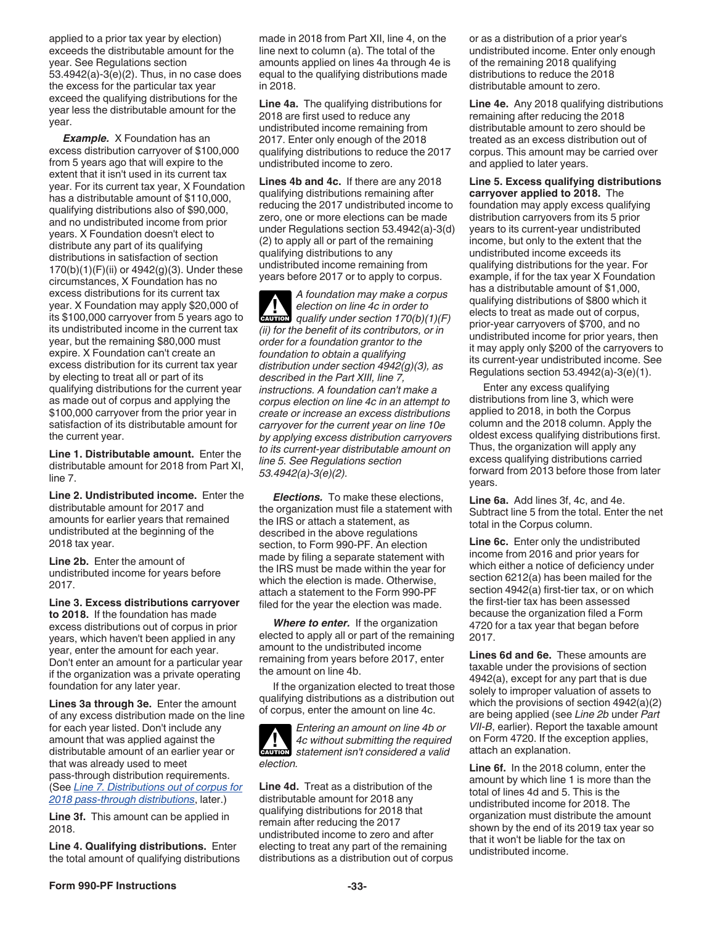<span id="page-32-0"></span>applied to a prior tax year by election) exceeds the distributable amount for the year. See Regulations section 53.4942(a)-3(e)(2). Thus, in no case does the excess for the particular tax year exceed the qualifying distributions for the year less the distributable amount for the year.

*Example.* X Foundation has an excess distribution carryover of \$100,000 from 5 years ago that will expire to the extent that it isn't used in its current tax year. For its current tax year, X Foundation has a distributable amount of \$110,000, qualifying distributions also of \$90,000, and no undistributed income from prior years. X Foundation doesn't elect to distribute any part of its qualifying distributions in satisfaction of section 170(b)(1)(F)(ii) or 4942(g)(3). Under these circumstances, X Foundation has no excess distributions for its current tax year. X Foundation may apply \$20,000 of its \$100,000 carryover from 5 years ago to its undistributed income in the current tax year, but the remaining \$80,000 must expire. X Foundation can't create an excess distribution for its current tax year by electing to treat all or part of its qualifying distributions for the current year as made out of corpus and applying the \$100,000 carryover from the prior year in satisfaction of its distributable amount for the current year.

**Line 1. Distributable amount.** Enter the distributable amount for 2018 from Part XI, line 7.

**Line 2. Undistributed income.** Enter the distributable amount for 2017 and amounts for earlier years that remained undistributed at the beginning of the 2018 tax year.

**Line 2b.** Enter the amount of undistributed income for years before 2017.

**Line 3. Excess distributions carryover to 2018.** If the foundation has made excess distributions out of corpus in prior years, which haven't been applied in any year, enter the amount for each year. Don't enter an amount for a particular year if the organization was a private operating foundation for any later year.

**Lines 3a through 3e.** Enter the amount of any excess distribution made on the line for each year listed. Don't include any amount that was applied against the distributable amount of an earlier year or that was already used to meet pass-through distribution requirements. (See *[Line 7. Distributions out of corpus for](#page-33-0)  [2018 pass-through distributions](#page-33-0)*, later.)

**Line 3f.** This amount can be applied in 2018.

**Line 4. Qualifying distributions.** Enter the total amount of qualifying distributions made in 2018 from Part XII, line 4, on the line next to column (a). The total of the amounts applied on lines 4a through 4e is equal to the qualifying distributions made in 2018.

**Line 4a.** The qualifying distributions for 2018 are first used to reduce any undistributed income remaining from 2017. Enter only enough of the 2018 qualifying distributions to reduce the 2017 undistributed income to zero.

**Lines 4b and 4c.** If there are any 2018 qualifying distributions remaining after reducing the 2017 undistributed income to zero, one or more elections can be made under Regulations section 53.4942(a)-3(d) (2) to apply all or part of the remaining qualifying distributions to any undistributed income remaining from years before 2017 or to apply to corpus.

*A foundation may make a corpus election on line 4c in order to*  **z**<br>*qualify under section 170(b)(1)(F) (ii) for the benefit of its contributors, or in order for a foundation grantor to the foundation to obtain a qualifying distribution under section 4942(g)(3), as described in the Part XIII, line 7, instructions. A foundation can't make a corpus election on line 4c in an attempt to create or increase an excess distributions carryover for the current year on line 10e by applying excess distribution carryovers to its current-year distributable amount on line 5. See Regulations section 53.4942(a)-3(e)(2).*

*Elections.* To make these elections, the organization must file a statement with the IRS or attach a statement, as described in the above regulations section, to Form 990-PF. An election made by filing a separate statement with the IRS must be made within the year for which the election is made. Otherwise, attach a statement to the Form 990-PF filed for the year the election was made.

*Where to enter.* If the organization elected to apply all or part of the remaining amount to the undistributed income remaining from years before 2017, enter the amount on line 4b.

If the organization elected to treat those qualifying distributions as a distribution out of corpus, enter the amount on line 4c.

*Entering an amount on line 4b or 4c without submitting the required*  **Ac** without submitting the required statement isn't considered a valid *election.*

**Line 4d.** Treat as a distribution of the distributable amount for 2018 any qualifying distributions for 2018 that remain after reducing the 2017 undistributed income to zero and after electing to treat any part of the remaining distributions as a distribution out of corpus or as a distribution of a prior year's undistributed income. Enter only enough of the remaining 2018 qualifying distributions to reduce the 2018 distributable amount to zero.

**Line 4e.** Any 2018 qualifying distributions remaining after reducing the 2018 distributable amount to zero should be treated as an excess distribution out of corpus. This amount may be carried over and applied to later years.

**Line 5. Excess qualifying distributions carryover applied to 2018.** The foundation may apply excess qualifying distribution carryovers from its 5 prior years to its current-year undistributed income, but only to the extent that the undistributed income exceeds its qualifying distributions for the year. For example, if for the tax year X Foundation has a distributable amount of \$1,000, qualifying distributions of \$800 which it elects to treat as made out of corpus, prior-year carryovers of \$700, and no undistributed income for prior years, then it may apply only \$200 of the carryovers to its current-year undistributed income. See Regulations section 53.4942(a)-3(e)(1).

Enter any excess qualifying distributions from line 3, which were applied to 2018, in both the Corpus column and the 2018 column. Apply the oldest excess qualifying distributions first. Thus, the organization will apply any excess qualifying distributions carried forward from 2013 before those from later years.

**Line 6a.** Add lines 3f, 4c, and 4e. Subtract line 5 from the total. Enter the net total in the Corpus column.

**Line 6c.** Enter only the undistributed income from 2016 and prior years for which either a notice of deficiency under section 6212(a) has been mailed for the section 4942(a) first-tier tax, or on which the first-tier tax has been assessed because the organization filed a Form 4720 for a tax year that began before 2017.

**Lines 6d and 6e.** These amounts are taxable under the provisions of section 4942(a), except for any part that is due solely to improper valuation of assets to which the provisions of section 4942(a)(2) are being applied (see *Line 2b* under *Part VII-B*, earlier). Report the taxable amount on Form 4720. If the exception applies, attach an explanation.

**Line 6f.** In the 2018 column, enter the amount by which line 1 is more than the total of lines 4d and 5. This is the undistributed income for 2018. The organization must distribute the amount shown by the end of its 2019 tax year so that it won't be liable for the tax on undistributed income.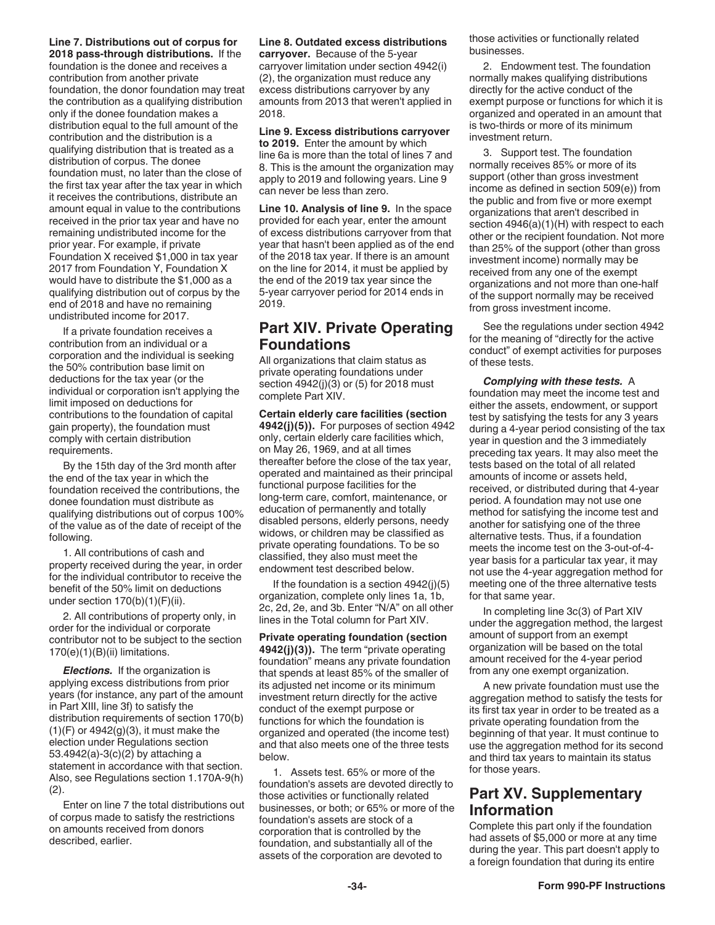### <span id="page-33-0"></span>**Line 7. Distributions out of corpus for**

**2018 pass-through distributions.** If the foundation is the donee and receives a contribution from another private foundation, the donor foundation may treat the contribution as a qualifying distribution only if the donee foundation makes a distribution equal to the full amount of the contribution and the distribution is a qualifying distribution that is treated as a distribution of corpus. The donee foundation must, no later than the close of the first tax year after the tax year in which it receives the contributions, distribute an amount equal in value to the contributions received in the prior tax year and have no remaining undistributed income for the prior year. For example, if private Foundation X received \$1,000 in tax year 2017 from Foundation Y, Foundation X would have to distribute the \$1,000 as a qualifying distribution out of corpus by the end of 2018 and have no remaining undistributed income for 2017.

If a private foundation receives a contribution from an individual or a corporation and the individual is seeking the 50% contribution base limit on deductions for the tax year (or the individual or corporation isn't applying the limit imposed on deductions for contributions to the foundation of capital gain property), the foundation must comply with certain distribution requirements.

By the 15th day of the 3rd month after the end of the tax year in which the foundation received the contributions, the donee foundation must distribute as qualifying distributions out of corpus 100% of the value as of the date of receipt of the following.

1. All contributions of cash and property received during the year, in order for the individual contributor to receive the benefit of the 50% limit on deductions under section 170(b)(1)(F)(ii).

2. All contributions of property only, in order for the individual or corporate contributor not to be subject to the section  $170(e)(1)(B)(ii)$  limitations.

*Elections.* If the organization is applying excess distributions from prior years (for instance, any part of the amount in Part XIII, line 3f) to satisfy the distribution requirements of section 170(b)  $(1)(F)$  or  $4942(g)(3)$ , it must make the election under Regulations section 53.4942(a)-3(c)(2) by attaching a statement in accordance with that section. Also, see Regulations section 1.170A-9(h) (2).

Enter on line 7 the total distributions out of corpus made to satisfy the restrictions on amounts received from donors described, earlier.

#### **Line 8. Outdated excess distributions**

**carryover.** Because of the 5-year carryover limitation under section 4942(i) (2), the organization must reduce any excess distributions carryover by any amounts from 2013 that weren't applied in 2018.

**Line 9. Excess distributions carryover to 2019.** Enter the amount by which line 6a is more than the total of lines 7 and 8. This is the amount the organization may apply to 2019 and following years. Line 9 can never be less than zero.

**Line 10. Analysis of line 9.** In the space provided for each year, enter the amount of excess distributions carryover from that year that hasn't been applied as of the end of the 2018 tax year. If there is an amount on the line for 2014, it must be applied by the end of the 2019 tax year since the 5-year carryover period for 2014 ends in 2019.

### **Part XIV. Private Operating Foundations**

All organizations that claim status as private operating foundations under section 4942(j)(3) or (5) for 2018 must complete Part XIV.

**Certain elderly care facilities (section 4942(j)(5)).** For purposes of section 4942 only, certain elderly care facilities which, on May 26, 1969, and at all times thereafter before the close of the tax year, operated and maintained as their principal functional purpose facilities for the long-term care, comfort, maintenance, or education of permanently and totally disabled persons, elderly persons, needy widows, or children may be classified as private operating foundations. To be so classified, they also must meet the endowment test described below.

If the foundation is a section 4942(j)(5) organization, complete only lines 1a, 1b, 2c, 2d, 2e, and 3b. Enter "N/A" on all other lines in the Total column for Part XIV.

**Private operating foundation (section 4942(j)(3)).** The term "private operating foundation" means any private foundation that spends at least 85% of the smaller of its adjusted net income or its minimum investment return directly for the active conduct of the exempt purpose or functions for which the foundation is organized and operated (the income test) and that also meets one of the three tests below.

1. Assets test. 65% or more of the foundation's assets are devoted directly to those activities or functionally related businesses, or both; or 65% or more of the foundation's assets are stock of a corporation that is controlled by the foundation, and substantially all of the assets of the corporation are devoted to

those activities or functionally related businesses.

2. Endowment test. The foundation normally makes qualifying distributions directly for the active conduct of the exempt purpose or functions for which it is organized and operated in an amount that is two-thirds or more of its minimum investment return.

3. Support test. The foundation normally receives 85% or more of its support (other than gross investment income as defined in section 509(e)) from the public and from five or more exempt organizations that aren't described in section 4946(a)(1)(H) with respect to each other or the recipient foundation. Not more than 25% of the support (other than gross investment income) normally may be received from any one of the exempt organizations and not more than one-half of the support normally may be received from gross investment income.

See the regulations under section 4942 for the meaning of "directly for the active conduct" of exempt activities for purposes of these tests.

*Complying with these tests.* A foundation may meet the income test and either the assets, endowment, or support test by satisfying the tests for any 3 years during a 4-year period consisting of the tax year in question and the 3 immediately preceding tax years. It may also meet the tests based on the total of all related amounts of income or assets held, received, or distributed during that 4-year period. A foundation may not use one method for satisfying the income test and another for satisfying one of the three alternative tests. Thus, if a foundation meets the income test on the 3-out-of-4 year basis for a particular tax year, it may not use the 4-year aggregation method for meeting one of the three alternative tests for that same year.

In completing line 3c(3) of Part XIV under the aggregation method, the largest amount of support from an exempt organization will be based on the total amount received for the 4-year period from any one exempt organization.

A new private foundation must use the aggregation method to satisfy the tests for its first tax year in order to be treated as a private operating foundation from the beginning of that year. It must continue to use the aggregation method for its second and third tax years to maintain its status for those years.

### **Part XV. Supplementary Information**

Complete this part only if the foundation had assets of \$5,000 or more at any time during the year. This part doesn't apply to a foreign foundation that during its entire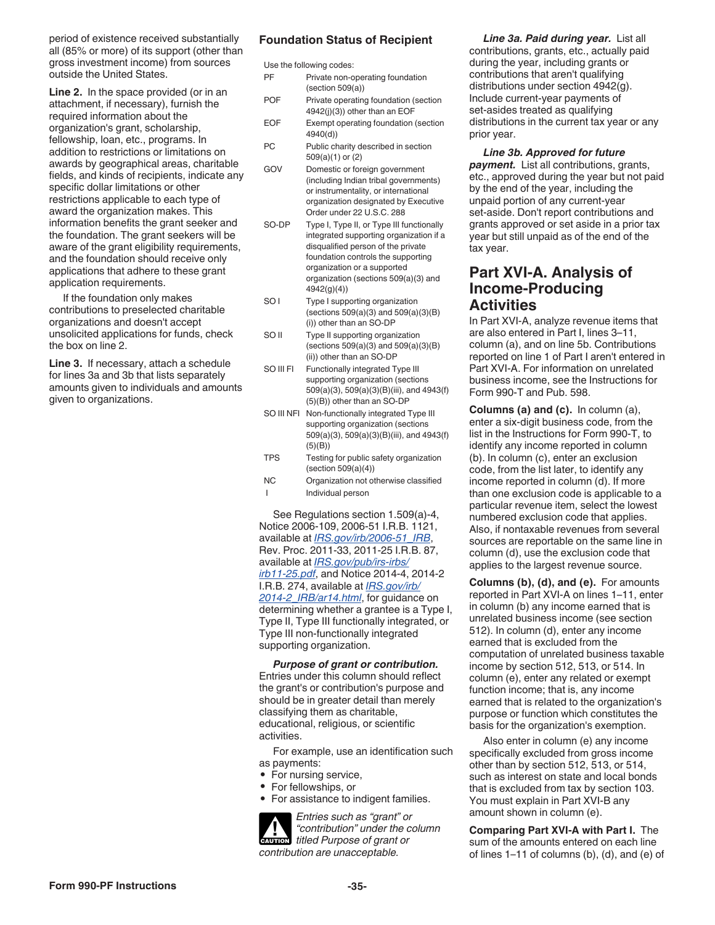<span id="page-34-0"></span>period of existence received substantially all (85% or more) of its support (other than gross investment income) from sources outside the United States.

**Line 2.** In the space provided (or in an attachment, if necessary), furnish the required information about the organization's grant, scholarship, fellowship, loan, etc., programs. In addition to restrictions or limitations on awards by geographical areas, charitable fields, and kinds of recipients, indicate any specific dollar limitations or other restrictions applicable to each type of award the organization makes. This information benefits the grant seeker and the foundation. The grant seekers will be aware of the grant eligibility requirements, and the foundation should receive only applications that adhere to these grant application requirements.

If the foundation only makes contributions to preselected charitable organizations and doesn't accept unsolicited applications for funds, check the box on line 2.

**Line 3.** If necessary, attach a schedule for lines 3a and 3b that lists separately amounts given to individuals and amounts given to organizations.

#### **Foundation Status of Recipient**

Use the following codes:

- PF Private non-operating foundation (section 509(a))
- POF Private operating foundation (section 4942(j)(3)) other than an EOF
- EOF Exempt operating foundation (section 4940(d))
- PC Public charity described in section 509(a)(1) or (2)
- GOV Domestic or foreign government (including Indian tribal governments) or instrumentality, or international organization designated by Executive Order under 22 U.S.C. 288
- SO-DP Type I, Type II, or Type III functionally integrated supporting organization if a disqualified person of the private foundation controls the supporting organization or a supported organization (sections 509(a)(3) and 4942(g)(4))
- SO I Type I supporting organization (sections 509(a)(3) and 509(a)(3)(B) (i)) other than an SO-DP
- SO II Type II supporting organization (sections 509(a)(3) and 509(a)(3)(B) (ii)) other than an SO-DP
- SO III FI Functionally integrated Type III supporting organization (sections 509(a)(3), 509(a)(3)(B)(iii), and 4943(f) (5)(B)) other than an SO-DP
- SO III NFI Non-functionally integrated Type III supporting organization (sections 509(a)(3), 509(a)(3)(B)(iii), and 4943(f) (5)(B))
- TPS Testing for public safety organization (section 509(a)(4))
- NC Organization not otherwise classified Individual person

See Regulations section 1.509(a)-4, Notice 2006-109, 2006-51 I.R.B. 1121, available at *[IRS.gov/irb/2006-51\\_IRB](https://www.irs.gov/irb/2006-51_IRB)*, Rev. Proc. 2011-33, 2011-25 I.R.B. 87, available at *[IRS.gov/pub/irs-irbs/](https://www.irs.gov/pub/irs-irbs/irb11-25.pdf) [irb11-25.pdf](https://www.irs.gov/pub/irs-irbs/irb11-25.pdf)*, and Notice 2014-4, 2014-2 I.R.B. 274, available at *[IRS.gov/irb/](https://www.irs.gov/irb/2014-2_IRB/ar14.html) [2014-2\\_IRB/ar14.html](https://www.irs.gov/irb/2014-2_IRB/ar14.html)*, for guidance on determining whether a grantee is a Type I, Type II, Type III functionally integrated, or Type III non-functionally integrated supporting organization.

*Purpose of grant or contribution.*  Entries under this column should reflect the grant's or contribution's purpose and should be in greater detail than merely classifying them as charitable, educational, religious, or scientific activities.

For example, use an identification such as payments:

- For nursing service,
- For fellowships, or
- For assistance to indigent families.

*Entries such as "grant" or "contribution" under the column*  **titled Purpose of grant or**<br> **CAUTION** *contribution are unacceptable.*

*Line 3a. Paid during year.* List all contributions, grants, etc., actually paid during the year, including grants or contributions that aren't qualifying distributions under section 4942(g). Include current-year payments of set-asides treated as qualifying distributions in the current tax year or any prior year.

*Line 3b. Approved for future payment.* List all contributions, grants, etc., approved during the year but not paid by the end of the year, including the unpaid portion of any current-year set-aside. Don't report contributions and grants approved or set aside in a prior tax year but still unpaid as of the end of the tax year.

### **Part XVI-A. Analysis of Income-Producing Activities**

In Part XVI-A, analyze revenue items that are also entered in Part I, lines 3–11, column (a), and on line 5b. Contributions reported on line 1 of Part I aren't entered in Part XVI-A. For information on unrelated business income, see the Instructions for Form 990-T and Pub. 598.

**Columns (a) and (c).** In column (a), enter a six-digit business code, from the list in the Instructions for Form 990-T, to identify any income reported in column (b). In column (c), enter an exclusion code, from the list later, to identify any income reported in column (d). If more than one exclusion code is applicable to a particular revenue item, select the lowest numbered exclusion code that applies. Also, if nontaxable revenues from several sources are reportable on the same line in column (d), use the exclusion code that applies to the largest revenue source.

**Columns (b), (d), and (e).** For amounts reported in Part XVI-A on lines 1–11, enter in column (b) any income earned that is unrelated business income (see section 512). In column (d), enter any income earned that is excluded from the computation of unrelated business taxable income by section 512, 513, or 514. In column (e), enter any related or exempt function income; that is, any income earned that is related to the organization's purpose or function which constitutes the basis for the organization's exemption.

Also enter in column (e) any income specifically excluded from gross income other than by section 512, 513, or 514, such as interest on state and local bonds that is excluded from tax by section 103. You must explain in Part XVI-B any amount shown in column (e).

**Comparing Part XVI-A with Part I.** The sum of the amounts entered on each line of lines 1–11 of columns (b), (d), and (e) of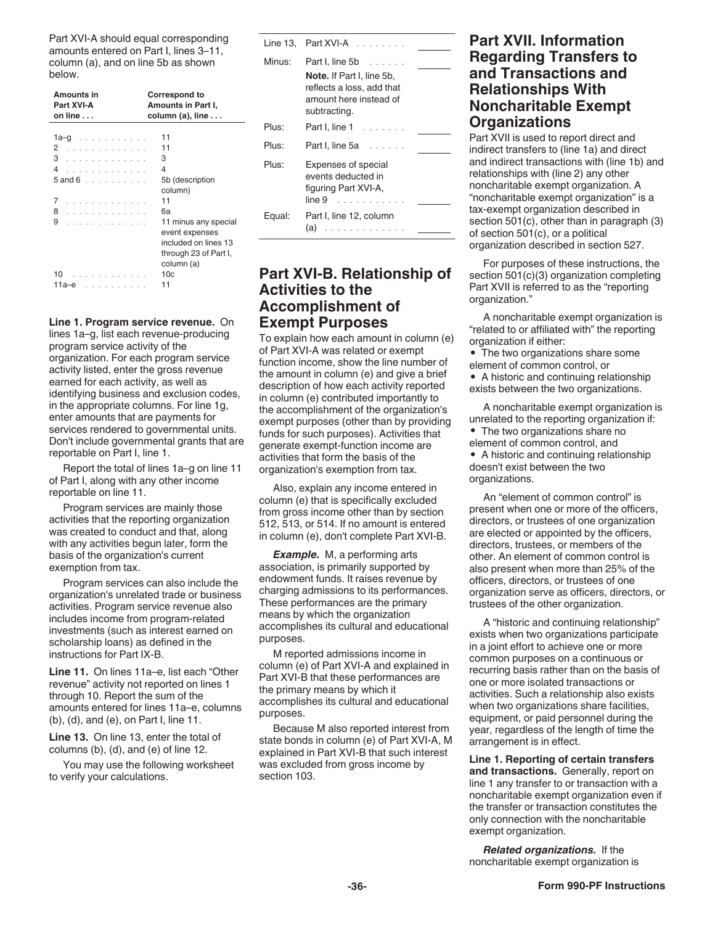<span id="page-35-0"></span>Part XVI-A should equal corresponding amounts entered on Part I, lines 3–11, column (a), and on line 5b as shown below.

| Amounts in<br>Part XVI-A<br>on line $\ldots$               | <b>Correspond to</b><br>Amounts in Part I,<br>column (a), line $\dots$                                |
|------------------------------------------------------------|-------------------------------------------------------------------------------------------------------|
| 1a-g<br>2<br>in a característica de la característica<br>3 | 11<br>11<br>з                                                                                         |
| 4<br>$5$ and $6$                                           | 4<br>5b (description<br>column)                                                                       |
| 7<br>.<br>8.<br>.                                          | 11<br>6а                                                                                              |
| 9<br>.                                                     | 11 minus any special<br>event expenses<br>included on lines 13<br>through 23 of Part I,<br>column (a) |
| 10<br>and a straight and a<br>11а–е                        | 10 <sub>c</sub><br>11                                                                                 |

**Line 1. Program service revenue.** On lines 1a–g, list each revenue-producing program service activity of the organization. For each program service activity listed, enter the gross revenue earned for each activity, as well as identifying business and exclusion codes, in the appropriate columns. For line 1g, enter amounts that are payments for services rendered to governmental units. Don't include governmental grants that are reportable on Part I, line 1.

Report the total of lines 1a–g on line 11 of Part I, along with any other income reportable on line 11.

Program services are mainly those activities that the reporting organization was created to conduct and that, along with any activities begun later, form the basis of the organization's current exemption from tax.

Program services can also include the organization's unrelated trade or business activities. Program service revenue also includes income from program-related investments (such as interest earned on scholarship loans) as defined in the instructions for Part IX-B.

**Line 11.** On lines 11a–e, list each "Other revenue" activity not reported on lines 1 through 10. Report the sum of the amounts entered for lines 11a–e, columns (b), (d), and (e), on Part I, line 11.

**Line 13.** On line 13, enter the total of columns (b), (d), and (e) of line 12.

You may use the following worksheet to verify your calculations.

| Line 13. | Part XVI-A                                                                                                                 |  |
|----------|----------------------------------------------------------------------------------------------------------------------------|--|
| Minus:   | Part I, line 5b<br><b>Note.</b> If Part I. line 5b.<br>reflects a loss. add that<br>amount here instead of<br>subtracting. |  |
| Plus:    | Part I, line $1 \ldots \ldots$                                                                                             |  |
| Plus:    | Part I, line 5a                                                                                                            |  |
| Plus:    | <b>Expenses of special</b><br>events deducted in<br>figuring Part XVI-A,<br>line 9                                         |  |
| Equal:   | Part I, line 12, column<br>(a)<br>.                                                                                        |  |

### **Part XVI-B. Relationship of Activities to the Accomplishment of Exempt Purposes**

To explain how each amount in column (e) of Part XVI-A was related or exempt function income, show the line number of the amount in column (e) and give a brief description of how each activity reported in column (e) contributed importantly to the accomplishment of the organization's exempt purposes (other than by providing funds for such purposes). Activities that generate exempt-function income are activities that form the basis of the organization's exemption from tax.

Also, explain any income entered in column (e) that is specifically excluded from gross income other than by section 512, 513, or 514. If no amount is entered in column (e), don't complete Part XVI-B.

*Example.* M, a performing arts association, is primarily supported by endowment funds. It raises revenue by charging admissions to its performances. These performances are the primary means by which the organization accomplishes its cultural and educational purposes.

M reported admissions income in column (e) of Part XVI-A and explained in Part XVI-B that these performances are the primary means by which it accomplishes its cultural and educational purposes.

Because M also reported interest from state bonds in column (e) of Part XVI-A, M explained in Part XVI-B that such interest was excluded from gross income by section 103.

### **Part XVII. Information Regarding Transfers to and Transactions and Relationships With Noncharitable Exempt Organizations**

Part XVII is used to report direct and indirect transfers to (line 1a) and direct and indirect transactions with (line 1b) and relationships with (line 2) any other noncharitable exempt organization. A "noncharitable exempt organization" is a tax-exempt organization described in section 501(c), other than in paragraph (3) of section 501(c), or a political organization described in section 527.

For purposes of these instructions, the section 501(c)(3) organization completing Part XVII is referred to as the "reporting organization."

A noncharitable exempt organization is "related to or affiliated with" the reporting organization if either:

• The two organizations share some element of common control, or

• A historic and continuing relationship exists between the two organizations.

A noncharitable exempt organization is unrelated to the reporting organization if:

• The two organizations share no element of common control, and

• A historic and continuing relationship doesn't exist between the two organizations.

An "element of common control" is present when one or more of the officers, directors, or trustees of one organization are elected or appointed by the officers, directors, trustees, or members of the other. An element of common control is also present when more than 25% of the officers, directors, or trustees of one organization serve as officers, directors, or trustees of the other organization.

A "historic and continuing relationship" exists when two organizations participate in a joint effort to achieve one or more common purposes on a continuous or recurring basis rather than on the basis of one or more isolated transactions or activities. Such a relationship also exists when two organizations share facilities, equipment, or paid personnel during the year, regardless of the length of time the arrangement is in effect.

**Line 1. Reporting of certain transfers and transactions.** Generally, report on line 1 any transfer to or transaction with a noncharitable exempt organization even if the transfer or transaction constitutes the only connection with the noncharitable exempt organization.

*Related organizations.* If the noncharitable exempt organization is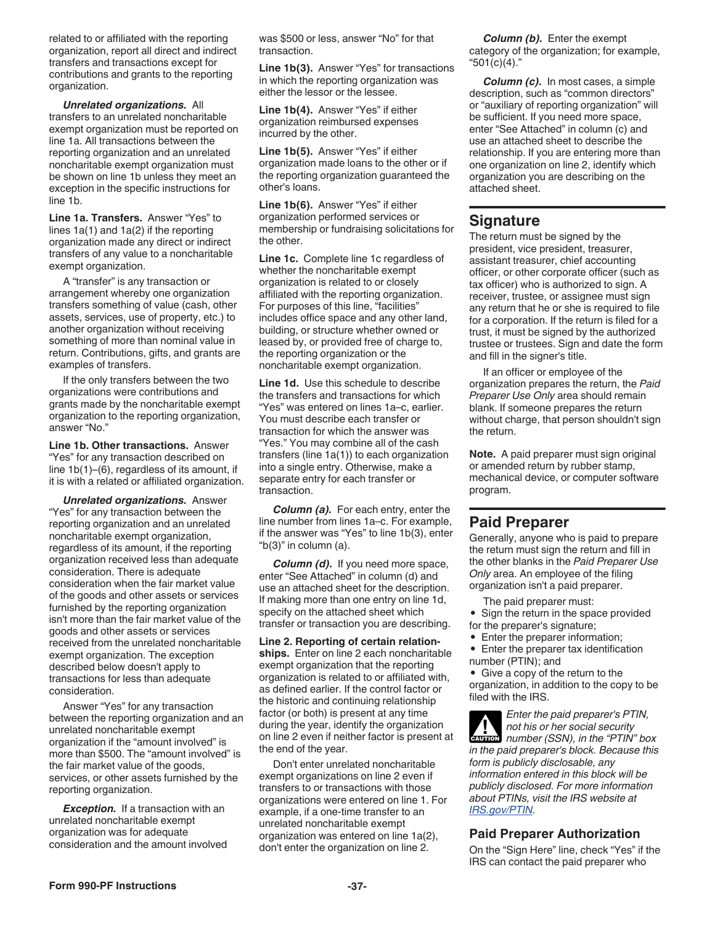<span id="page-36-0"></span>related to or affiliated with the reporting organization, report all direct and indirect transfers and transactions except for contributions and grants to the reporting organization.

*Unrelated organizations.* All transfers to an unrelated noncharitable exempt organization must be reported on line 1a. All transactions between the reporting organization and an unrelated noncharitable exempt organization must be shown on line 1b unless they meet an exception in the specific instructions for line 1b.

**Line 1a. Transfers.** Answer "Yes" to lines 1a(1) and 1a(2) if the reporting organization made any direct or indirect transfers of any value to a noncharitable exempt organization.

A "transfer" is any transaction or arrangement whereby one organization transfers something of value (cash, other assets, services, use of property, etc.) to another organization without receiving something of more than nominal value in return. Contributions, gifts, and grants are examples of transfers.

If the only transfers between the two organizations were contributions and grants made by the noncharitable exempt organization to the reporting organization, answer "No."

**Line 1b. Other transactions.** Answer "Yes" for any transaction described on line 1b(1)–(6), regardless of its amount, if it is with a related or affiliated organization.

*Unrelated organizations.* Answer "Yes" for any transaction between the reporting organization and an unrelated noncharitable exempt organization, regardless of its amount, if the reporting organization received less than adequate consideration. There is adequate consideration when the fair market value of the goods and other assets or services furnished by the reporting organization isn't more than the fair market value of the goods and other assets or services received from the unrelated noncharitable exempt organization. The exception described below doesn't apply to transactions for less than adequate consideration.

Answer "Yes" for any transaction between the reporting organization and an unrelated noncharitable exempt organization if the "amount involved" is more than \$500. The "amount involved" is the fair market value of the goods, services, or other assets furnished by the reporting organization.

**Exception.** If a transaction with an unrelated noncharitable exempt organization was for adequate consideration and the amount involved was \$500 or less, answer "No" for that transaction.

**Line 1b(3).** Answer "Yes" for transactions in which the reporting organization was either the lessor or the lessee.

**Line 1b(4).** Answer "Yes" if either organization reimbursed expenses incurred by the other.

Line 1b(5). Answer "Yes" if either organization made loans to the other or if the reporting organization guaranteed the other's loans.

**Line 1b(6).** Answer "Yes" if either organization performed services or membership or fundraising solicitations for the other.

**Line 1c.** Complete line 1c regardless of whether the noncharitable exempt organization is related to or closely affiliated with the reporting organization. For purposes of this line, "facilities" includes office space and any other land, building, or structure whether owned or leased by, or provided free of charge to, the reporting organization or the noncharitable exempt organization.

**Line 1d.** Use this schedule to describe the transfers and transactions for which "Yes" was entered on lines 1a–c, earlier. You must describe each transfer or transaction for which the answer was "Yes." You may combine all of the cash transfers (line 1a(1)) to each organization into a single entry. Otherwise, make a separate entry for each transfer or transaction.

*Column (a).* For each entry, enter the line number from lines 1a–c. For example, if the answer was "Yes" to line 1b(3), enter "b(3)" in column (a).

*Column (d).* If you need more space, enter "See Attached" in column (d) and use an attached sheet for the description. If making more than one entry on line 1d, specify on the attached sheet which transfer or transaction you are describing.

**Line 2. Reporting of certain relationships.** Enter on line 2 each noncharitable exempt organization that the reporting organization is related to or affiliated with, as defined earlier. If the control factor or the historic and continuing relationship factor (or both) is present at any time during the year, identify the organization on line 2 even if neither factor is present at the end of the year.

Don't enter unrelated noncharitable exempt organizations on line 2 even if transfers to or transactions with those organizations were entered on line 1. For example, if a one-time transfer to an unrelated noncharitable exempt organization was entered on line 1a(2), don't enter the organization on line 2.

*Column (b).* Enter the exempt category of the organization; for example, "501(c)(4)."

*Column (c).* In most cases, a simple description, such as "common directors" or "auxiliary of reporting organization" will be sufficient. If you need more space, enter "See Attached" in column (c) and use an attached sheet to describe the relationship. If you are entering more than one organization on line 2, identify which organization you are describing on the attached sheet.

### **Signature**

The return must be signed by the president, vice president, treasurer, assistant treasurer, chief accounting officer, or other corporate officer (such as tax officer) who is authorized to sign. A receiver, trustee, or assignee must sign any return that he or she is required to file for a corporation. If the return is filed for a trust, it must be signed by the authorized trustee or trustees. Sign and date the form and fill in the signer's title.

If an officer or employee of the organization prepares the return, the *Paid Preparer Use Only* area should remain blank. If someone prepares the return without charge, that person shouldn't sign the return.

**Note.** A paid preparer must sign original or amended return by rubber stamp, mechanical device, or computer software program.

### **Paid Preparer**

filed with the IRS.

Generally, anyone who is paid to prepare the return must sign the return and fill in the other blanks in the *Paid Preparer Use Only* area. An employee of the filing organization isn't a paid preparer.

The paid preparer must:

- Sign the return in the space provided for the preparer's signature;
- Enter the preparer information;
- Enter the preparer tax identification number (PTIN); and
- Give a copy of the return to the organization, in addition to the copy to be

*Enter the paid preparer's PTIN, not his or her social security*  **CAUTION** number (SSN), in the "PTIN" box *in the paid preparer's block. Because this form is publicly disclosable, any information entered in this block will be publicly disclosed. For more information about PTINs, visit the IRS website at [IRS.gov/PTIN](https://www.irs.gov/Tax-Professionals/PTIN-Requirements-for-Tax-Return-Preparers).*

#### **Paid Preparer Authorization**

On the "Sign Here" line, check "Yes" if the IRS can contact the paid preparer who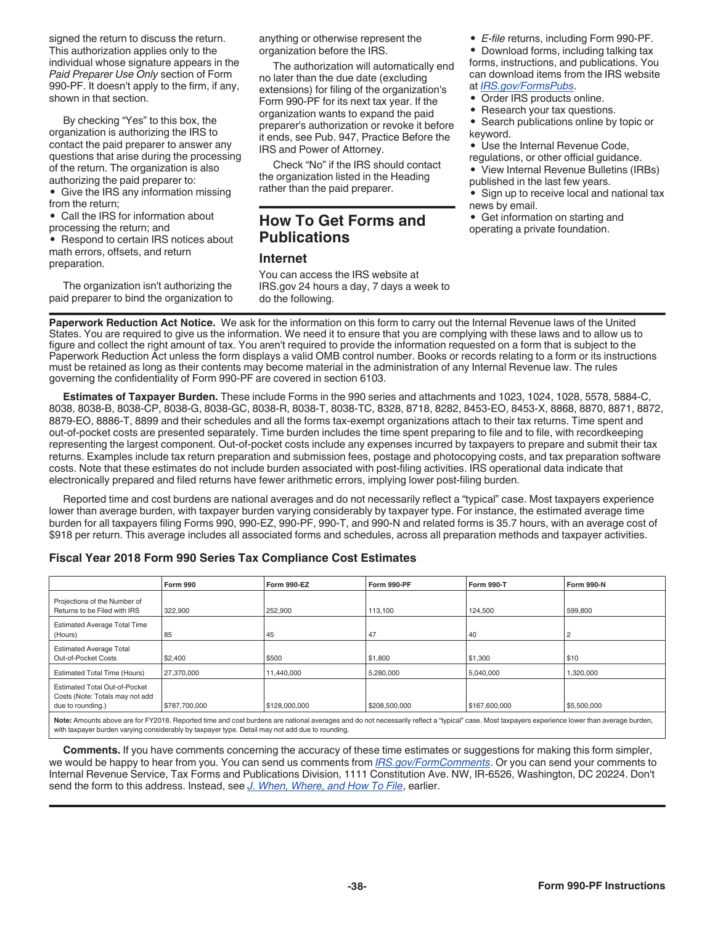<span id="page-37-0"></span>signed the return to discuss the return. This authorization applies only to the individual whose signature appears in the *Paid Preparer Use Only* section of Form 990-PF. It doesn't apply to the firm, if any, shown in that section.

By checking "Yes" to this box, the organization is authorizing the IRS to contact the paid preparer to answer any questions that arise during the processing of the return. The organization is also authorizing the paid preparer to:

• Give the IRS any information missing from the return;

- Call the IRS for information about processing the return; and
- 

• Respond to certain IRS notices about math errors, offsets, and return preparation.

The organization isn't authorizing the paid preparer to bind the organization to anything or otherwise represent the organization before the IRS.

The authorization will automatically end no later than the due date (excluding extensions) for filing of the organization's Form 990-PF for its next tax year. If the organization wants to expand the paid preparer's authorization or revoke it before it ends, see Pub. 947, Practice Before the IRS and Power of Attorney.

Check "No" if the IRS should contact the organization listed in the Heading rather than the paid preparer.

### **How To Get Forms and Publications**

#### **Internet**

You can access the IRS website at IRS.gov 24 hours a day, 7 days a week to do the following.

• *E-file* returns, including Form 990-PF.

• Download forms, including talking tax forms, instructions, and publications. You can download items from the IRS website at *[IRS.gov/FormsPubs](https://www.irs.gov/forms-pubs)*.

- Order IRS products online.
- Research your tax questions.
- Search publications online by topic or keyword.
- Use the Internal Revenue Code,
- regulations, or other official guidance. • View Internal Revenue Bulletins (IRBs)
- published in the last few years.
- Sign up to receive local and national tax news by email.

• Get information on starting and operating a private foundation.

**Paperwork Reduction Act Notice.** We ask for the information on this form to carry out the Internal Revenue laws of the United States. You are required to give us the information. We need it to ensure that you are complying with these laws and to allow us to figure and collect the right amount of tax. You aren't required to provide the information requested on a form that is subject to the Paperwork Reduction Act unless the form displays a valid OMB control number. Books or records relating to a form or its instructions must be retained as long as their contents may become material in the administration of any Internal Revenue law. The rules governing the confidentiality of Form 990-PF are covered in section 6103.

**Estimates of Taxpayer Burden.** These include Forms in the 990 series and attachments and 1023, 1024, 1028, 5578, 5884-C, 8038, 8038-B, 8038-CP, 8038-G, 8038-GC, 8038-R, 8038-T, 8038-TC, 8328, 8718, 8282, 8453-EO, 8453-X, 8868, 8870, 8871, 8872, 8879-EO, 8886-T, 8899 and their schedules and all the forms tax-exempt organizations attach to their tax returns. Time spent and out-of-pocket costs are presented separately. Time burden includes the time spent preparing to file and to file, with recordkeeping representing the largest component. Out-of-pocket costs include any expenses incurred by taxpayers to prepare and submit their tax returns. Examples include tax return preparation and submission fees, postage and photocopying costs, and tax preparation software costs. Note that these estimates do not include burden associated with post-filing activities. IRS operational data indicate that electronically prepared and filed returns have fewer arithmetic errors, implying lower post-filing burden.

Reported time and cost burdens are national averages and do not necessarily reflect a "typical" case. Most taxpayers experience lower than average burden, with taxpayer burden varying considerably by taxpayer type. For instance, the estimated average time burden for all taxpayers filing Forms 990, 990-EZ, 990-PF, 990-T, and 990-N and related forms is 35.7 hours, with an average cost of \$918 per return. This average includes all associated forms and schedules, across all preparation methods and taxpayer activities.

#### **Fiscal Year 2018 Form 990 Series Tax Compliance Cost Estimates**

|                                                                                                                                                                                                                                                                                                   | <b>Form 990</b> | <b>Form 990-EZ</b> | Form 990-PF   | <b>Form 990-T</b> | <b>Form 990-N</b> |
|---------------------------------------------------------------------------------------------------------------------------------------------------------------------------------------------------------------------------------------------------------------------------------------------------|-----------------|--------------------|---------------|-------------------|-------------------|
| Projections of the Number of<br>Returns to be Filed with IRS                                                                                                                                                                                                                                      | 322,900         | 252,900            | 113.100       | 124,500           | 599,800           |
| <b>Estimated Average Total Time</b><br>(Hours)                                                                                                                                                                                                                                                    | 85              | 45                 | 47            | 40                |                   |
| <b>Estimated Average Total</b><br>Out-of-Pocket Costs                                                                                                                                                                                                                                             | \$2,400         | \$500              | \$1,800       | \$1,300           | \$10              |
| <b>Estimated Total Time (Hours)</b>                                                                                                                                                                                                                                                               | 27.370.000      | 11,440,000         | 5,280,000     | 5.040.000         | 1,320,000         |
| <b>Estimated Total Out-of-Pocket</b><br>Costs (Note: Totals may not add<br>due to rounding.)                                                                                                                                                                                                      | \$787,700,000   | \$128,000,000      | \$208,500,000 | \$167,600,000     | \$5,500,000       |
| Note: Amounts above are for FY2018. Reported time and cost burdens are national averages and do not necessarily reflect a "typical" case. Most taxpayers experience lower than average burden,<br>with taxpayer burden varying considerably by taxpayer type. Detail may not add due to rounding. |                 |                    |               |                   |                   |

**Comments.** If you have comments concerning the accuracy of these time estimates or suggestions for making this form simpler, we would be happy to hear from you. You can send us comments from *[IRS.gov/FormComments](https://www.irs.gov/uac/comment-on-tax-forms-and-publications)*. Or you can send your comments to Internal Revenue Service, Tax Forms and Publications Division, 1111 Constitution Ave. NW, IR-6526, Washington, DC 20224. Don't send the form to this address. Instead, see *[J. When, Where, and How To File](#page-6-0)*, earlier.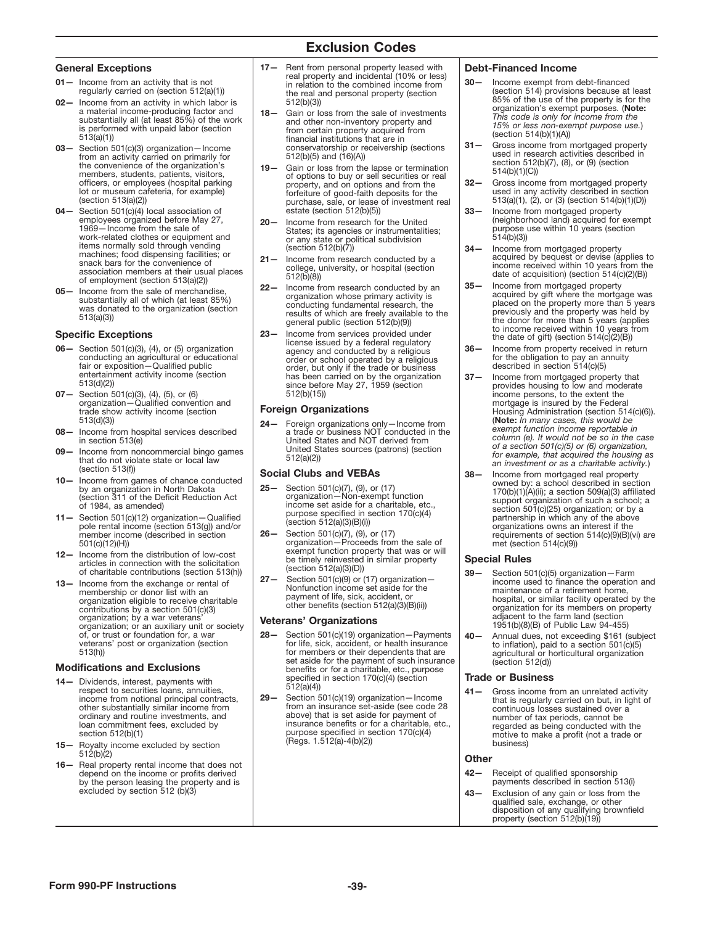### Exclusion Codes

- regularly carried on (section 512(a)(1))
- 02- Income from an activity in which labor is a material income-producing factor and substantially all (at least 85%) of the work is performed with unpaid labor (section 513(a)(1))
- from an activity carried on primarily for the convenience of the organization's members, students, patients, visitors,<br>officers, or employees (hospital parking<br>lot or museum cafeteria, for example) (section 513(a)(2)) 03—
- employees organized before May 27, 1969— Income from the sale of work-related clothes or equipment and items normally sold through vending machines; food dispensing facilities; or snack bars for the convenience of association members at their usual places of employment (section 513(a)(2))
- substantially all of which (at least 85%) was donated to the organization (section 513(a)(3))

#### Specific Exceptions

- fair or exposition-Qualified public entertainment activity income (section 513(d)(2))
- 07 Section 501(c)(3), (4), (5), or (6) organization—Qualified convention and trade show activity income (section 513(d)(3))
- Income from hospital services described in section 513(e) 08—
- 09- Income from noncommercial bingo games that do not violate state or local law (section 513(f))
- by an organization in North Dakota (section 311 of the Deficit Reduction Act<br>of 1984, as amended)
- $11 -$  Section 501(c)(12) organization-Qualified pole rental income (section 513(g)) and/or member income (described in section 501(c)(12)(H))
- 12- Income from the distribution of low-cost articles in connection with the solicitation of charitable contributions (section 513(h))
- 13— Income from the exchange or rental of membership or donor list with an organization eligible to receive charitable contributions by a section 501(c)(3) organization; by a war veterans' organization; or an auxiliary unit or society of, or trust or foundation for, a war veterans' post or organization (section 513(h))

#### Modifications and Exclusions

- 14- Dividends, interest, payments with respect to securities loans, annuities, income from notional principal contracts, other substantially similar income from ordinary and routine investments, and loan commitment fees, excluded by section 512(b)(1)
- 15- Royalty income excluded by section 512(b)(2)
- Real property rental income that does not depend on the income or profits derived by the person leasing the property and is excluded by section 512 (b)(3)  $16 -$
- General Exceptions **Debt-Financed Income 17–** Rent from personal property leased with **Debt-Financed Income**  $\mathbf{01}$  Income from an activity that is not  $\overrightarrow{a}$  in relation to the combined income from  $\overrightarrow{30}$ real property and incidental (10% or less) in relation to the combined income from the real and personal property (section 512(b)(3))
	- Section 501(c)(3) organization—Income  $\vert$  conservatorship or receivership (sections  $\vert$  31-18— Gain or loss from the sale of investments and other non-inventory property and from certain property acquired from nancial institutions that are in 512(b)(5) and  $(16)(A)$
- 19— Gain or loss from the lapse or termination of options to buy or sell securities or real property, and on options and from the forfeiture of good-faith deposits for the purchase, sale, or lease of investment real estate (section 512(b)(5)) 04— Section 501(c)(4) local association of  $\qquad \qquad \vert$  estate (section 512(b)(5))  $\qquad \qquad \vert$  33— Income from mortgaged property
	- 20— Income from research for the United States; its agencies or instrumentalities; or any state or political subdivision (section 512(b)(7))
	- 21— Income from research conducted by a college, university, or hospital (section 512(b)(8))
- 22— Income from research conducted by an organization whose primary activity is conducting fundamental research, the results of which are freely available to the general public (section 512(b)(9))  $\frac{1}{20}$  Income from the sale of merchandise,  $\frac{1}{22}$  Income from research conducted by an  $\frac{1}{35}$  Income from mortgaged property
- 23— Income from services provided under license issued by a federal regulatory agency and conducted by a religious order or school operated by a religious order, but only if the trade or business has been carried on by the organization since before May 27, 1959 (section 512(b)(15)) 06 – Section 501(c)(3), (4), or (5) organization and section agency and conducted by a religious conducting an agricultural or educational order or school operated by a religious for the obligation to pay an annuity

#### Foreign Organizations

24 – Foreign organizations only – Income from<br>a trade or business NOT conducted in the United States and NOT derived from United States sources (patrons) (section 512(a)(2))

#### Social Clubs and VEBAs

- Section 501(c)(7), (9), or (17) organization—Non-exempt function income set aside for a charitable, etc., purpose specified in section  $170(c)(4)$ (section 512(a)(3)(B)(i)) 25—
- Section 501(c)(7), (9), or (17) organization—Proceeds from the sale of exempt function property that was or will be timely reinvested in similar property (section 512(a)(3)(D))  $26 -$
- Section 501(c)(9) or (17) organization— Nonfunction income set aside for the payment of life, sick, accident, or<br>other benefits (section 512(a)(3)(B)(ii)) 27—

#### Veterans' Organizations

- Section 501(c)(19) organization—Payments for life, sick, accident, or health insurance for members or their dependents that are set aside for the payment of such insurance<br>benefits or for a charitable, etc., purpose specified in section 170(c)(4) (section 512(a)(4)) 28—
- Section 501(c)(19) organization— Income from an insurance set-aside (see code 28 above) that is set aside for payment of insurance benefits or for a charitable, etc., purpose specified in section 170(c)(4)<br>(Regs. 1.512(a)-4(b)(2)) 29—

- Income exempt from debt-financed (section 514) provisions because at least<br>85% of the use of the property is for the<br>organization's exempt purposes. (**Note:** *This code is only for income from the 15% or less non-exempt purpose use.*) (section 514(b)(1)(A))
- Gross income from mortgaged property used in research activities described in section 512(b)(7), (8), or (9) (section 514(b)(1)(C))
- Gross income from mortgaged property used in any activity described in section 513(a)(1), (2), or (3) (section 514(b)(1)(D)) 32—
- (neighborhood land) acquired for exempt purpose use within 10 years (section  $514(b)(3)$ 33—
- Income from mortgaged property acquired by bequest or devise (applies to income received within 10 years from the date of acquisition) (section 514(c)(2)(B)) 34—
- acquired by gift where the mortgage was placed on the property more than 5 years previously and the property was held by the donor for more than 5 years (applies to income received within 10 years from the date of gift) (section  $514(c)(2)(B)$ ) 35—
- for the obligation to pay an annuity described in section 514(c)(5) 36—
- Income from mortgaged property that provides housing to low and moderate income persons, to the extent the mortgage is insured by the Federal Housing Administration (section 514(c)(6)). (Note: *In many cases, this would be exempt function income reportable in column (e). It would not be so in the case of a section 501(c)(5) or (6) organization, for example, that acquired the housing as an investment or as a charitable activity.*) 37—
- $10-$  Income from games of chance conducted **Social Clubs and VEBAs**  $\begin{array}{c|c|c|c|c} & 38-$  Income from mortgaged real property owned by: a school described in section  $170(b)(1)(A)(ii)$ ; a section  $509(a)(3)$  affiliated support organization of such a school; a section 501(c)(25) organization; or by a partnership in which any of the above organizations owns an interest if the requirements of section 514(c)(9)(B)(vi) are met (section 514(c)(9)) 38—

#### Special Rules

- Section 501(c)(5) organization—Farm income used to finance the operation and maintenance of a retirement home, hospital, or similar facility operated by the organization for its members on property adjacent to the farm land (section 1951(b)(8)(B) of Public Law 94-455) 39—
- Annual dues, not exceeding \$161 (subject to inflation), paid to a section 501(c)(5)<br>agricultural or horticultural organization (section 512(d))  $40 -$

#### Trade or Business

41— Gross income from an unrelated activity that is regularly carried on but, in light of continuous losses sustained over a number of tax periods, cannot be regarded as being conducted with the<br>motive to make a profit (not a trade or business)

#### **Other**

- Receipt of qualified sponsorship payments described in section 513(i)  $42 -$
- Exclusion of any gain or loss from the<br>qualified sale, exchange, or other disposition of any qualifying brownfield<br>property (section 512(b)(19))  $43-$